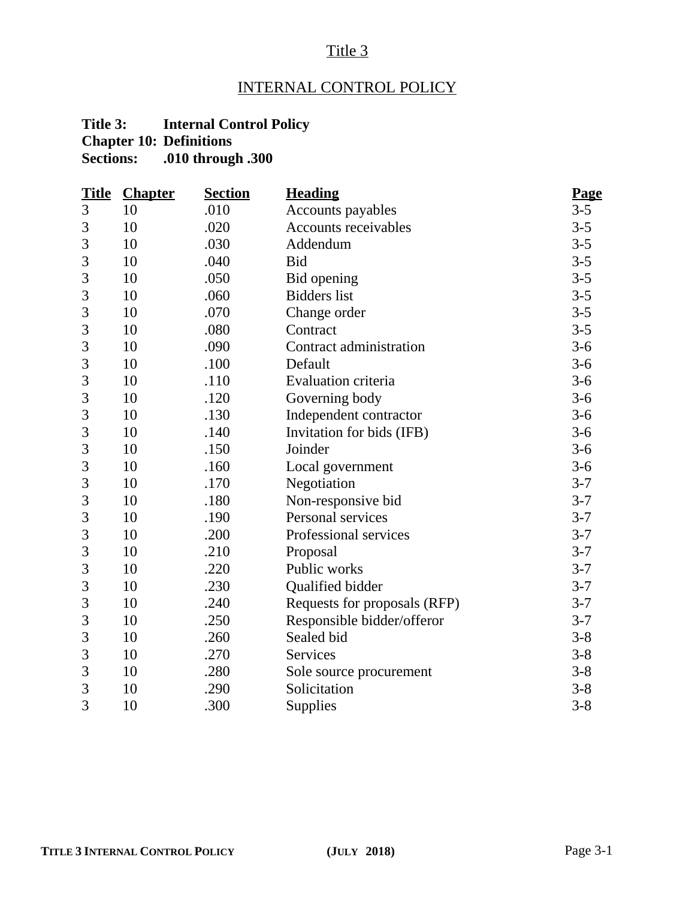# Title 3

# INTERNAL CONTROL POLICY

# **Title 3: Internal Control Policy Chapter 10: Definitions**

**Sections: .010 through .300**

| <b>Title</b>   | <b>Chapter</b> | <b>Section</b> | <b>Heading</b>               | Page    |
|----------------|----------------|----------------|------------------------------|---------|
| 3              | 10             | .010           | Accounts payables            | $3 - 5$ |
| 3              | 10             | .020           | Accounts receivables         | $3 - 5$ |
| 3              | 10             | .030           | Addendum                     | $3 - 5$ |
| 3              | 10             | .040           | <b>Bid</b>                   | $3 - 5$ |
| 3              | 10             | .050           | Bid opening                  | $3 - 5$ |
| 3              | 10             | .060           | <b>Bidders</b> list          | $3 - 5$ |
| 3              | 10             | .070           | Change order                 | $3 - 5$ |
| 3              | 10             | .080           | Contract                     | $3 - 5$ |
| 3              | 10             | .090           | Contract administration      | $3-6$   |
| 3              | 10             | .100           | Default                      | $3-6$   |
| $\mathfrak{Z}$ | 10             | .110           | <b>Evaluation criteria</b>   | $3-6$   |
| 3              | 10             | .120           | Governing body               | $3-6$   |
| 3              | 10             | .130           | Independent contractor       | $3-6$   |
| 3              | 10             | .140           | Invitation for bids (IFB)    | $3 - 6$ |
| 3              | 10             | .150           | Joinder                      | $3-6$   |
| 3              | 10             | .160           | Local government             | $3-6$   |
| 3              | 10             | .170           | Negotiation                  | $3 - 7$ |
| 3              | 10             | .180           | Non-responsive bid           | $3 - 7$ |
| 3              | 10             | .190           | Personal services            | $3 - 7$ |
| 3              | 10             | .200           | Professional services        | $3 - 7$ |
| 3              | 10             | .210           | Proposal                     | $3 - 7$ |
| 3              | 10             | .220           | Public works                 | $3 - 7$ |
| 3              | 10             | .230           | Qualified bidder             | $3 - 7$ |
| 3              | 10             | .240           | Requests for proposals (RFP) | $3 - 7$ |
| 3              | 10             | .250           | Responsible bidder/offeror   | $3 - 7$ |
| 3              | 10             | .260           | Sealed bid                   | $3 - 8$ |
| 3              | 10             | .270           | Services                     | $3 - 8$ |
| 3              | 10             | .280           | Sole source procurement      | $3 - 8$ |
| 3              | 10             | .290           | Solicitation                 | $3 - 8$ |
| 3              | 10             | .300           | Supplies                     | $3 - 8$ |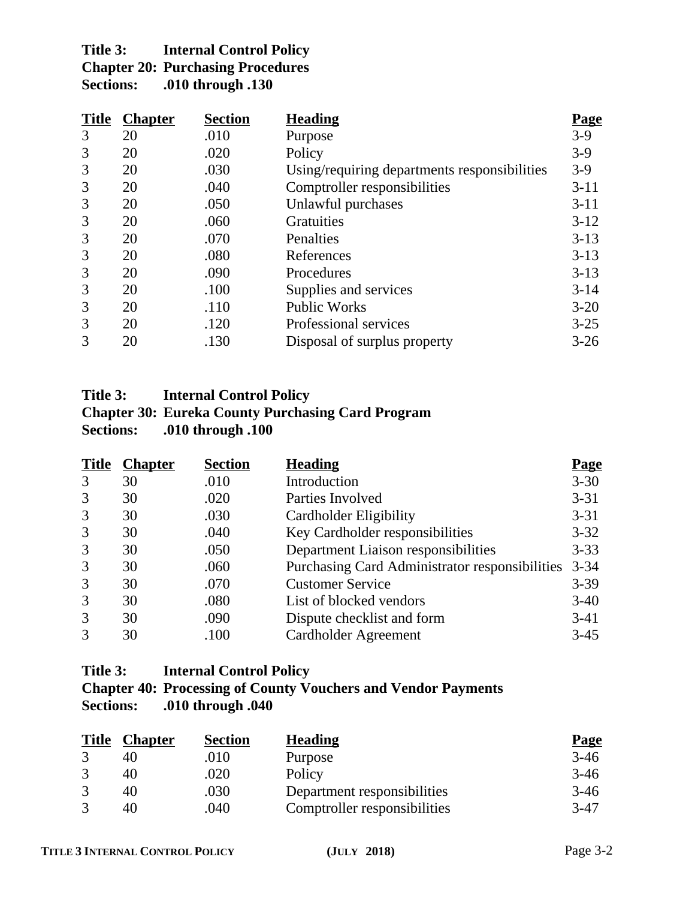# **Title 3: Internal Control Policy Chapter 20: Purchasing Procedures<br>Sections: .010 through .130 Sections: .010 through .130**

| <b>Title</b> | <b>Chapter</b> | <b>Section</b> | <b>Heading</b>                               | <u>Page</u> |
|--------------|----------------|----------------|----------------------------------------------|-------------|
| 3            | 20             | .010           | Purpose                                      | $3-9$       |
| 3            | 20             | .020           | Policy                                       | $3-9$       |
| 3            | 20             | .030           | Using/requiring departments responsibilities | $3-9$       |
| 3            | 20             | .040           | Comptroller responsibilities                 | $3 - 11$    |
| 3            | 20             | .050           | Unlawful purchases                           | $3 - 11$    |
| 3            | 20             | .060           | <b>Gratuities</b>                            | $3-12$      |
| 3            | 20             | .070           | Penalties                                    | $3 - 13$    |
| 3            | 20             | .080           | References                                   | $3-13$      |
| 3            | 20             | .090           | Procedures                                   | $3 - 13$    |
| 3            | 20             | .100           | Supplies and services                        | $3 - 14$    |
| 3            | 20             | .110           | <b>Public Works</b>                          | $3 - 20$    |
| 3            | 20             | .120           | Professional services                        | $3 - 25$    |
| 3            | 20             | .130           | Disposal of surplus property                 | $3 - 26$    |

# **Title 3: Internal Control Policy**

# **Chapter 30: Eureka County Purchasing Card Program Sections: .010 through .100**

| <b>Title</b> | <b>Chapter</b> | <b>Section</b> | <b>Heading</b>                                 | <b>Page</b> |
|--------------|----------------|----------------|------------------------------------------------|-------------|
| 3            | 30             | .010           | Introduction                                   | $3 - 30$    |
| 3            | 30             | .020           | Parties Involved                               | $3 - 31$    |
| 3            | 30             | .030           | Cardholder Eligibility                         | $3 - 31$    |
| 3            | 30             | .040           | Key Cardholder responsibilities                | $3 - 32$    |
| 3            | 30             | .050           | Department Liaison responsibilities            | $3 - 33$    |
| 3            | 30             | .060           | Purchasing Card Administrator responsibilities | $3 - 34$    |
| 3            | 30             | .070           | <b>Customer Service</b>                        | $3 - 39$    |
| 3            | 30             | .080           | List of blocked vendors                        | $3-40$      |
| 3            | 30             | .090           | Dispute checklist and form                     | $3-41$      |
| 3            | 30             | .100           | <b>Cardholder Agreement</b>                    | $3-45$      |

# **Title 3: Internal Control Policy**

# **Chapter 40: Processing of County Vouchers and Vendor Payments Sections: .010 through .040**

| <b>Title</b> | <b>Chapter</b> | <b>Section</b> | <b>Heading</b>               | <b>Page</b> |
|--------------|----------------|----------------|------------------------------|-------------|
|              | 40             | .010           | Purpose                      | $3-46$      |
|              | 40             | .020           | Policy                       | $3-46$      |
|              | 40             | .030           | Department responsibilities  | 3-46        |
|              | 40             | .040           | Comptroller responsibilities | $3-47$      |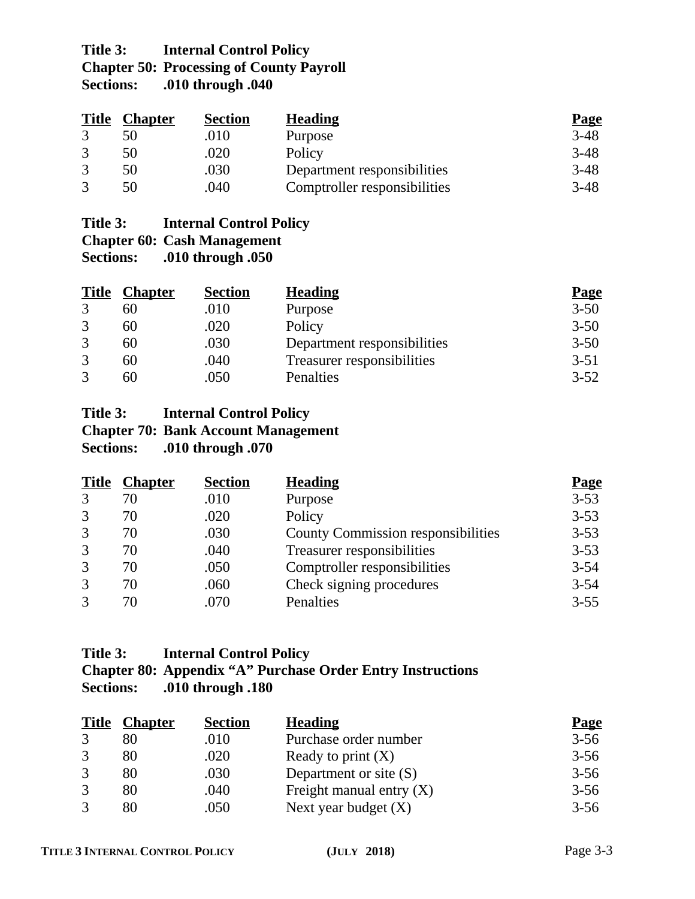# **Title 3: Internal Control Policy Chapter 50: Processing of County Payroll Sections: .010 through .040**

| <b>Title</b> | <b>Chapter</b> | <b>Section</b> | <b>Heading</b>               | <b>Page</b> |
|--------------|----------------|----------------|------------------------------|-------------|
|              |                | .010           | Purpose                      | $3-48$      |
|              | 50             | .020           | Policy                       | $3-48$      |
|              | 50             | .030           | Department responsibilities  | $3-48$      |
|              | 50             | .040           | Comptroller responsibilities | $3-48$      |

# **Title 3: Internal Control Policy**

**Chapter 60: Cash Management Sections: .010 through .050**

| <b>Title</b>      | <b>Chapter</b> | <b>Section</b> | <b>Heading</b>              | <b>Page</b> |
|-------------------|----------------|----------------|-----------------------------|-------------|
| 3                 | 60             | .010           | Purpose                     | $3 - 50$    |
| 3                 | 60             | .020           | Policy                      | $3 - 50$    |
| 3                 | 60             | .030           | Department responsibilities | $3 - 50$    |
| 3                 | 60             | .040           | Treasurer responsibilities  | $3 - 51$    |
| $\mathbf{\Omega}$ | 60             | .050           | Penalties                   | $3 - 52$    |

# **Title 3: Internal Control Policy Chapter 70: Bank Account Management Sections: .010 through .070**

| <b>Title</b> | <b>Chapter</b> | <b>Section</b> | <b>Heading</b>                            | <b>Page</b> |
|--------------|----------------|----------------|-------------------------------------------|-------------|
| 3            | 70             | .010           | Purpose                                   | $3 - 53$    |
| 3            | 70             | .020           | Policy                                    | $3 - 53$    |
| 3            | 70             | .030           | <b>County Commission responsibilities</b> | $3 - 53$    |
| 3            | 70             | .040           | Treasurer responsibilities                | $3 - 53$    |
| 3            | 70             | .050           | Comptroller responsibilities              | $3 - 54$    |
| 3            | 70             | .060           | Check signing procedures                  | $3 - 54$    |
| 3            | 70             | .070           | Penalties                                 | $3 - 55$    |

# **Title 3: Internal Control Policy Chapter 80: Appendix "A" Purchase Order Entry Instructions Sections: .010 through .180**

| <b>Title</b> | <b>Chapter</b> | <b>Section</b> | <b>Heading</b>             | <b>Page</b> |
|--------------|----------------|----------------|----------------------------|-------------|
|              |                | .010           | Purchase order number      | $3 - 56$    |
|              | 80             | .020           | Ready to print $(X)$       | $3 - 56$    |
| 3            | 80             | .030           | Department or site $(S)$   | $3 - 56$    |
| 3            | 80             | .040           | Freight manual entry $(X)$ | $3 - 56$    |
| $\mathbf{R}$ | 80             | .050           | Next year budget $(X)$     | $3 - 56$    |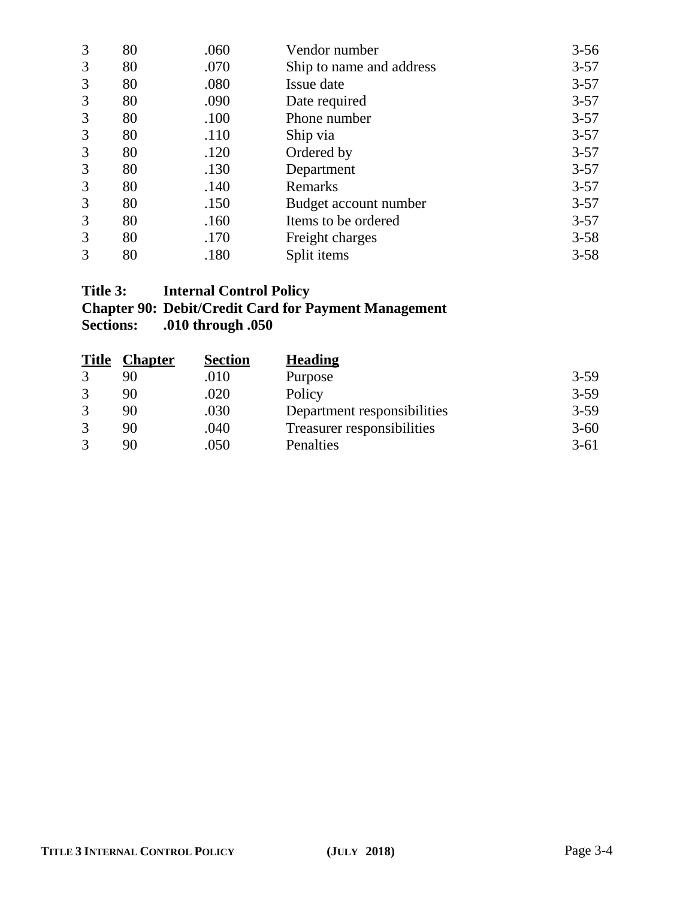| 3 | 80 | .060 | Vendor number            | $3 - 56$ |
|---|----|------|--------------------------|----------|
| 3 | 80 | .070 | Ship to name and address | $3 - 57$ |
| 3 | 80 | .080 | Issue date               | $3 - 57$ |
| 3 | 80 | .090 | Date required            | $3 - 57$ |
| 3 | 80 | .100 | Phone number             | $3 - 57$ |
| 3 | 80 | .110 | Ship via                 | $3 - 57$ |
| 3 | 80 | .120 | Ordered by               | $3 - 57$ |
| 3 | 80 | .130 | Department               | $3 - 57$ |
| 3 | 80 | .140 | Remarks                  | $3 - 57$ |
| 3 | 80 | .150 | Budget account number    | $3 - 57$ |
| 3 | 80 | .160 | Items to be ordered      | $3 - 57$ |
| 3 | 80 | .170 | Freight charges          | $3 - 58$ |
| 3 | 80 | .180 | Split items              | $3 - 58$ |

# **Title 3: Internal Control Policy**

# **Chapter 90: Debit/Credit Card for Payment Management Sections: .010 through .050**

| <b>Title</b>      | <b>Chapter</b> | <b>Section</b> | <b>Heading</b>              |          |
|-------------------|----------------|----------------|-----------------------------|----------|
| 3                 | 90             | .010           | Purpose                     | $3 - 59$ |
| 3                 | 90             | .020           | Policy                      | $3 - 59$ |
|                   | 90             | .030           | Department responsibilities | $3 - 59$ |
| 3                 | 90             | .040           | Treasurer responsibilities  | $3 - 60$ |
| $\mathbf{\Omega}$ | 90             | .050           | Penalties                   | $3-61$   |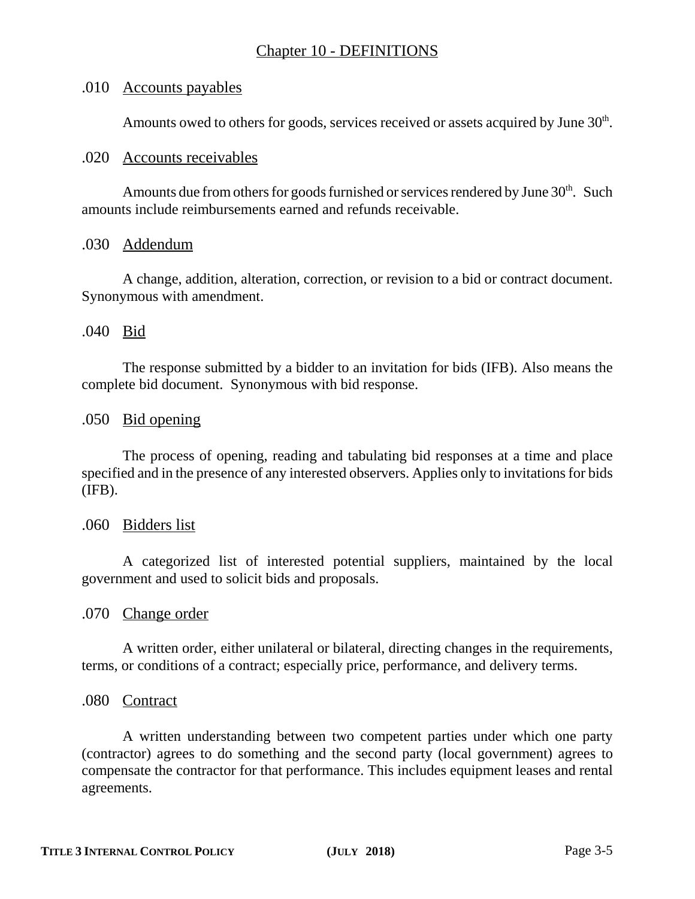## .010 Accounts payables

Amounts owed to others for goods, services received or assets acquired by June  $30<sup>th</sup>$ .

### .020 Accounts receivables

Amounts due from others for goods furnished or services rendered by June 30<sup>th</sup>. Such amounts include reimbursements earned and refunds receivable.

#### .030 Addendum

A change, addition, alteration, correction, or revision to a bid or contract document. Synonymous with amendment.

# .040 Bid

The response submitted by a bidder to an invitation for bids (IFB). Also means the complete bid document. Synonymous with bid response.

# .050 Bid opening

The process of opening, reading and tabulating bid responses at a time and place specified and in the presence of any interested observers. Applies only to invitations for bids (IFB).

#### .060 Bidders list

A categorized list of interested potential suppliers, maintained by the local government and used to solicit bids and proposals.

#### .070 Change order

A written order, either unilateral or bilateral, directing changes in the requirements, terms, or conditions of a contract; especially price, performance, and delivery terms.

#### .080 Contract

A written understanding between two competent parties under which one party (contractor) agrees to do something and the second party (local government) agrees to compensate the contractor for that performance. This includes equipment leases and rental agreements.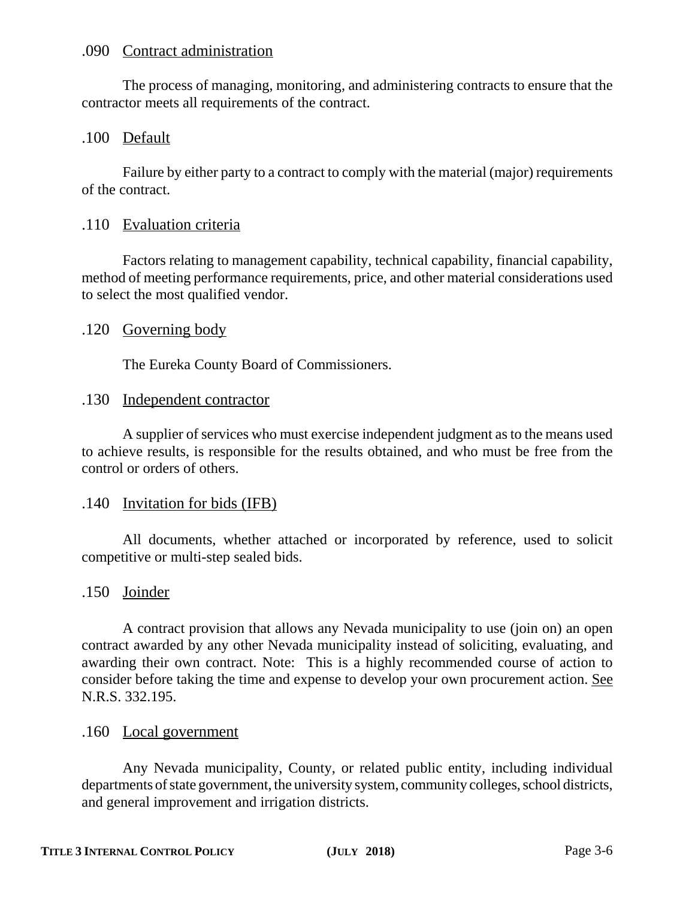#### .090 Contract administration

The process of managing, monitoring, and administering contracts to ensure that the contractor meets all requirements of the contract.

# .100 Default

Failure by either party to a contract to comply with the material (major) requirements of the contract.

#### .110 Evaluation criteria

Factors relating to management capability, technical capability, financial capability, method of meeting performance requirements, price, and other material considerations used to select the most qualified vendor.

# .120 Governing body

The Eureka County Board of Commissioners.

# .130 Independent contractor

A supplier of services who must exercise independent judgment as to the means used to achieve results, is responsible for the results obtained, and who must be free from the control or orders of others.

#### .140 Invitation for bids (IFB)

All documents, whether attached or incorporated by reference, used to solicit competitive or multi-step sealed bids.

#### .150 Joinder

A contract provision that allows any Nevada municipality to use (join on) an open contract awarded by any other Nevada municipality instead of soliciting, evaluating, and awarding their own contract. Note: This is a highly recommended course of action to consider before taking the time and expense to develop your own procurement action. See N.R.S. 332.195.

#### .160 Local government

Any Nevada municipality, County, or related public entity, including individual departments of state government, the university system, community colleges, school districts, and general improvement and irrigation districts.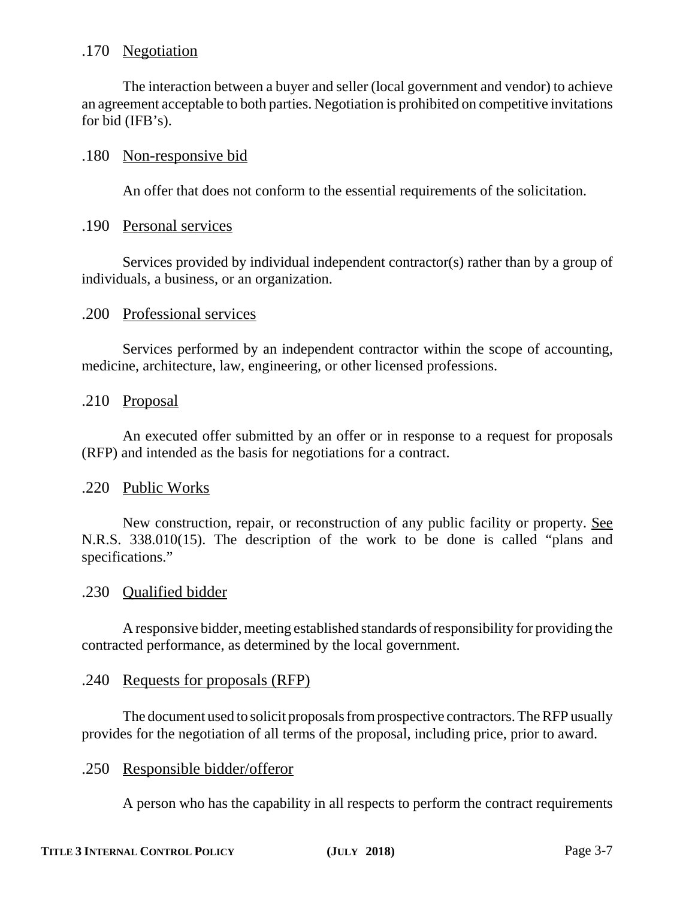# .170 Negotiation

The interaction between a buyer and seller (local government and vendor) to achieve an agreement acceptable to both parties. Negotiation is prohibited on competitive invitations for bid (IFB's).

### .180 Non-responsive bid

An offer that does not conform to the essential requirements of the solicitation.

#### .190 Personal services

Services provided by individual independent contractor(s) rather than by a group of individuals, a business, or an organization.

#### .200 Professional services

Services performed by an independent contractor within the scope of accounting, medicine, architecture, law, engineering, or other licensed professions.

# .210 Proposal

An executed offer submitted by an offer or in response to a request for proposals (RFP) and intended as the basis for negotiations for a contract.

#### .220 Public Works

New construction, repair, or reconstruction of any public facility or property. See N.R.S. 338.010(15). The description of the work to be done is called "plans and specifications."

#### .230 Qualified bidder

A responsive bidder, meeting established standards of responsibility for providing the contracted performance, as determined by the local government.

#### .240 Requests for proposals (RFP)

The document used to solicit proposals from prospective contractors. The RFP usually provides for the negotiation of all terms of the proposal, including price, prior to award.

#### .250 Responsible bidder/offeror

A person who has the capability in all respects to perform the contract requirements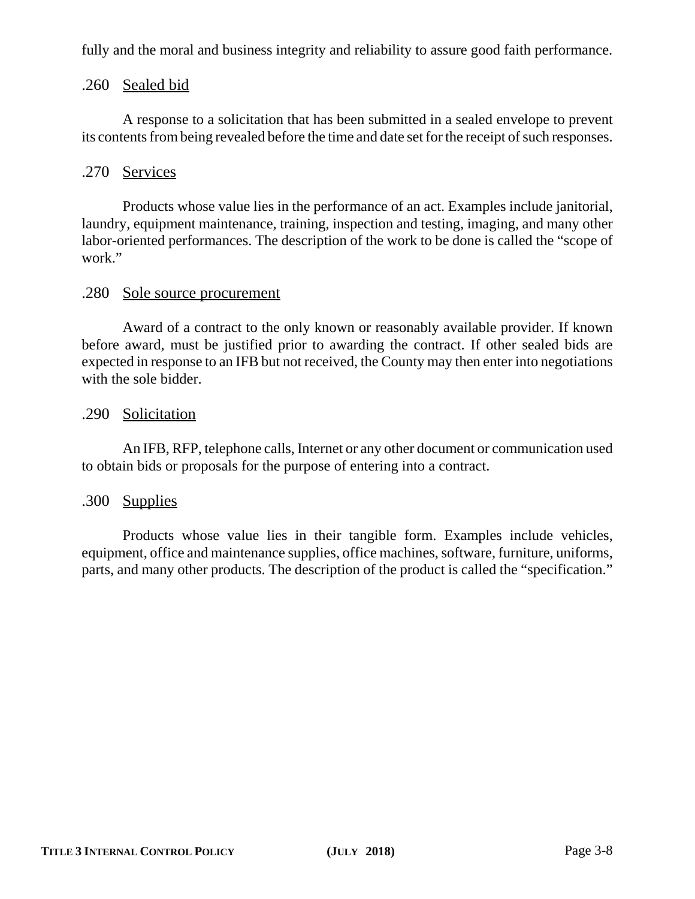fully and the moral and business integrity and reliability to assure good faith performance.

# .260 Sealed bid

A response to a solicitation that has been submitted in a sealed envelope to prevent its contents from being revealed before the time and date set for the receipt of such responses.

# .270 Services

Products whose value lies in the performance of an act. Examples include janitorial, laundry, equipment maintenance, training, inspection and testing, imaging, and many other labor-oriented performances. The description of the work to be done is called the "scope of work."

# .280 Sole source procurement

Award of a contract to the only known or reasonably available provider. If known before award, must be justified prior to awarding the contract. If other sealed bids are expected in response to an IFB but not received, the County may then enter into negotiations with the sole bidder.

# .290 Solicitation

An IFB, RFP, telephone calls, Internet or any other document or communication used to obtain bids or proposals for the purpose of entering into a contract.

#### .300 Supplies

Products whose value lies in their tangible form. Examples include vehicles, equipment, office and maintenance supplies, office machines, software, furniture, uniforms, parts, and many other products. The description of the product is called the "specification."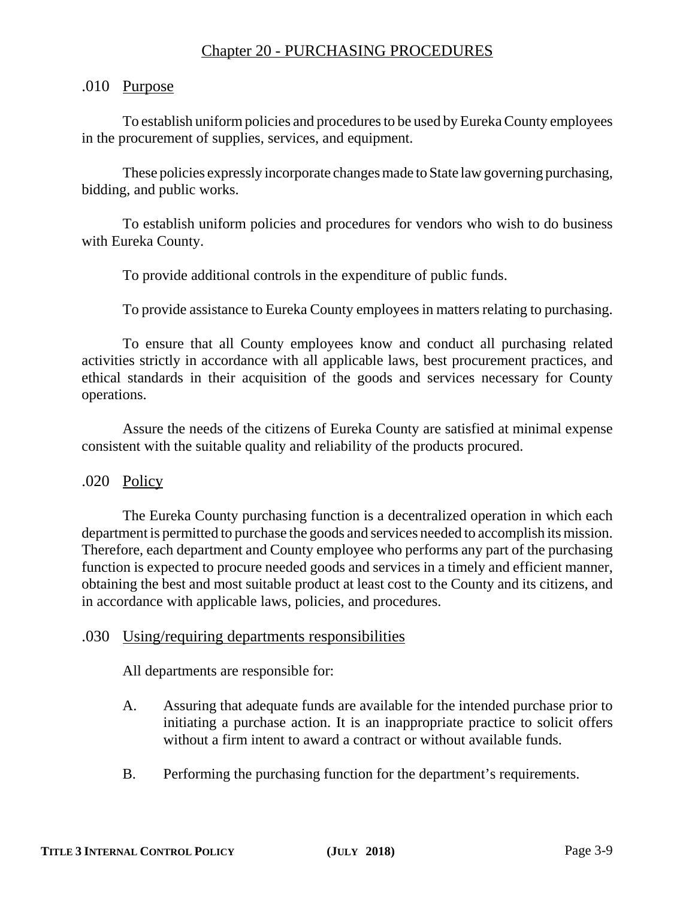# Chapter 20 - PURCHASING PROCEDURES

## .010 Purpose

To establish uniform policies and procedures to be used by Eureka County employees in the procurement of supplies, services, and equipment.

These policies expressly incorporate changes made to State law governing purchasing, bidding, and public works.

To establish uniform policies and procedures for vendors who wish to do business with Eureka County.

To provide additional controls in the expenditure of public funds.

To provide assistance to Eureka County employees in matters relating to purchasing.

To ensure that all County employees know and conduct all purchasing related activities strictly in accordance with all applicable laws, best procurement practices, and ethical standards in their acquisition of the goods and services necessary for County operations.

Assure the needs of the citizens of Eureka County are satisfied at minimal expense consistent with the suitable quality and reliability of the products procured.

.020 Policy

The Eureka County purchasing function is a decentralized operation in which each department is permitted to purchase the goods and services needed to accomplish its mission. Therefore, each department and County employee who performs any part of the purchasing function is expected to procure needed goods and services in a timely and efficient manner, obtaining the best and most suitable product at least cost to the County and its citizens, and in accordance with applicable laws, policies, and procedures.

#### .030 Using/requiring departments responsibilities

All departments are responsible for:

- A. Assuring that adequate funds are available for the intended purchase prior to initiating a purchase action. It is an inappropriate practice to solicit offers without a firm intent to award a contract or without available funds.
- B. Performing the purchasing function for the department's requirements.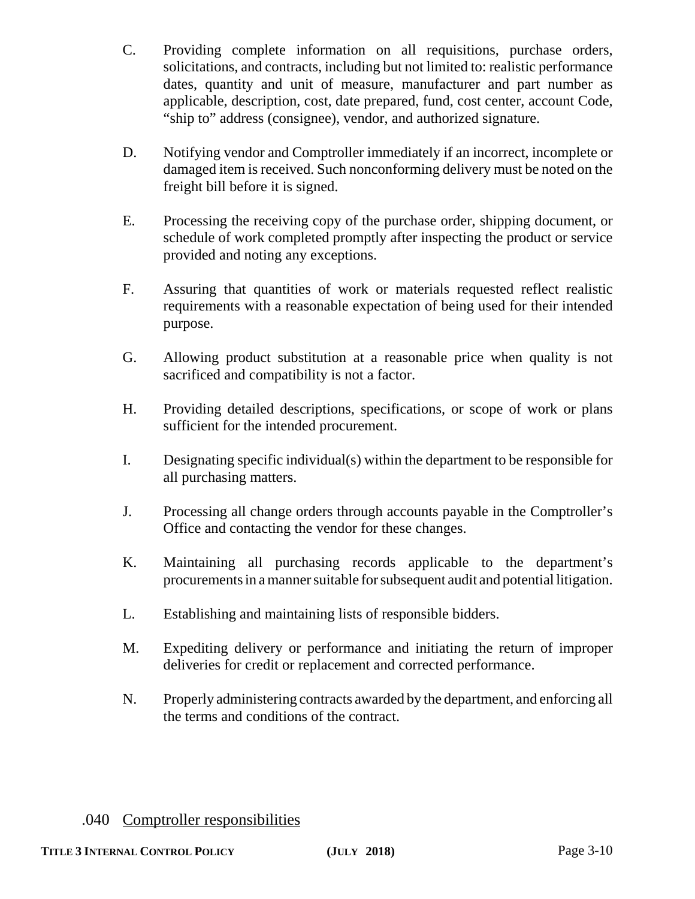- C. Providing complete information on all requisitions, purchase orders, solicitations, and contracts, including but not limited to: realistic performance dates, quantity and unit of measure, manufacturer and part number as applicable, description, cost, date prepared, fund, cost center, account Code, "ship to" address (consignee), vendor, and authorized signature.
- D. Notifying vendor and Comptroller immediately if an incorrect, incomplete or damaged item is received. Such nonconforming delivery must be noted on the freight bill before it is signed.
- E. Processing the receiving copy of the purchase order, shipping document, or schedule of work completed promptly after inspecting the product or service provided and noting any exceptions.
- F. Assuring that quantities of work or materials requested reflect realistic requirements with a reasonable expectation of being used for their intended purpose.
- G. Allowing product substitution at a reasonable price when quality is not sacrificed and compatibility is not a factor.
- H. Providing detailed descriptions, specifications, or scope of work or plans sufficient for the intended procurement.
- I. Designating specific individual(s) within the department to be responsible for all purchasing matters.
- J. Processing all change orders through accounts payable in the Comptroller's Office and contacting the vendor for these changes.
- K. Maintaining all purchasing records applicable to the department's procurements in a manner suitable for subsequent audit and potential litigation.
- L. Establishing and maintaining lists of responsible bidders.
- M. Expediting delivery or performance and initiating the return of improper deliveries for credit or replacement and corrected performance.
- N. Properly administering contracts awarded by the department, and enforcing all the terms and conditions of the contract.

# .040 Comptroller responsibilities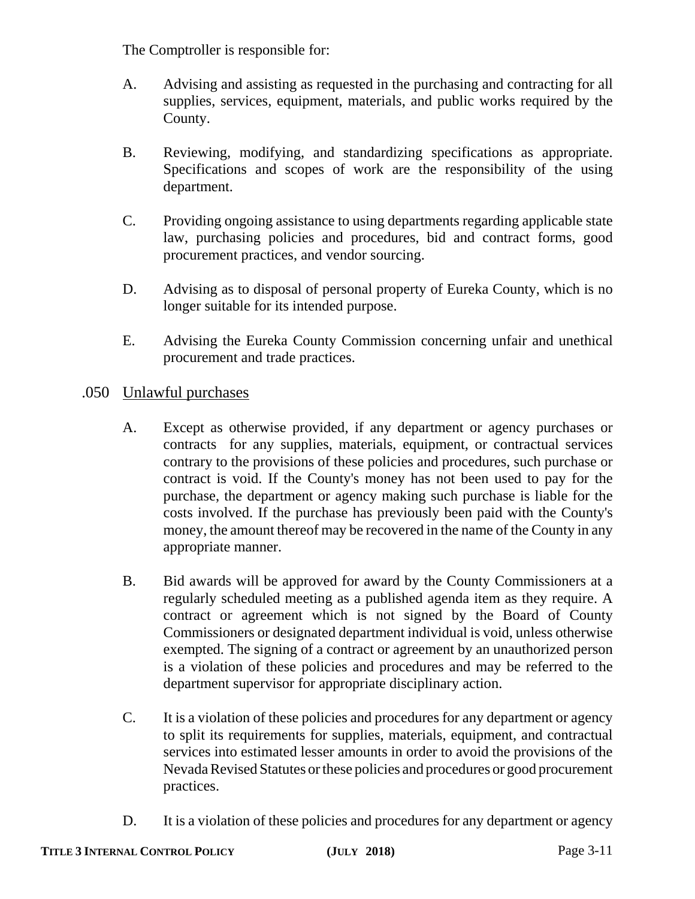The Comptroller is responsible for:

- A. Advising and assisting as requested in the purchasing and contracting for all supplies, services, equipment, materials, and public works required by the County.
- B. Reviewing, modifying, and standardizing specifications as appropriate. Specifications and scopes of work are the responsibility of the using department.
- C. Providing ongoing assistance to using departments regarding applicable state law, purchasing policies and procedures, bid and contract forms, good procurement practices, and vendor sourcing.
- D. Advising as to disposal of personal property of Eureka County, which is no longer suitable for its intended purpose.
- E. Advising the Eureka County Commission concerning unfair and unethical procurement and trade practices.

# .050 Unlawful purchases

- A. Except as otherwise provided, if any department or agency purchases or contracts for any supplies, materials, equipment, or contractual services contrary to the provisions of these policies and procedures, such purchase or contract is void. If the County's money has not been used to pay for the purchase, the department or agency making such purchase is liable for the costs involved. If the purchase has previously been paid with the County's money, the amount thereof may be recovered in the name of the County in any appropriate manner.
- B. Bid awards will be approved for award by the County Commissioners at a regularly scheduled meeting as a published agenda item as they require. A contract or agreement which is not signed by the Board of County Commissioners or designated department individual is void, unless otherwise exempted. The signing of a contract or agreement by an unauthorized person is a violation of these policies and procedures and may be referred to the department supervisor for appropriate disciplinary action.
- C. It is a violation of these policies and procedures for any department or agency to split its requirements for supplies, materials, equipment, and contractual services into estimated lesser amounts in order to avoid the provisions of the Nevada Revised Statutes or these policies and procedures or good procurement practices.
- D. It is a violation of these policies and procedures for any department or agency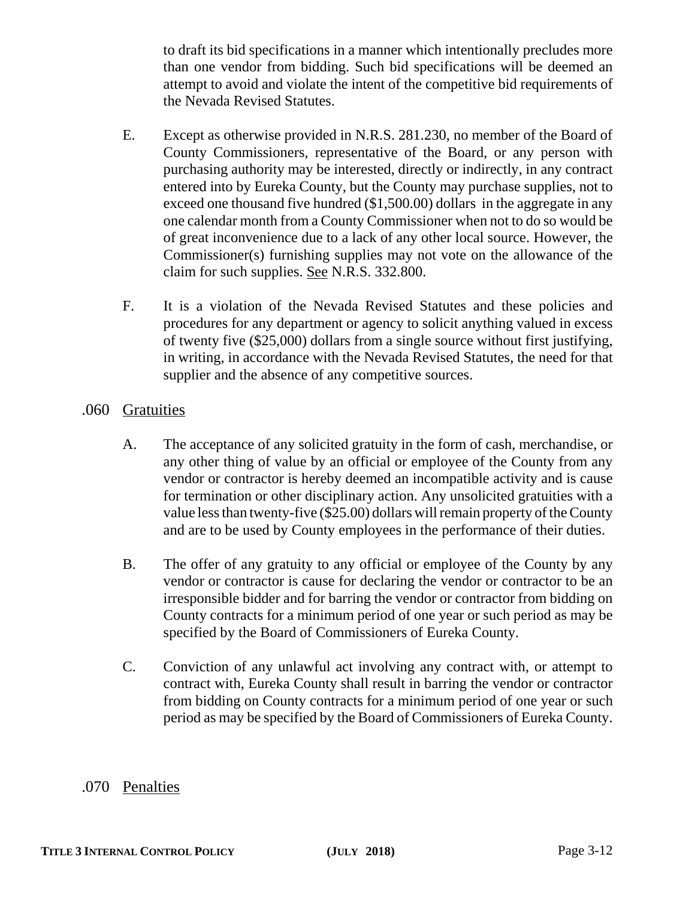to draft its bid specifications in a manner which intentionally precludes more than one vendor from bidding. Such bid specifications will be deemed an attempt to avoid and violate the intent of the competitive bid requirements of the Nevada Revised Statutes.

- E. Except as otherwise provided in N.R.S. 281.230, no member of the Board of County Commissioners, representative of the Board, or any person with purchasing authority may be interested, directly or indirectly, in any contract entered into by Eureka County, but the County may purchase supplies, not to exceed one thousand five hundred (\$1,500.00) dollars in the aggregate in any one calendar month from a County Commissioner when not to do so would be of great inconvenience due to a lack of any other local source. However, the Commissioner(s) furnishing supplies may not vote on the allowance of the claim for such supplies. See N.R.S. 332.800.
- F. It is a violation of the Nevada Revised Statutes and these policies and procedures for any department or agency to solicit anything valued in excess of twenty five (\$25,000) dollars from a single source without first justifying, in writing, in accordance with the Nevada Revised Statutes, the need for that supplier and the absence of any competitive sources.

# .060 Gratuities

- A. The acceptance of any solicited gratuity in the form of cash, merchandise, or any other thing of value by an official or employee of the County from any vendor or contractor is hereby deemed an incompatible activity and is cause for termination or other disciplinary action. Any unsolicited gratuities with a value less than twenty-five (\$25.00) dollars will remain property of the County and are to be used by County employees in the performance of their duties.
- B. The offer of any gratuity to any official or employee of the County by any vendor or contractor is cause for declaring the vendor or contractor to be an irresponsible bidder and for barring the vendor or contractor from bidding on County contracts for a minimum period of one year or such period as may be specified by the Board of Commissioners of Eureka County.
- C. Conviction of any unlawful act involving any contract with, or attempt to contract with, Eureka County shall result in barring the vendor or contractor from bidding on County contracts for a minimum period of one year or such period as may be specified by the Board of Commissioners of Eureka County.

# .070 Penalties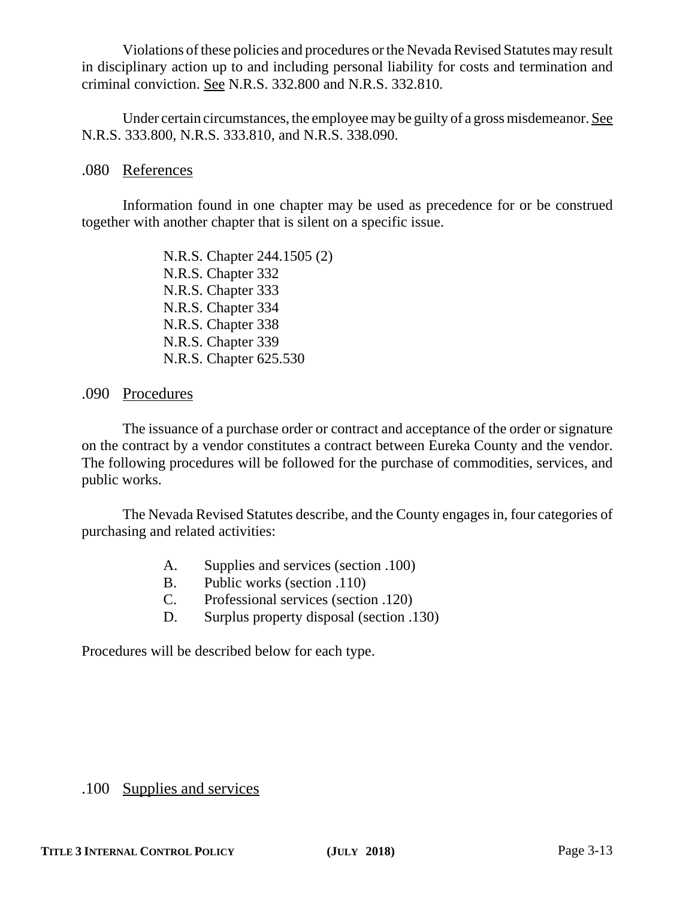Violations of these policies and procedures or the Nevada Revised Statutes may result in disciplinary action up to and including personal liability for costs and termination and criminal conviction. See N.R.S. 332.800 and N.R.S. 332.810.

Under certain circumstances, the employee may be guilty of a gross misdemeanor. See N.R.S. 333.800, N.R.S. 333.810, and N.R.S. 338.090.

### .080 References

Information found in one chapter may be used as precedence for or be construed together with another chapter that is silent on a specific issue.

> N.R.S. Chapter 244.1505 (2) N.R.S. Chapter 332 N.R.S. Chapter 333 N.R.S. Chapter 334 N.R.S. Chapter 338 N.R.S. Chapter 339 N.R.S. Chapter 625.530

# .090 Procedures

The issuance of a purchase order or contract and acceptance of the order or signature on the contract by a vendor constitutes a contract between Eureka County and the vendor. The following procedures will be followed for the purchase of commodities, services, and public works.

The Nevada Revised Statutes describe, and the County engages in, four categories of purchasing and related activities:

- A. Supplies and services (section .100)
- B. Public works (section .110)
- C. Professional services (section .120)
- D. Surplus property disposal (section .130)

Procedures will be described below for each type.

# .100 Supplies and services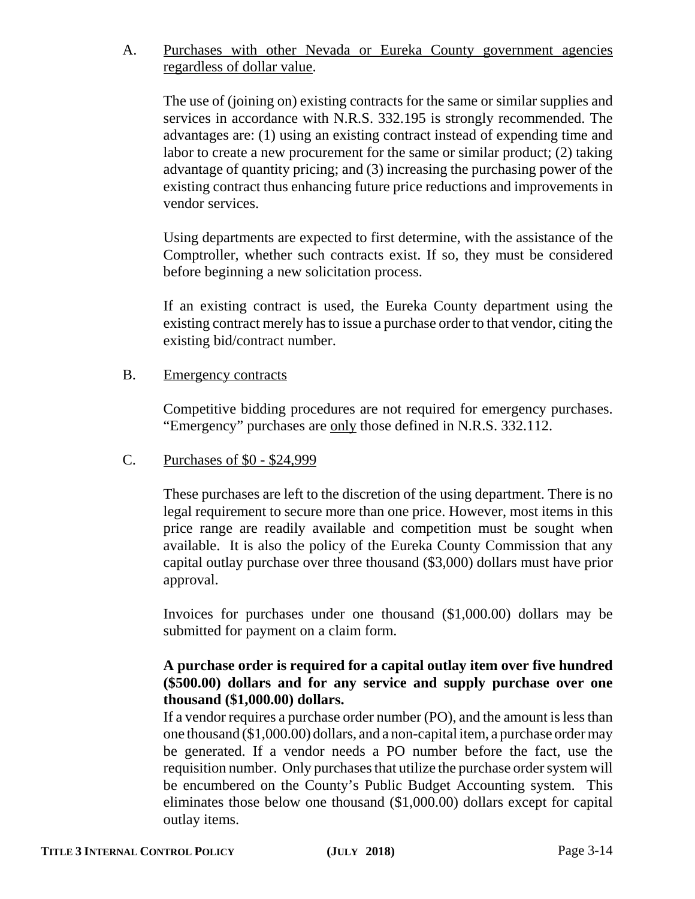# A. Purchases with other Nevada or Eureka County government agencies regardless of dollar value.

The use of (joining on) existing contracts for the same or similar supplies and services in accordance with N.R.S. 332.195 is strongly recommended. The advantages are: (1) using an existing contract instead of expending time and labor to create a new procurement for the same or similar product; (2) taking advantage of quantity pricing; and (3) increasing the purchasing power of the existing contract thus enhancing future price reductions and improvements in vendor services.

Using departments are expected to first determine, with the assistance of the Comptroller, whether such contracts exist. If so, they must be considered before beginning a new solicitation process.

If an existing contract is used, the Eureka County department using the existing contract merely has to issue a purchase order to that vendor, citing the existing bid/contract number.

#### B. Emergency contracts

Competitive bidding procedures are not required for emergency purchases. "Emergency" purchases are only those defined in N.R.S. 332.112.

# C. Purchases of \$0 - \$24,999

These purchases are left to the discretion of the using department. There is no legal requirement to secure more than one price. However, most items in this price range are readily available and competition must be sought when available. It is also the policy of the Eureka County Commission that any capital outlay purchase over three thousand (\$3,000) dollars must have prior approval.

Invoices for purchases under one thousand (\$1,000.00) dollars may be submitted for payment on a claim form.

# **A purchase order is required for a capital outlay item over five hundred (\$500.00) dollars and for any service and supply purchase over one thousand (\$1,000.00) dollars.**

If a vendor requires a purchase order number (PO), and the amount is less than one thousand (\$1,000.00) dollars, and a non-capital item, a purchase order may be generated. If a vendor needs a PO number before the fact, use the requisition number. Only purchases that utilize the purchase order system will be encumbered on the County's Public Budget Accounting system. This eliminates those below one thousand (\$1,000.00) dollars except for capital outlay items.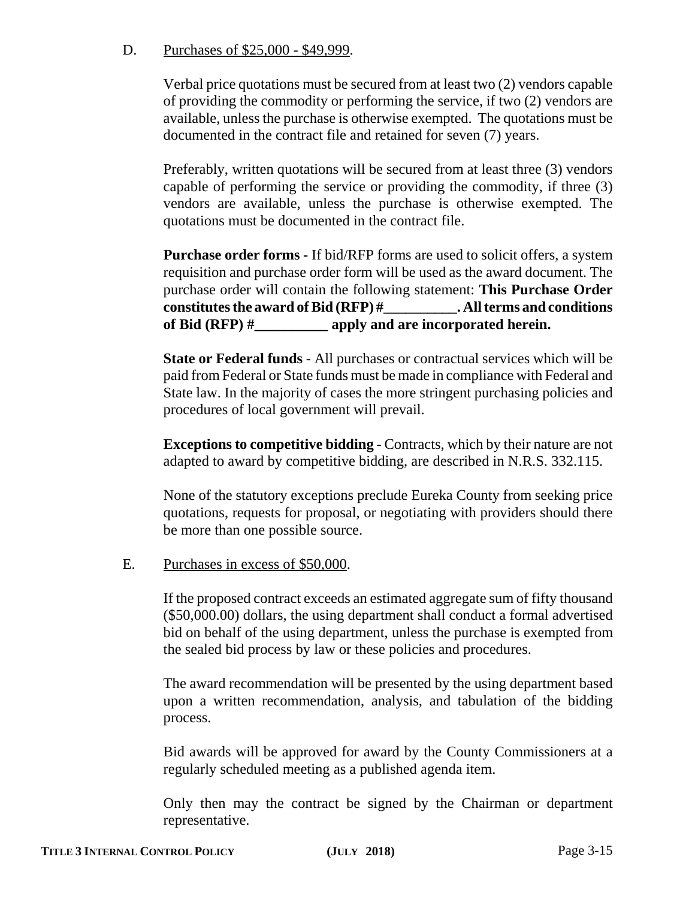# D. Purchases of \$25,000 - \$49,999.

Verbal price quotations must be secured from at least two (2) vendors capable of providing the commodity or performing the service, if two (2) vendors are available, unless the purchase is otherwise exempted. The quotations must be documented in the contract file and retained for seven (7) years.

Preferably, written quotations will be secured from at least three (3) vendors capable of performing the service or providing the commodity, if three (3) vendors are available, unless the purchase is otherwise exempted. The quotations must be documented in the contract file.

**Purchase order forms -** If bid/RFP forms are used to solicit offers, a system requisition and purchase order form will be used as the award document. The purchase order will contain the following statement: **This Purchase Order constitutes the award of Bid (RFP) #\_\_\_\_\_\_\_\_\_\_. All terms and conditions of Bid (RFP) #\_\_\_\_\_\_\_\_\_\_ apply and are incorporated herein.**

**State or Federal funds** - All purchases or contractual services which will be paid from Federal or State funds must be made in compliance with Federal and State law. In the majority of cases the more stringent purchasing policies and procedures of local government will prevail.

**Exceptions to competitive bidding** - Contracts, which by their nature are not adapted to award by competitive bidding, are described in N.R.S. 332.115.

None of the statutory exceptions preclude Eureka County from seeking price quotations, requests for proposal, or negotiating with providers should there be more than one possible source.

# E. Purchases in excess of \$50,000.

If the proposed contract exceeds an estimated aggregate sum of fifty thousand (\$50,000.00) dollars, the using department shall conduct a formal advertised bid on behalf of the using department, unless the purchase is exempted from the sealed bid process by law or these policies and procedures.

The award recommendation will be presented by the using department based upon a written recommendation, analysis, and tabulation of the bidding process.

Bid awards will be approved for award by the County Commissioners at a regularly scheduled meeting as a published agenda item.

Only then may the contract be signed by the Chairman or department representative.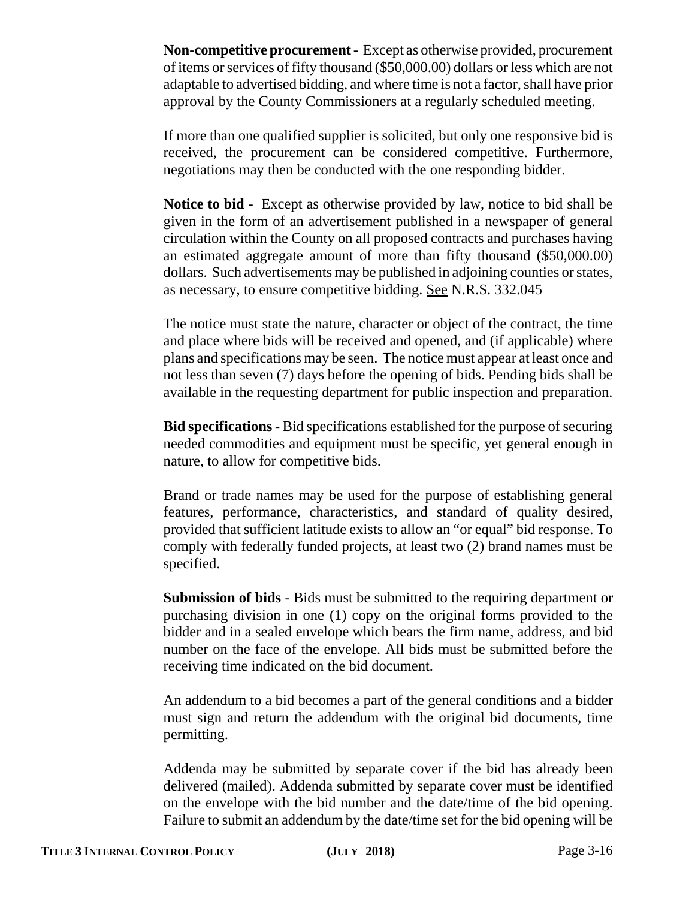**Non-competitive procurement** - Except as otherwise provided, procurement of items or services of fifty thousand (\$50,000.00) dollars or less which are not adaptable to advertised bidding, and where time is not a factor, shall have prior approval by the County Commissioners at a regularly scheduled meeting.

If more than one qualified supplier is solicited, but only one responsive bid is received, the procurement can be considered competitive. Furthermore, negotiations may then be conducted with the one responding bidder.

**Notice to bid** - Except as otherwise provided by law, notice to bid shall be given in the form of an advertisement published in a newspaper of general circulation within the County on all proposed contracts and purchases having an estimated aggregate amount of more than fifty thousand (\$50,000.00) dollars. Such advertisements may be published in adjoining counties or states, as necessary, to ensure competitive bidding. See N.R.S. 332.045

The notice must state the nature, character or object of the contract, the time and place where bids will be received and opened, and (if applicable) where plans and specifications may be seen. The notice must appear at least once and not less than seven (7) days before the opening of bids. Pending bids shall be available in the requesting department for public inspection and preparation.

**Bid specifications** - Bid specifications established for the purpose of securing needed commodities and equipment must be specific, yet general enough in nature, to allow for competitive bids.

Brand or trade names may be used for the purpose of establishing general features, performance, characteristics, and standard of quality desired, provided that sufficient latitude exists to allow an "or equal" bid response. To comply with federally funded projects, at least two (2) brand names must be specified.

**Submission of bids** - Bids must be submitted to the requiring department or purchasing division in one (1) copy on the original forms provided to the bidder and in a sealed envelope which bears the firm name, address, and bid number on the face of the envelope. All bids must be submitted before the receiving time indicated on the bid document.

An addendum to a bid becomes a part of the general conditions and a bidder must sign and return the addendum with the original bid documents, time permitting.

Addenda may be submitted by separate cover if the bid has already been delivered (mailed). Addenda submitted by separate cover must be identified on the envelope with the bid number and the date/time of the bid opening. Failure to submit an addendum by the date/time set for the bid opening will be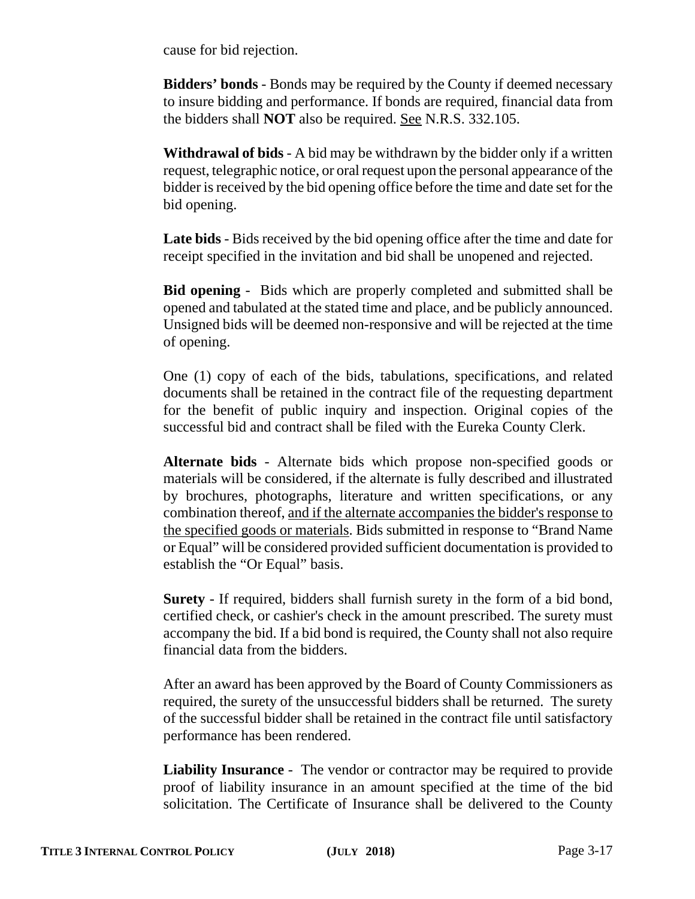cause for bid rejection.

**Bidders' bonds** - Bonds may be required by the County if deemed necessary to insure bidding and performance. If bonds are required, financial data from the bidders shall **NOT** also be required. See N.R.S. 332.105.

**Withdrawal of bids** - A bid may be withdrawn by the bidder only if a written request, telegraphic notice, or oral request upon the personal appearance of the bidder is received by the bid opening office before the time and date set for the bid opening.

**Late bids** - Bids received by the bid opening office after the time and date for receipt specified in the invitation and bid shall be unopened and rejected.

**Bid opening** - Bids which are properly completed and submitted shall be opened and tabulated at the stated time and place, and be publicly announced. Unsigned bids will be deemed non-responsive and will be rejected at the time of opening.

One (1) copy of each of the bids, tabulations, specifications, and related documents shall be retained in the contract file of the requesting department for the benefit of public inquiry and inspection. Original copies of the successful bid and contract shall be filed with the Eureka County Clerk.

**Alternate bids** - Alternate bids which propose non-specified goods or materials will be considered, if the alternate is fully described and illustrated by brochures, photographs, literature and written specifications, or any combination thereof, and if the alternate accompanies the bidder's response to the specified goods or materials. Bids submitted in response to "Brand Name or Equal" will be considered provided sufficient documentation is provided to establish the "Or Equal" basis.

**Surety** - If required, bidders shall furnish surety in the form of a bid bond, certified check, or cashier's check in the amount prescribed. The surety must accompany the bid. If a bid bond is required, the County shall not also require financial data from the bidders.

After an award has been approved by the Board of County Commissioners as required, the surety of the unsuccessful bidders shall be returned. The surety of the successful bidder shall be retained in the contract file until satisfactory performance has been rendered.

**Liability Insurance** - The vendor or contractor may be required to provide proof of liability insurance in an amount specified at the time of the bid solicitation. The Certificate of Insurance shall be delivered to the County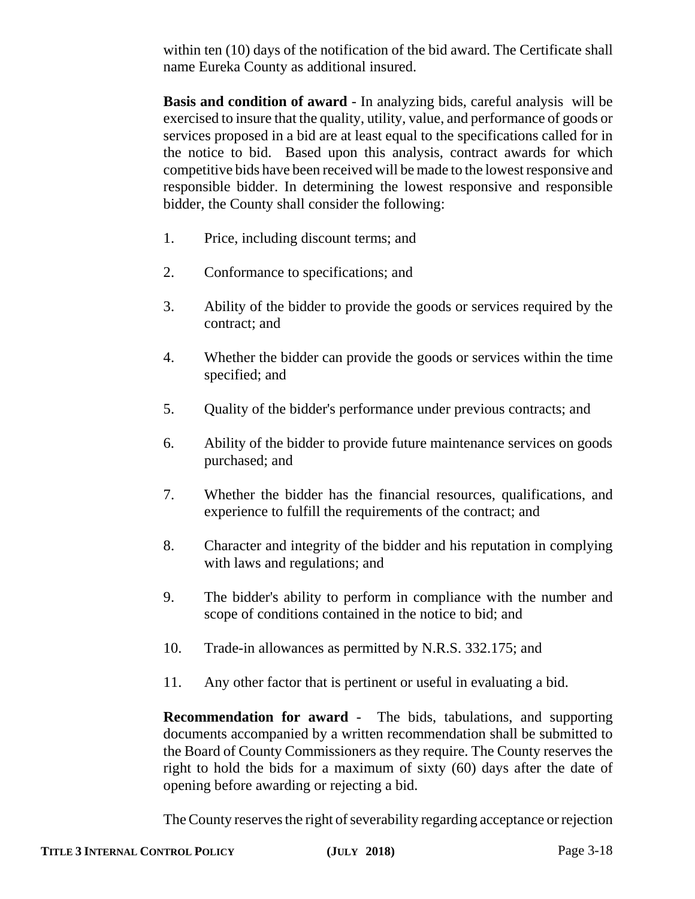within ten (10) days of the notification of the bid award. The Certificate shall name Eureka County as additional insured.

**Basis and condition of award** - In analyzing bids, careful analysis will be exercised to insure that the quality, utility, value, and performance of goods or services proposed in a bid are at least equal to the specifications called for in the notice to bid. Based upon this analysis, contract awards for which competitive bids have been received will be made to the lowest responsive and responsible bidder. In determining the lowest responsive and responsible bidder, the County shall consider the following:

- 1. Price, including discount terms; and
- 2. Conformance to specifications; and
- 3. Ability of the bidder to provide the goods or services required by the contract; and
- 4. Whether the bidder can provide the goods or services within the time specified; and
- 5. Quality of the bidder's performance under previous contracts; and
- 6. Ability of the bidder to provide future maintenance services on goods purchased; and
- 7. Whether the bidder has the financial resources, qualifications, and experience to fulfill the requirements of the contract; and
- 8. Character and integrity of the bidder and his reputation in complying with laws and regulations; and
- 9. The bidder's ability to perform in compliance with the number and scope of conditions contained in the notice to bid; and
- 10. Trade-in allowances as permitted by N.R.S. 332.175; and
- 11. Any other factor that is pertinent or useful in evaluating a bid.

**Recommendation for award** - The bids, tabulations, and supporting documents accompanied by a written recommendation shall be submitted to the Board of County Commissioners as they require. The County reserves the right to hold the bids for a maximum of sixty (60) days after the date of opening before awarding or rejecting a bid.

The County reserves the right of severability regarding acceptance or rejection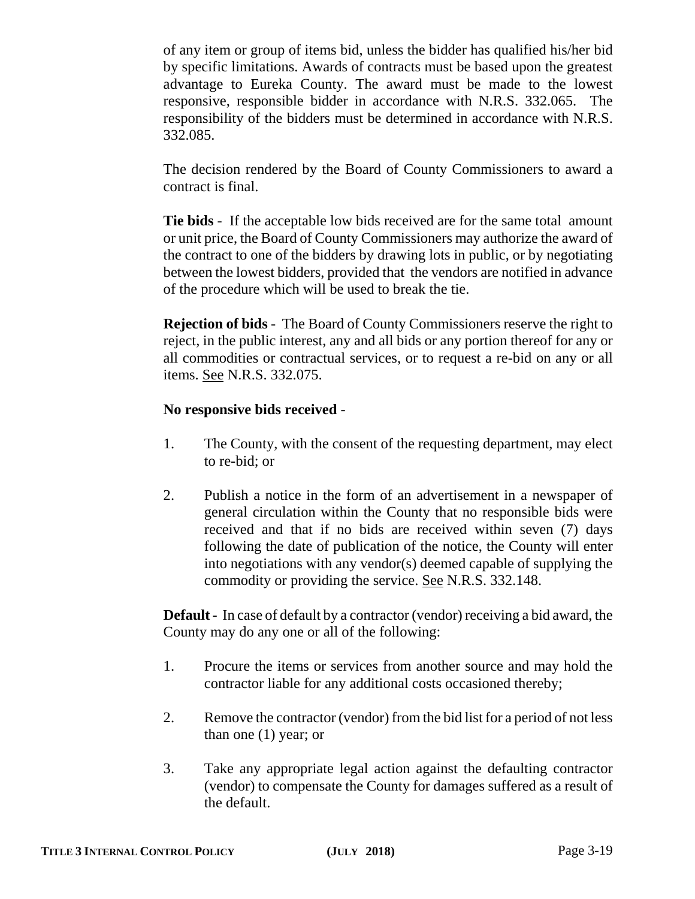of any item or group of items bid, unless the bidder has qualified his/her bid by specific limitations. Awards of contracts must be based upon the greatest advantage to Eureka County. The award must be made to the lowest responsive, responsible bidder in accordance with N.R.S. 332.065. The responsibility of the bidders must be determined in accordance with N.R.S. 332.085.

The decision rendered by the Board of County Commissioners to award a contract is final.

**Tie bids** - If the acceptable low bids received are for the same total amount or unit price, the Board of County Commissioners may authorize the award of the contract to one of the bidders by drawing lots in public, or by negotiating between the lowest bidders, provided that the vendors are notified in advance of the procedure which will be used to break the tie.

**Rejection of bids** - The Board of County Commissioners reserve the right to reject, in the public interest, any and all bids or any portion thereof for any or all commodities or contractual services, or to request a re-bid on any or all items. See N.R.S. 332.075.

# **No responsive bids received** -

- 1. The County, with the consent of the requesting department, may elect to re-bid; or
- 2. Publish a notice in the form of an advertisement in a newspaper of general circulation within the County that no responsible bids were received and that if no bids are received within seven (7) days following the date of publication of the notice, the County will enter into negotiations with any vendor(s) deemed capable of supplying the commodity or providing the service. See N.R.S. 332.148.

**Default** - In case of default by a contractor (vendor) receiving a bid award, the County may do any one or all of the following:

- 1. Procure the items or services from another source and may hold the contractor liable for any additional costs occasioned thereby;
- 2. Remove the contractor (vendor) from the bid list for a period of not less than one (1) year; or
- 3. Take any appropriate legal action against the defaulting contractor (vendor) to compensate the County for damages suffered as a result of the default.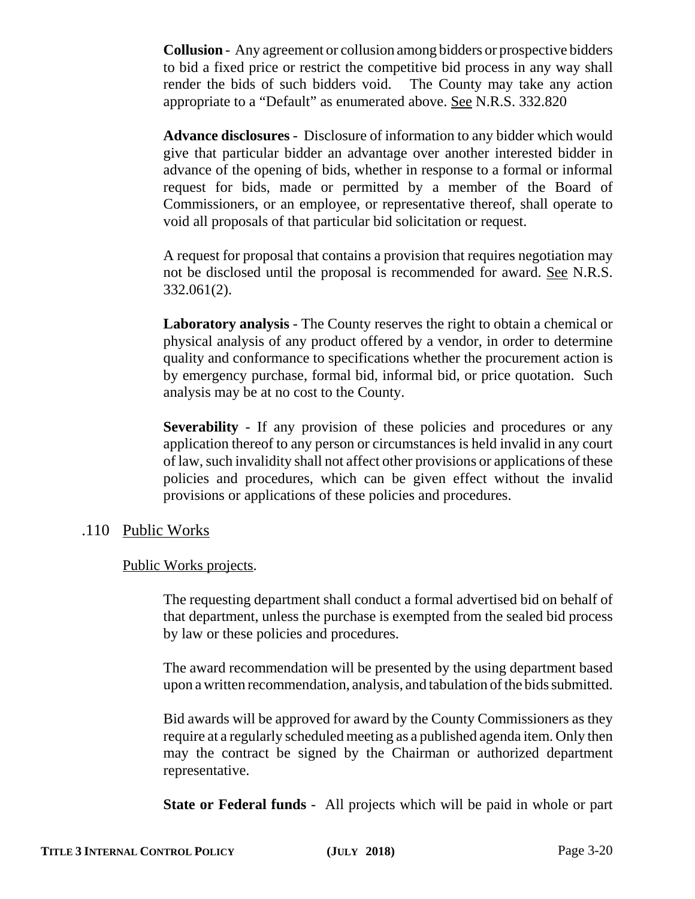**Collusion** - Any agreement or collusion among bidders or prospective bidders to bid a fixed price or restrict the competitive bid process in any way shall render the bids of such bidders void. The County may take any action appropriate to a "Default" as enumerated above. See N.R.S. 332.820

**Advance disclosures** - Disclosure of information to any bidder which would give that particular bidder an advantage over another interested bidder in advance of the opening of bids, whether in response to a formal or informal request for bids, made or permitted by a member of the Board of Commissioners, or an employee, or representative thereof, shall operate to void all proposals of that particular bid solicitation or request.

A request for proposal that contains a provision that requires negotiation may not be disclosed until the proposal is recommended for award. See N.R.S. 332.061(2).

**Laboratory analysis** - The County reserves the right to obtain a chemical or physical analysis of any product offered by a vendor, in order to determine quality and conformance to specifications whether the procurement action is by emergency purchase, formal bid, informal bid, or price quotation. Such analysis may be at no cost to the County.

**Severability** - If any provision of these policies and procedures or any application thereof to any person or circumstances is held invalid in any court of law, such invalidity shall not affect other provisions or applications of these policies and procedures, which can be given effect without the invalid provisions or applications of these policies and procedures.

#### .110 Public Works

#### Public Works projects.

The requesting department shall conduct a formal advertised bid on behalf of that department, unless the purchase is exempted from the sealed bid process by law or these policies and procedures.

The award recommendation will be presented by the using department based upon a written recommendation, analysis, and tabulation of the bids submitted.

Bid awards will be approved for award by the County Commissioners as they require at a regularly scheduled meeting as a published agenda item. Only then may the contract be signed by the Chairman or authorized department representative.

**State or Federal funds** - All projects which will be paid in whole or part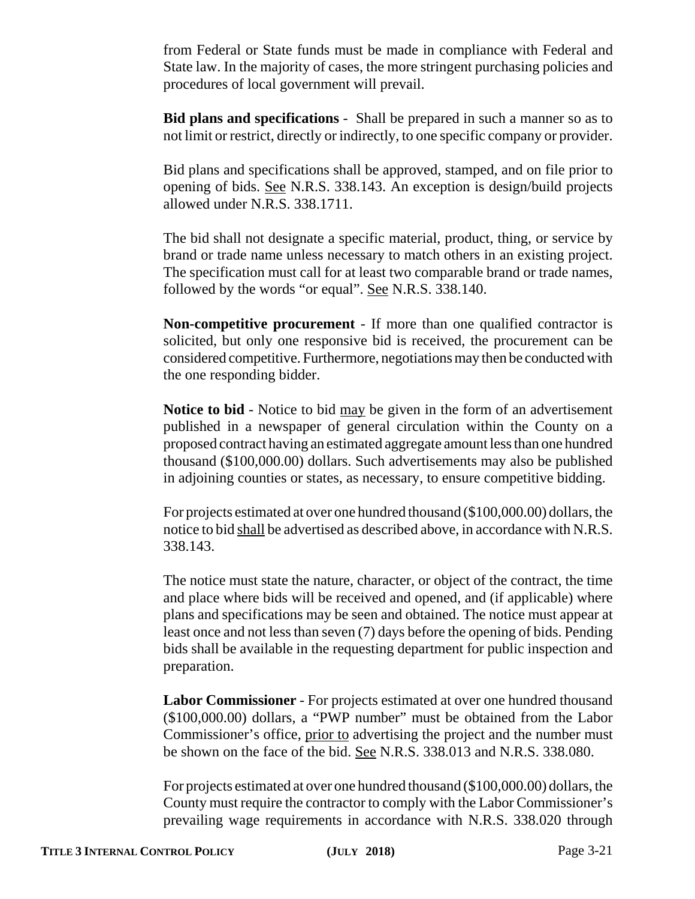from Federal or State funds must be made in compliance with Federal and State law. In the majority of cases, the more stringent purchasing policies and procedures of local government will prevail.

**Bid plans and specifications** - Shall be prepared in such a manner so as to not limit or restrict, directly or indirectly, to one specific company or provider.

Bid plans and specifications shall be approved, stamped, and on file prior to opening of bids. See N.R.S. 338.143. An exception is design/build projects allowed under N.R.S. 338.1711.

The bid shall not designate a specific material, product, thing, or service by brand or trade name unless necessary to match others in an existing project. The specification must call for at least two comparable brand or trade names, followed by the words "or equal". See N.R.S. 338.140.

**Non-competitive procurement** - If more than one qualified contractor is solicited, but only one responsive bid is received, the procurement can be considered competitive. Furthermore, negotiations may then be conducted with the one responding bidder.

**Notice to bid** - Notice to bid <u>may</u> be given in the form of an advertisement published in a newspaper of general circulation within the County on a proposed contract having an estimated aggregate amount less than one hundred thousand (\$100,000.00) dollars. Such advertisements may also be published in adjoining counties or states, as necessary, to ensure competitive bidding.

For projects estimated at over one hundred thousand (\$100,000.00) dollars, the notice to bid shall be advertised as described above, in accordance with N.R.S. 338.143.

The notice must state the nature, character, or object of the contract, the time and place where bids will be received and opened, and (if applicable) where plans and specifications may be seen and obtained. The notice must appear at least once and not less than seven (7) days before the opening of bids. Pending bids shall be available in the requesting department for public inspection and preparation.

**Labor Commissioner** - For projects estimated at over one hundred thousand (\$100,000.00) dollars, a "PWP number" must be obtained from the Labor Commissioner's office, prior to advertising the project and the number must be shown on the face of the bid. See N.R.S. 338.013 and N.R.S. 338.080.

For projects estimated at over one hundred thousand (\$100,000.00) dollars, the County must require the contractor to comply with the Labor Commissioner's prevailing wage requirements in accordance with N.R.S. 338.020 through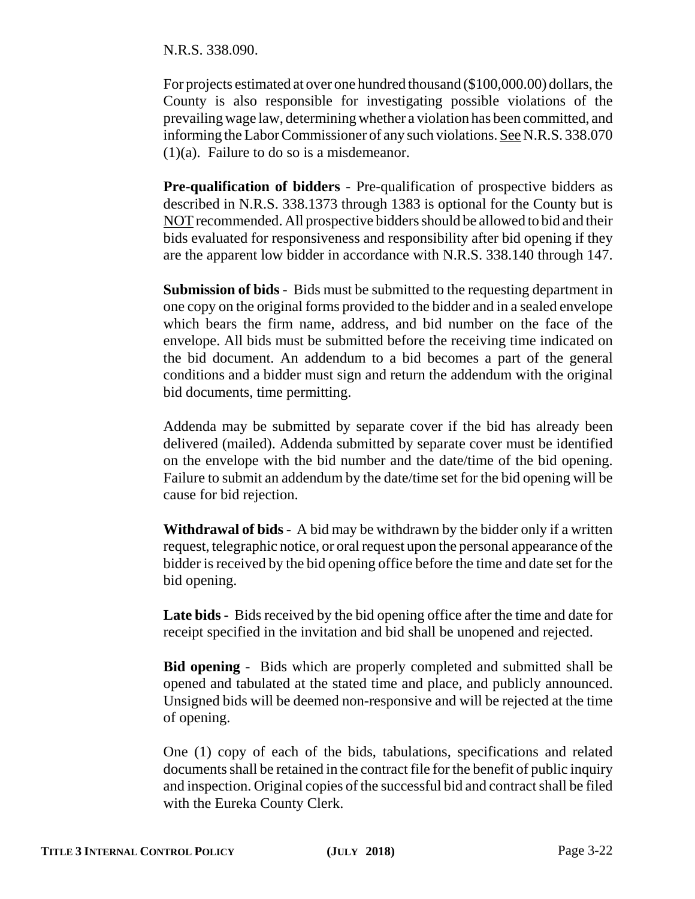N.R.S. 338.090.

For projects estimated at over one hundred thousand (\$100,000.00) dollars, the County is also responsible for investigating possible violations of the prevailing wage law, determining whether a violation has been committed, and informing the Labor Commissioner of any such violations. See N.R.S. 338.070 (1)(a). Failure to do so is a misdemeanor.

**Pre-qualification of bidders** - Pre-qualification of prospective bidders as described in N.R.S. 338.1373 through 1383 is optional for the County but is NOT recommended. All prospective bidders should be allowed to bid and their bids evaluated for responsiveness and responsibility after bid opening if they are the apparent low bidder in accordance with N.R.S. 338.140 through 147.

**Submission of bids** - Bids must be submitted to the requesting department in one copy on the original forms provided to the bidder and in a sealed envelope which bears the firm name, address, and bid number on the face of the envelope. All bids must be submitted before the receiving time indicated on the bid document. An addendum to a bid becomes a part of the general conditions and a bidder must sign and return the addendum with the original bid documents, time permitting.

Addenda may be submitted by separate cover if the bid has already been delivered (mailed). Addenda submitted by separate cover must be identified on the envelope with the bid number and the date/time of the bid opening. Failure to submit an addendum by the date/time set for the bid opening will be cause for bid rejection.

**Withdrawal of bids** - A bid may be withdrawn by the bidder only if a written request, telegraphic notice, or oral request upon the personal appearance of the bidder is received by the bid opening office before the time and date set for the bid opening.

**Late bids** - Bids received by the bid opening office after the time and date for receipt specified in the invitation and bid shall be unopened and rejected.

**Bid opening** - Bids which are properly completed and submitted shall be opened and tabulated at the stated time and place, and publicly announced. Unsigned bids will be deemed non-responsive and will be rejected at the time of opening.

One (1) copy of each of the bids, tabulations, specifications and related documents shall be retained in the contract file for the benefit of public inquiry and inspection. Original copies of the successful bid and contract shall be filed with the Eureka County Clerk.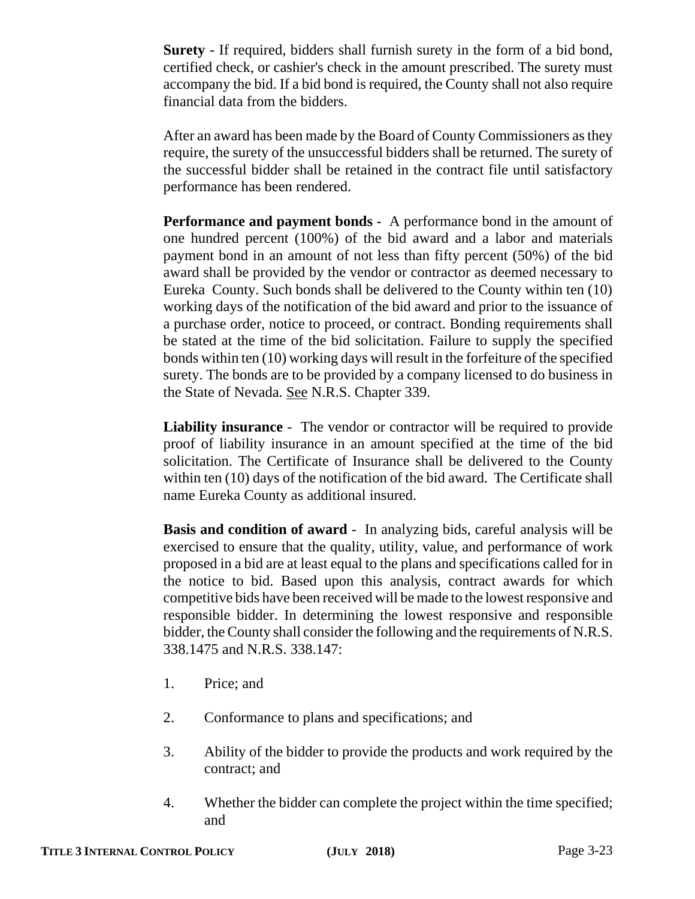**Surety** - If required, bidders shall furnish surety in the form of a bid bond, certified check, or cashier's check in the amount prescribed. The surety must accompany the bid. If a bid bond is required, the County shall not also require financial data from the bidders.

After an award has been made by the Board of County Commissioners as they require, the surety of the unsuccessful bidders shall be returned. The surety of the successful bidder shall be retained in the contract file until satisfactory performance has been rendered.

**Performance and payment bonds** - A performance bond in the amount of one hundred percent (100%) of the bid award and a labor and materials payment bond in an amount of not less than fifty percent (50%) of the bid award shall be provided by the vendor or contractor as deemed necessary to Eureka County. Such bonds shall be delivered to the County within ten (10) working days of the notification of the bid award and prior to the issuance of a purchase order, notice to proceed, or contract. Bonding requirements shall be stated at the time of the bid solicitation. Failure to supply the specified bonds within ten (10) working days will result in the forfeiture of the specified surety. The bonds are to be provided by a company licensed to do business in the State of Nevada. See N.R.S. Chapter 339.

**Liability insurance** - The vendor or contractor will be required to provide proof of liability insurance in an amount specified at the time of the bid solicitation. The Certificate of Insurance shall be delivered to the County within ten (10) days of the notification of the bid award. The Certificate shall name Eureka County as additional insured.

**Basis and condition of award** - In analyzing bids, careful analysis will be exercised to ensure that the quality, utility, value, and performance of work proposed in a bid are at least equal to the plans and specifications called for in the notice to bid. Based upon this analysis, contract awards for which competitive bids have been received will be made to the lowest responsive and responsible bidder. In determining the lowest responsive and responsible bidder, the County shall consider the following and the requirements of N.R.S. 338.1475 and N.R.S. 338.147:

- 1. Price; and
- 2. Conformance to plans and specifications; and
- 3. Ability of the bidder to provide the products and work required by the contract; and
- 4. Whether the bidder can complete the project within the time specified; and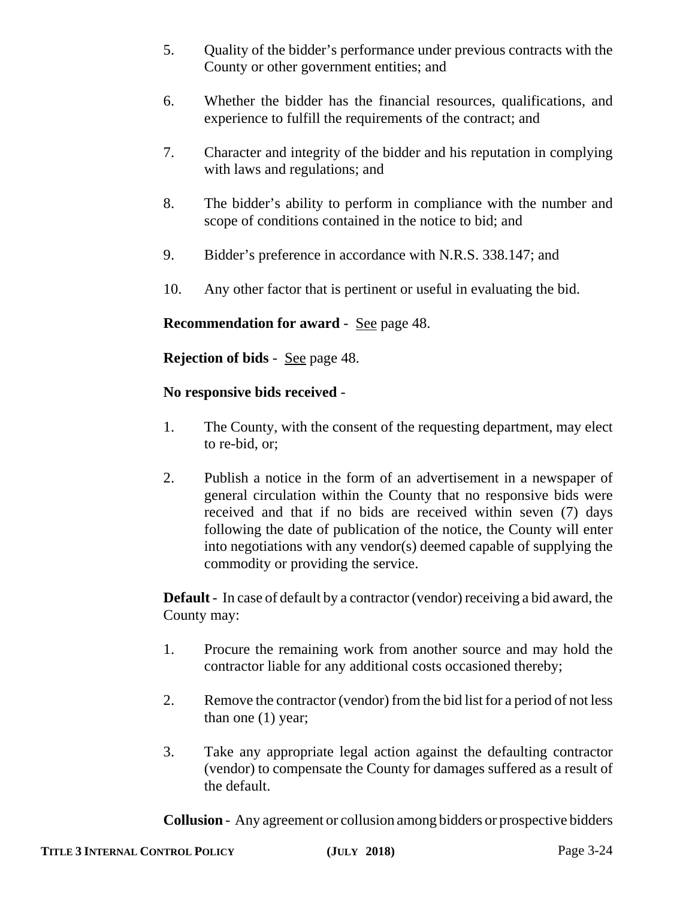- 5. Quality of the bidder's performance under previous contracts with the County or other government entities; and
- 6. Whether the bidder has the financial resources, qualifications, and experience to fulfill the requirements of the contract; and
- 7. Character and integrity of the bidder and his reputation in complying with laws and regulations; and
- 8. The bidder's ability to perform in compliance with the number and scope of conditions contained in the notice to bid; and
- 9. Bidder's preference in accordance with N.R.S. 338.147; and
- 10. Any other factor that is pertinent or useful in evaluating the bid.

# **Recommendation for award** - <u>See</u> page 48.

**Rejection of bids** - See page 48.

# **No responsive bids received** -

- 1. The County, with the consent of the requesting department, may elect to re-bid, or;
- 2. Publish a notice in the form of an advertisement in a newspaper of general circulation within the County that no responsive bids were received and that if no bids are received within seven (7) days following the date of publication of the notice, the County will enter into negotiations with any vendor(s) deemed capable of supplying the commodity or providing the service.

**Default** - In case of default by a contractor (vendor) receiving a bid award, the County may:

- 1. Procure the remaining work from another source and may hold the contractor liable for any additional costs occasioned thereby;
- 2. Remove the contractor (vendor) from the bid list for a period of not less than one (1) year;
- 3. Take any appropriate legal action against the defaulting contractor (vendor) to compensate the County for damages suffered as a result of the default.

**Collusion** - Any agreement or collusion among bidders or prospective bidders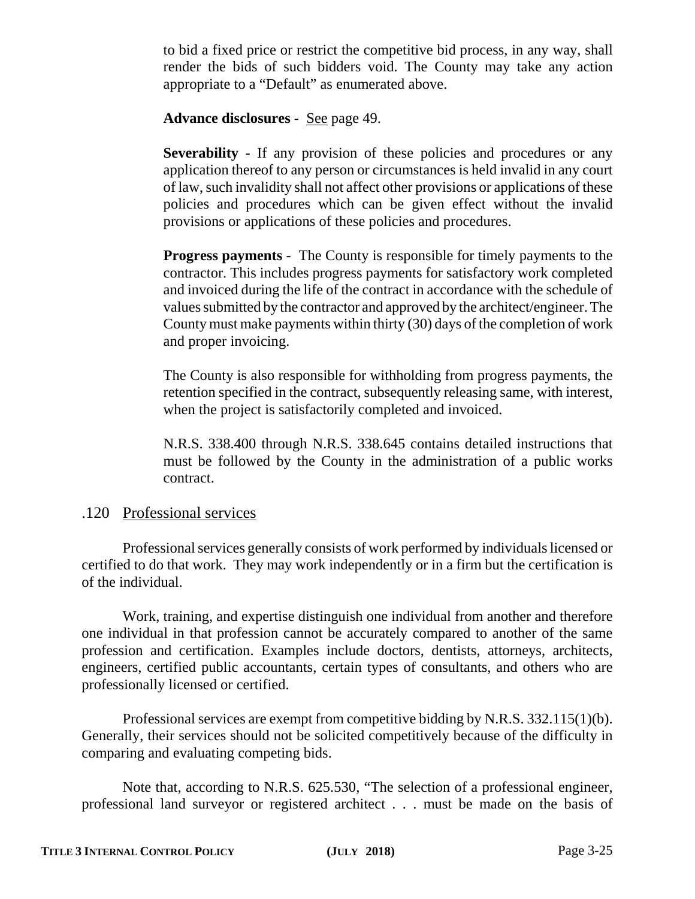to bid a fixed price or restrict the competitive bid process, in any way, shall render the bids of such bidders void. The County may take any action appropriate to a "Default" as enumerated above.

**Advance disclosures** - See page 49.

**Severability** - If any provision of these policies and procedures or any application thereof to any person or circumstances is held invalid in any court of law, such invalidity shall not affect other provisions or applications of these policies and procedures which can be given effect without the invalid provisions or applications of these policies and procedures.

**Progress payments** - The County is responsible for timely payments to the contractor. This includes progress payments for satisfactory work completed and invoiced during the life of the contract in accordance with the schedule of values submitted by the contractor and approved by the architect/engineer. The County must make payments within thirty (30) days of the completion of work and proper invoicing.

The County is also responsible for withholding from progress payments, the retention specified in the contract, subsequently releasing same, with interest, when the project is satisfactorily completed and invoiced.

N.R.S. 338.400 through N.R.S. 338.645 contains detailed instructions that must be followed by the County in the administration of a public works contract.

# .120 Professional services

Professional services generally consists of work performed by individuals licensed or certified to do that work. They may work independently or in a firm but the certification is of the individual.

Work, training, and expertise distinguish one individual from another and therefore one individual in that profession cannot be accurately compared to another of the same profession and certification. Examples include doctors, dentists, attorneys, architects, engineers, certified public accountants, certain types of consultants, and others who are professionally licensed or certified.

Professional services are exempt from competitive bidding by N.R.S. 332.115(1)(b). Generally, their services should not be solicited competitively because of the difficulty in comparing and evaluating competing bids.

Note that, according to N.R.S. 625.530, "The selection of a professional engineer, professional land surveyor or registered architect . . . must be made on the basis of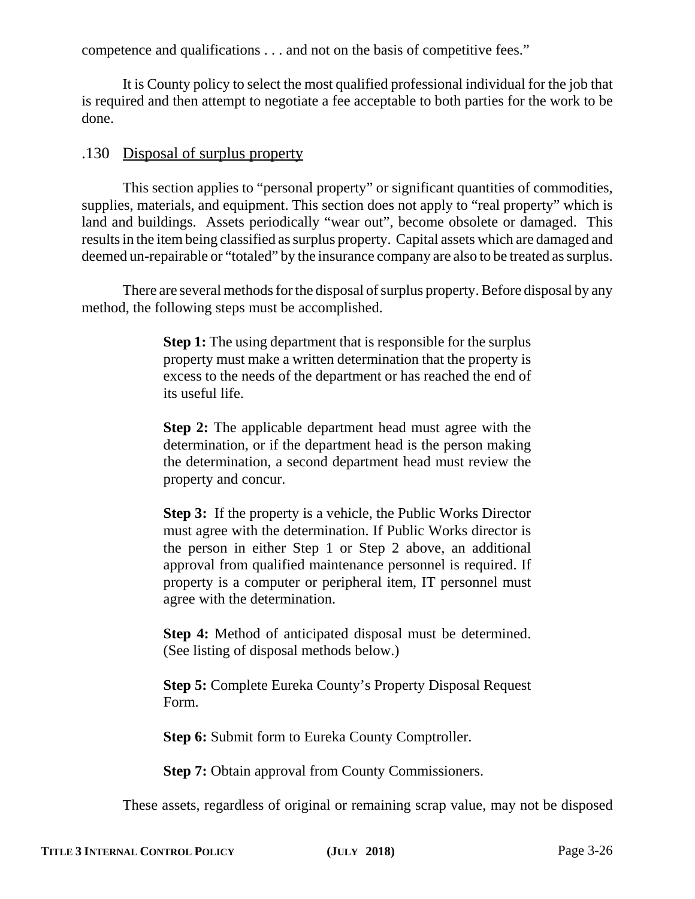competence and qualifications . . . and not on the basis of competitive fees."

It is County policy to select the most qualified professional individual for the job that is required and then attempt to negotiate a fee acceptable to both parties for the work to be done.

# .130 Disposal of surplus property

This section applies to "personal property" or significant quantities of commodities, supplies, materials, and equipment. This section does not apply to "real property" which is land and buildings. Assets periodically "wear out", become obsolete or damaged. This results in the item being classified as surplus property. Capital assets which are damaged and deemed un-repairable or "totaled" by the insurance company are also to be treated as surplus.

There are several methods for the disposal of surplus property. Before disposal by any method, the following steps must be accomplished.

> **Step 1:** The using department that is responsible for the surplus property must make a written determination that the property is excess to the needs of the department or has reached the end of its useful life.

> **Step 2:** The applicable department head must agree with the determination, or if the department head is the person making the determination, a second department head must review the property and concur.

> **Step 3:** If the property is a vehicle, the Public Works Director must agree with the determination. If Public Works director is the person in either Step 1 or Step 2 above, an additional approval from qualified maintenance personnel is required. If property is a computer or peripheral item, IT personnel must agree with the determination.

> **Step 4:** Method of anticipated disposal must be determined. (See listing of disposal methods below.)

> **Step 5:** Complete Eureka County's Property Disposal Request Form.

**Step 6: Submit form to Eureka County Comptroller.** 

**Step 7: Obtain approval from County Commissioners.** 

These assets, regardless of original or remaining scrap value, may not be disposed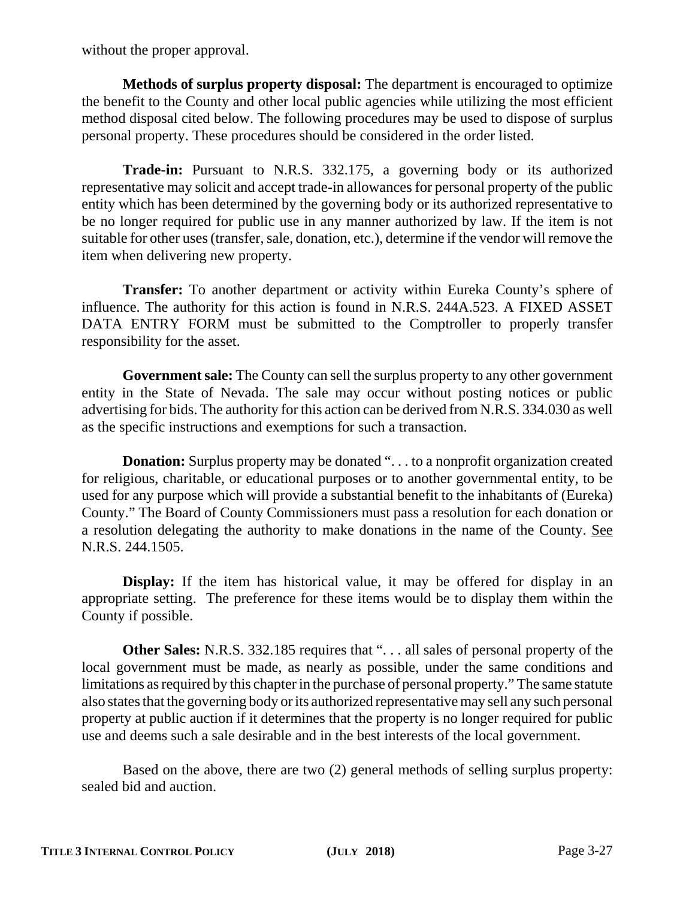without the proper approval.

**Methods of surplus property disposal:** The department is encouraged to optimize the benefit to the County and other local public agencies while utilizing the most efficient method disposal cited below. The following procedures may be used to dispose of surplus personal property. These procedures should be considered in the order listed.

**Trade-in:** Pursuant to N.R.S. 332.175, a governing body or its authorized representative may solicit and accept trade-in allowances for personal property of the public entity which has been determined by the governing body or its authorized representative to be no longer required for public use in any manner authorized by law. If the item is not suitable for other uses (transfer, sale, donation, etc.), determine if the vendor will remove the item when delivering new property.

**Transfer:** To another department or activity within Eureka County's sphere of influence. The authority for this action is found in N.R.S. 244A.523. A FIXED ASSET DATA ENTRY FORM must be submitted to the Comptroller to properly transfer responsibility for the asset.

**Government sale:** The County can sell the surplus property to any other government entity in the State of Nevada. The sale may occur without posting notices or public advertising for bids. The authority for this action can be derived from N.R.S. 334.030 as well as the specific instructions and exemptions for such a transaction.

**Donation:** Surplus property may be donated ". . . to a nonprofit organization created for religious, charitable, or educational purposes or to another governmental entity, to be used for any purpose which will provide a substantial benefit to the inhabitants of (Eureka) County." The Board of County Commissioners must pass a resolution for each donation or a resolution delegating the authority to make donations in the name of the County. See N.R.S. 244.1505.

**Display:** If the item has historical value, it may be offered for display in an appropriate setting. The preference for these items would be to display them within the County if possible.

**Other Sales:** N.R.S. 332.185 requires that ". . . all sales of personal property of the local government must be made, as nearly as possible, under the same conditions and limitations as required by this chapter in the purchase of personal property." The same statute also states that the governing body or its authorized representative may sell any such personal property at public auction if it determines that the property is no longer required for public use and deems such a sale desirable and in the best interests of the local government.

Based on the above, there are two (2) general methods of selling surplus property: sealed bid and auction.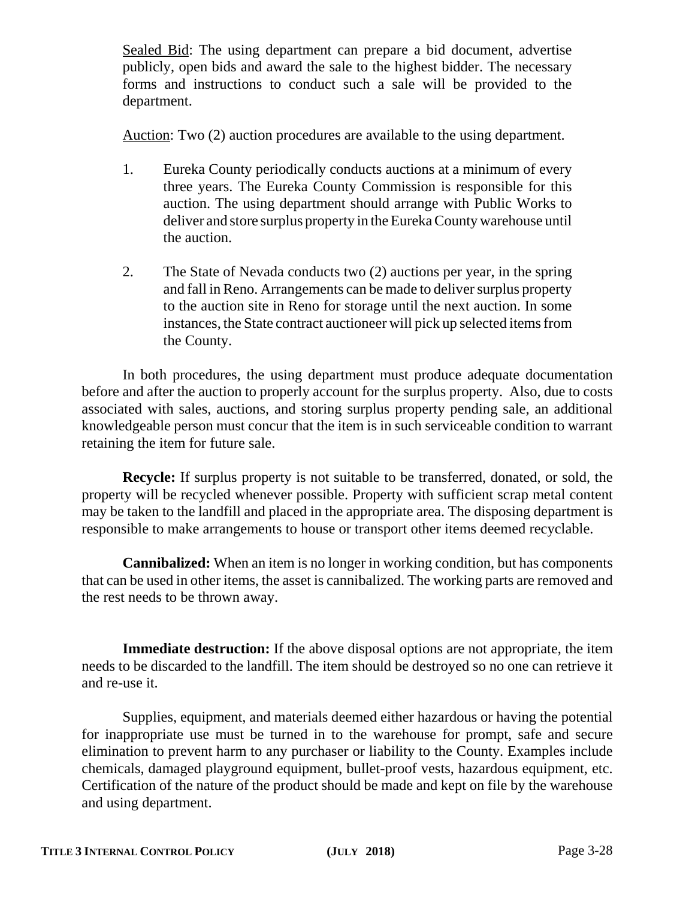Sealed Bid: The using department can prepare a bid document, advertise publicly, open bids and award the sale to the highest bidder. The necessary forms and instructions to conduct such a sale will be provided to the department.

Auction: Two (2) auction procedures are available to the using department.

- 1. Eureka County periodically conducts auctions at a minimum of every three years. The Eureka County Commission is responsible for this auction. The using department should arrange with Public Works to deliver and store surplus property in the Eureka County warehouse until the auction.
- 2. The State of Nevada conducts two (2) auctions per year, in the spring and fall in Reno. Arrangements can be made to deliver surplus property to the auction site in Reno for storage until the next auction. In some instances, the State contract auctioneer will pick up selected items from the County.

In both procedures, the using department must produce adequate documentation before and after the auction to properly account for the surplus property. Also, due to costs associated with sales, auctions, and storing surplus property pending sale, an additional knowledgeable person must concur that the item is in such serviceable condition to warrant retaining the item for future sale.

**Recycle:** If surplus property is not suitable to be transferred, donated, or sold, the property will be recycled whenever possible. Property with sufficient scrap metal content may be taken to the landfill and placed in the appropriate area. The disposing department is responsible to make arrangements to house or transport other items deemed recyclable.

**Cannibalized:** When an item is no longer in working condition, but has components that can be used in other items, the asset is cannibalized. The working parts are removed and the rest needs to be thrown away.

**Immediate destruction:** If the above disposal options are not appropriate, the item needs to be discarded to the landfill. The item should be destroyed so no one can retrieve it and re-use it.

Supplies, equipment, and materials deemed either hazardous or having the potential for inappropriate use must be turned in to the warehouse for prompt, safe and secure elimination to prevent harm to any purchaser or liability to the County. Examples include chemicals, damaged playground equipment, bullet-proof vests, hazardous equipment, etc. Certification of the nature of the product should be made and kept on file by the warehouse and using department.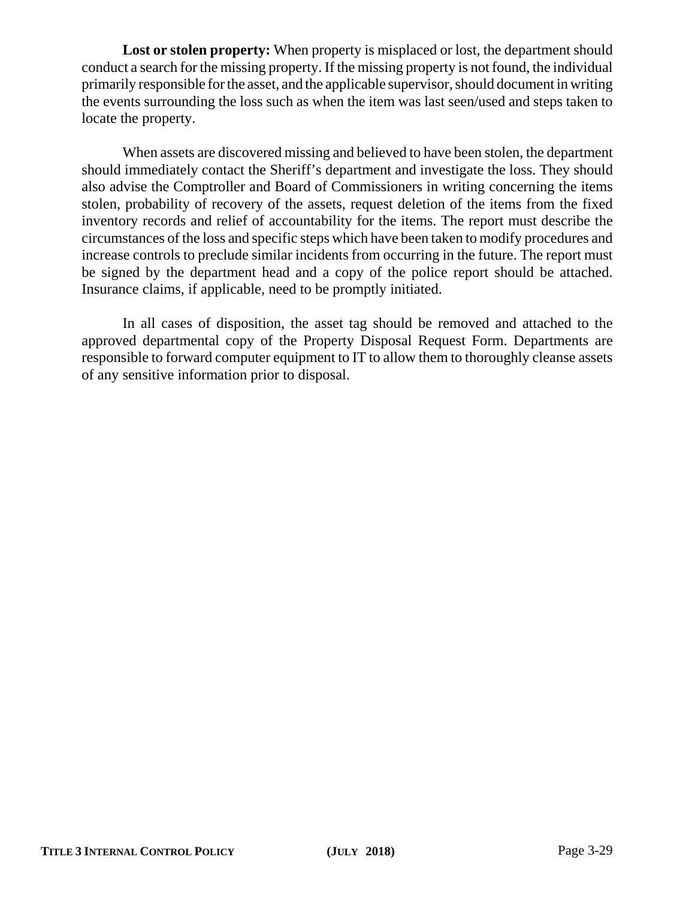Lost or stolen property: When property is misplaced or lost, the department should conduct a search for the missing property. If the missing property is not found, the individual primarily responsible for the asset, and the applicable supervisor, should document in writing the events surrounding the loss such as when the item was last seen/used and steps taken to locate the property.

When assets are discovered missing and believed to have been stolen, the department should immediately contact the Sheriff's department and investigate the loss. They should also advise the Comptroller and Board of Commissioners in writing concerning the items stolen, probability of recovery of the assets, request deletion of the items from the fixed inventory records and relief of accountability for the items. The report must describe the circumstances of the loss and specific steps which have been taken to modify procedures and increase controls to preclude similar incidents from occurring in the future. The report must be signed by the department head and a copy of the police report should be attached. Insurance claims, if applicable, need to be promptly initiated.

In all cases of disposition, the asset tag should be removed and attached to the approved departmental copy of the Property Disposal Request Form. Departments are responsible to forward computer equipment to IT to allow them to thoroughly cleanse assets of any sensitive information prior to disposal.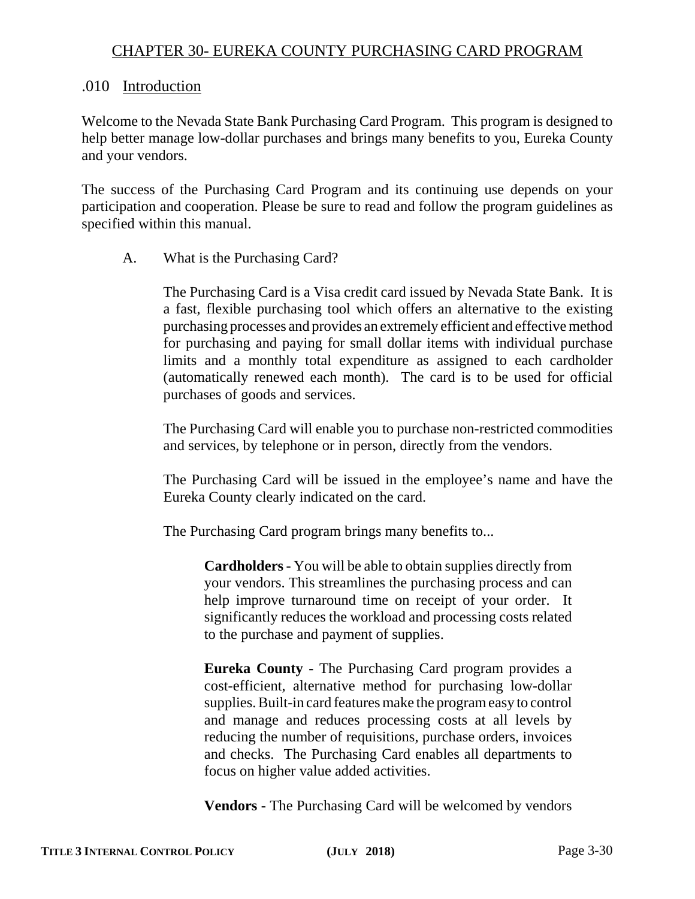# CHAPTER 30- EUREKA COUNTY PURCHASING CARD PROGRAM

# .010 Introduction

Welcome to the Nevada State Bank Purchasing Card Program. This program is designed to help better manage low-dollar purchases and brings many benefits to you, Eureka County and your vendors.

The success of the Purchasing Card Program and its continuing use depends on your participation and cooperation. Please be sure to read and follow the program guidelines as specified within this manual.

# A. What is the Purchasing Card?

The Purchasing Card is a Visa credit card issued by Nevada State Bank. It is a fast, flexible purchasing tool which offers an alternative to the existing purchasing processes and provides an extremely efficient and effective method for purchasing and paying for small dollar items with individual purchase limits and a monthly total expenditure as assigned to each cardholder (automatically renewed each month). The card is to be used for official purchases of goods and services.

The Purchasing Card will enable you to purchase non-restricted commodities and services, by telephone or in person, directly from the vendors.

The Purchasing Card will be issued in the employee's name and have the Eureka County clearly indicated on the card.

The Purchasing Card program brings many benefits to...

**Cardholders** - You will be able to obtain supplies directly from your vendors. This streamlines the purchasing process and can help improve turnaround time on receipt of your order. It significantly reduces the workload and processing costs related to the purchase and payment of supplies.

**Eureka County -** The Purchasing Card program provides a cost-efficient, alternative method for purchasing low-dollar supplies. Built-in card features make the program easy to control and manage and reduces processing costs at all levels by reducing the number of requisitions, purchase orders, invoices and checks. The Purchasing Card enables all departments to focus on higher value added activities.

**Vendors -** The Purchasing Card will be welcomed by vendors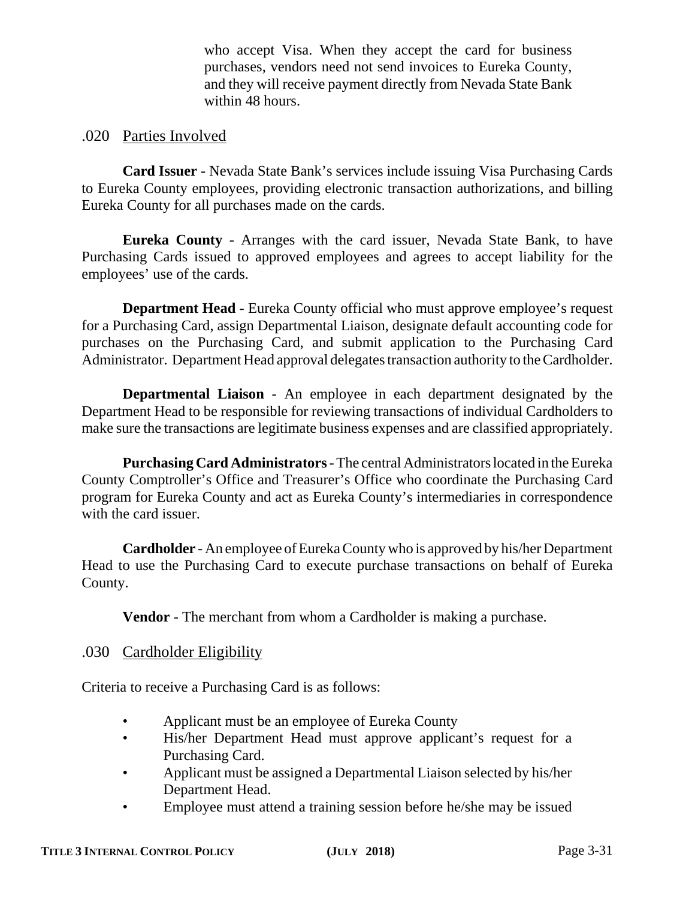who accept Visa. When they accept the card for business purchases, vendors need not send invoices to Eureka County, and they will receive payment directly from Nevada State Bank within 48 hours.

# .020 Parties Involved

**Card Issuer** - Nevada State Bank's services include issuing Visa Purchasing Cards to Eureka County employees, providing electronic transaction authorizations, and billing Eureka County for all purchases made on the cards.

**Eureka County** - Arranges with the card issuer, Nevada State Bank, to have Purchasing Cards issued to approved employees and agrees to accept liability for the employees' use of the cards.

**Department Head** - Eureka County official who must approve employee's request for a Purchasing Card, assign Departmental Liaison, designate default accounting code for purchases on the Purchasing Card, and submit application to the Purchasing Card Administrator. Department Head approval delegates transaction authority to the Cardholder.

**Departmental Liaison** - An employee in each department designated by the Department Head to be responsible for reviewing transactions of individual Cardholders to make sure the transactions are legitimate business expenses and are classified appropriately.

**Purchasing Card Administrators** - The central Administrators located in the Eureka County Comptroller's Office and Treasurer's Office who coordinate the Purchasing Card program for Eureka County and act as Eureka County's intermediaries in correspondence with the card issuer.

**Cardholder** - An employee of Eureka County who is approved by his/her Department Head to use the Purchasing Card to execute purchase transactions on behalf of Eureka County.

**Vendor** - The merchant from whom a Cardholder is making a purchase.

# .030 Cardholder Eligibility

Criteria to receive a Purchasing Card is as follows:

- Applicant must be an employee of Eureka County
- His/her Department Head must approve applicant's request for a Purchasing Card.
- Applicant must be assigned a Departmental Liaison selected by his/her Department Head.
- Employee must attend a training session before he/she may be issued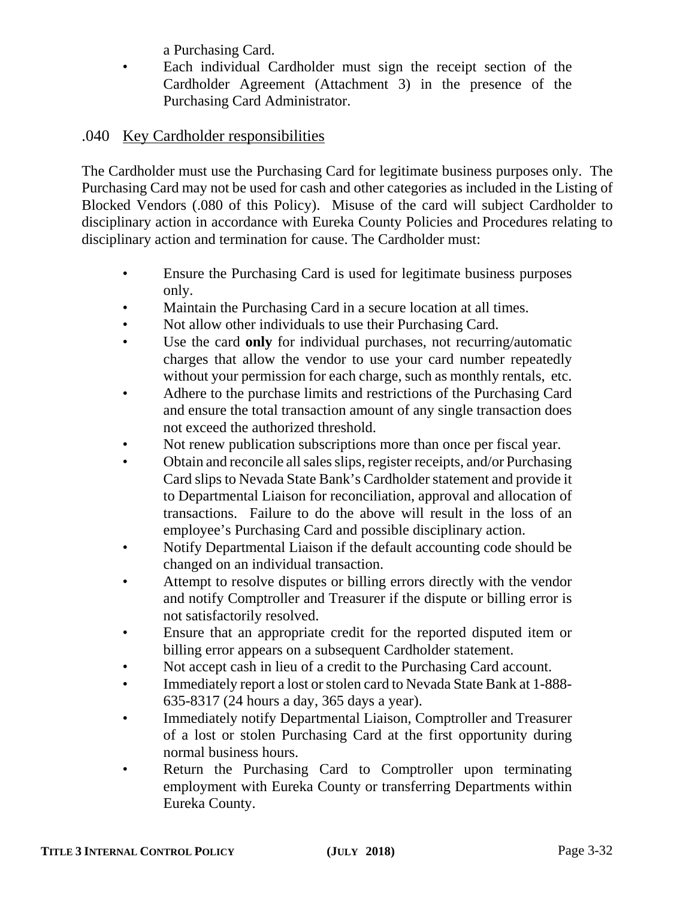a Purchasing Card.

• Each individual Cardholder must sign the receipt section of the Cardholder Agreement (Attachment 3) in the presence of the Purchasing Card Administrator.

# .040 Key Cardholder responsibilities

The Cardholder must use the Purchasing Card for legitimate business purposes only. The Purchasing Card may not be used for cash and other categories as included in the Listing of Blocked Vendors (.080 of this Policy). Misuse of the card will subject Cardholder to disciplinary action in accordance with Eureka County Policies and Procedures relating to disciplinary action and termination for cause. The Cardholder must:

- Ensure the Purchasing Card is used for legitimate business purposes only.
- Maintain the Purchasing Card in a secure location at all times.
- Not allow other individuals to use their Purchasing Card.
- Use the card **only** for individual purchases, not recurring/automatic charges that allow the vendor to use your card number repeatedly without your permission for each charge, such as monthly rentals, etc.
- Adhere to the purchase limits and restrictions of the Purchasing Card and ensure the total transaction amount of any single transaction does not exceed the authorized threshold.
- Not renew publication subscriptions more than once per fiscal year.
- Obtain and reconcile all sales slips, register receipts, and/or Purchasing Card slips to Nevada State Bank's Cardholder statement and provide it to Departmental Liaison for reconciliation, approval and allocation of transactions. Failure to do the above will result in the loss of an employee's Purchasing Card and possible disciplinary action.
- Notify Departmental Liaison if the default accounting code should be changed on an individual transaction.
- Attempt to resolve disputes or billing errors directly with the vendor and notify Comptroller and Treasurer if the dispute or billing error is not satisfactorily resolved.
- Ensure that an appropriate credit for the reported disputed item or billing error appears on a subsequent Cardholder statement.
- Not accept cash in lieu of a credit to the Purchasing Card account.
- Immediately report a lost or stolen card to Nevada State Bank at 1-888- 635-8317 (24 hours a day, 365 days a year).
- Immediately notify Departmental Liaison, Comptroller and Treasurer of a lost or stolen Purchasing Card at the first opportunity during normal business hours.
- Return the Purchasing Card to Comptroller upon terminating employment with Eureka County or transferring Departments within Eureka County.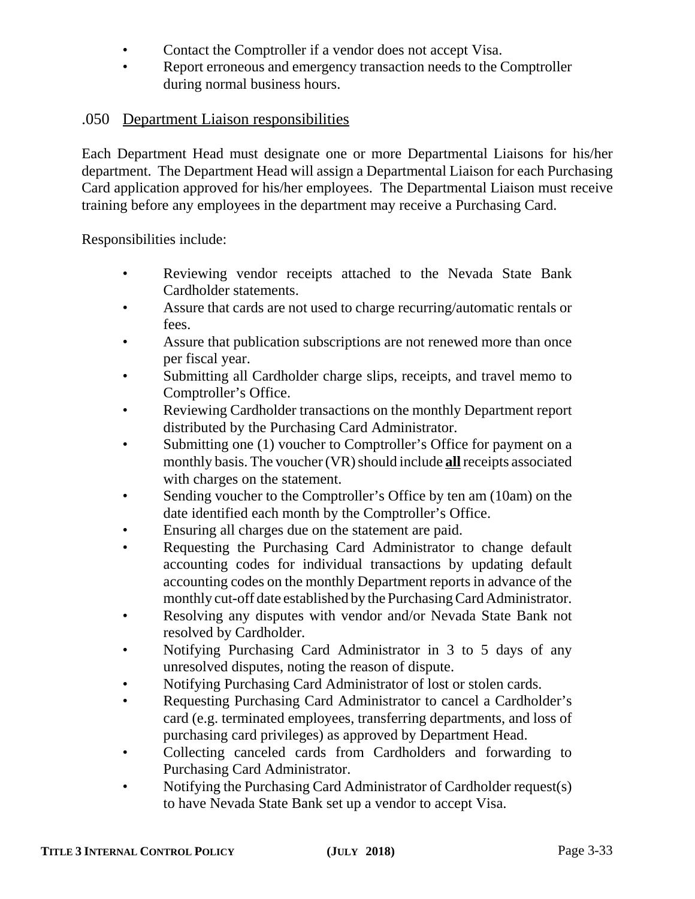- Contact the Comptroller if a vendor does not accept Visa.
- Report erroneous and emergency transaction needs to the Comptroller during normal business hours.

# .050 Department Liaison responsibilities

Each Department Head must designate one or more Departmental Liaisons for his/her department. The Department Head will assign a Departmental Liaison for each Purchasing Card application approved for his/her employees. The Departmental Liaison must receive training before any employees in the department may receive a Purchasing Card.

Responsibilities include:

- Reviewing vendor receipts attached to the Nevada State Bank Cardholder statements.
- Assure that cards are not used to charge recurring/automatic rentals or fees.
- Assure that publication subscriptions are not renewed more than once per fiscal year.
- Submitting all Cardholder charge slips, receipts, and travel memo to Comptroller's Office.
- Reviewing Cardholder transactions on the monthly Department report distributed by the Purchasing Card Administrator.
- Submitting one (1) voucher to Comptroller's Office for payment on a monthly basis. The voucher (VR) should include **all** receipts associated with charges on the statement.
- Sending voucher to the Comptroller's Office by ten am (10am) on the date identified each month by the Comptroller's Office.
- Ensuring all charges due on the statement are paid.
- Requesting the Purchasing Card Administrator to change default accounting codes for individual transactions by updating default accounting codes on the monthly Department reports in advance of the monthly cut-off date established by the Purchasing Card Administrator.
- Resolving any disputes with vendor and/or Nevada State Bank not resolved by Cardholder.
- Notifying Purchasing Card Administrator in 3 to 5 days of any unresolved disputes, noting the reason of dispute.
- Notifying Purchasing Card Administrator of lost or stolen cards.
- Requesting Purchasing Card Administrator to cancel a Cardholder's card (e.g. terminated employees, transferring departments, and loss of purchasing card privileges) as approved by Department Head.
- Collecting canceled cards from Cardholders and forwarding to Purchasing Card Administrator.
- Notifying the Purchasing Card Administrator of Cardholder request(s) to have Nevada State Bank set up a vendor to accept Visa.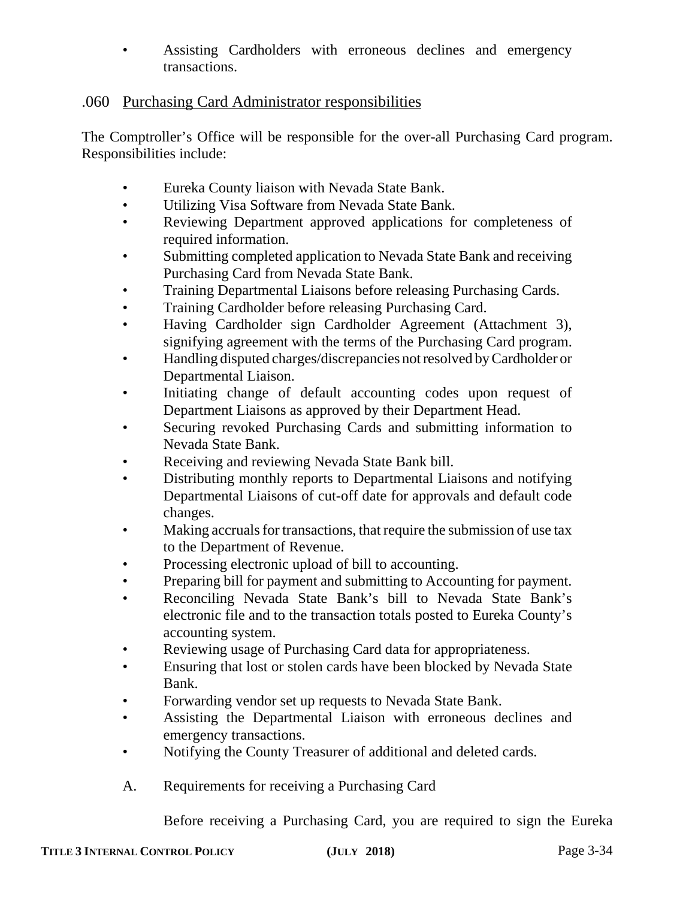• Assisting Cardholders with erroneous declines and emergency transactions.

# .060 Purchasing Card Administrator responsibilities

The Comptroller's Office will be responsible for the over-all Purchasing Card program. Responsibilities include:

- Eureka County liaison with Nevada State Bank.
- Utilizing Visa Software from Nevada State Bank.
- Reviewing Department approved applications for completeness of required information.
- Submitting completed application to Nevada State Bank and receiving Purchasing Card from Nevada State Bank.
- Training Departmental Liaisons before releasing Purchasing Cards.
- Training Cardholder before releasing Purchasing Card.
- Having Cardholder sign Cardholder Agreement (Attachment 3), signifying agreement with the terms of the Purchasing Card program.
- Handling disputed charges/discrepancies not resolved by Cardholder or Departmental Liaison.
- Initiating change of default accounting codes upon request of Department Liaisons as approved by their Department Head.
- Securing revoked Purchasing Cards and submitting information to Nevada State Bank.
- Receiving and reviewing Nevada State Bank bill.
- Distributing monthly reports to Departmental Liaisons and notifying Departmental Liaisons of cut-off date for approvals and default code changes.
- Making accruals for transactions, that require the submission of use tax to the Department of Revenue.
- Processing electronic upload of bill to accounting.
- Preparing bill for payment and submitting to Accounting for payment.
- Reconciling Nevada State Bank's bill to Nevada State Bank's electronic file and to the transaction totals posted to Eureka County's accounting system.
- Reviewing usage of Purchasing Card data for appropriateness.
- Ensuring that lost or stolen cards have been blocked by Nevada State Bank.
- Forwarding vendor set up requests to Nevada State Bank.
- Assisting the Departmental Liaison with erroneous declines and emergency transactions.
- Notifying the County Treasurer of additional and deleted cards.
- A. Requirements for receiving a Purchasing Card

Before receiving a Purchasing Card, you are required to sign the Eureka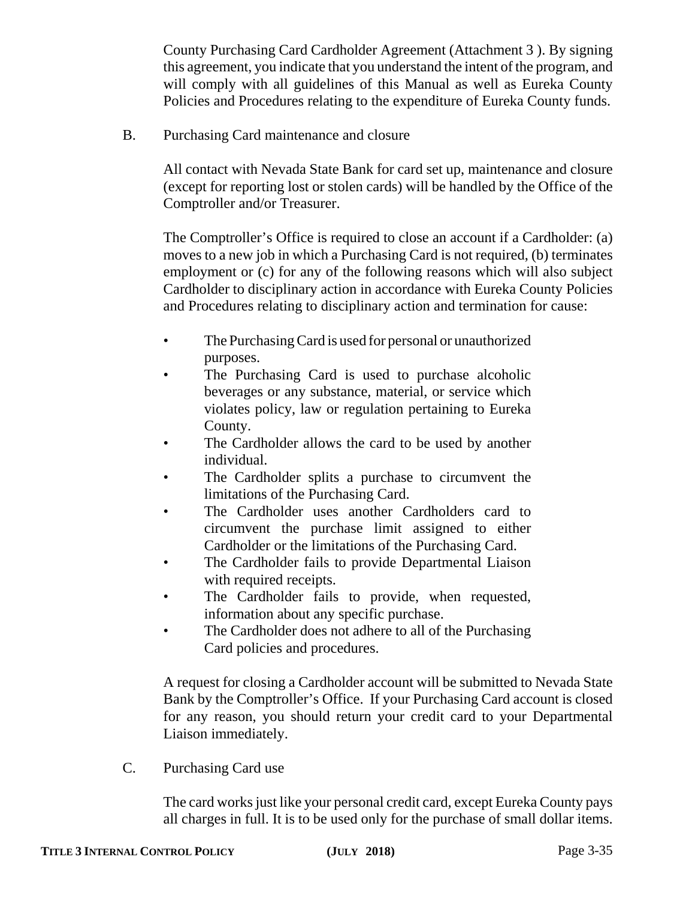County Purchasing Card Cardholder Agreement (Attachment 3 ). By signing this agreement, you indicate that you understand the intent of the program, and will comply with all guidelines of this Manual as well as Eureka County Policies and Procedures relating to the expenditure of Eureka County funds.

B. Purchasing Card maintenance and closure

All contact with Nevada State Bank for card set up, maintenance and closure (except for reporting lost or stolen cards) will be handled by the Office of the Comptroller and/or Treasurer.

The Comptroller's Office is required to close an account if a Cardholder: (a) moves to a new job in which a Purchasing Card is not required, (b) terminates employment or (c) for any of the following reasons which will also subject Cardholder to disciplinary action in accordance with Eureka County Policies and Procedures relating to disciplinary action and termination for cause:

- The Purchasing Card is used for personal or unauthorized purposes.
- The Purchasing Card is used to purchase alcoholic beverages or any substance, material, or service which violates policy, law or regulation pertaining to Eureka County.
- The Cardholder allows the card to be used by another individual.
- The Cardholder splits a purchase to circumvent the limitations of the Purchasing Card.
- The Cardholder uses another Cardholders card to circumvent the purchase limit assigned to either Cardholder or the limitations of the Purchasing Card.
- The Cardholder fails to provide Departmental Liaison with required receipts.
- The Cardholder fails to provide, when requested, information about any specific purchase.
- The Cardholder does not adhere to all of the Purchasing Card policies and procedures.

A request for closing a Cardholder account will be submitted to Nevada State Bank by the Comptroller's Office. If your Purchasing Card account is closed for any reason, you should return your credit card to your Departmental Liaison immediately.

C. Purchasing Card use

The card works just like your personal credit card, except Eureka County pays all charges in full. It is to be used only for the purchase of small dollar items.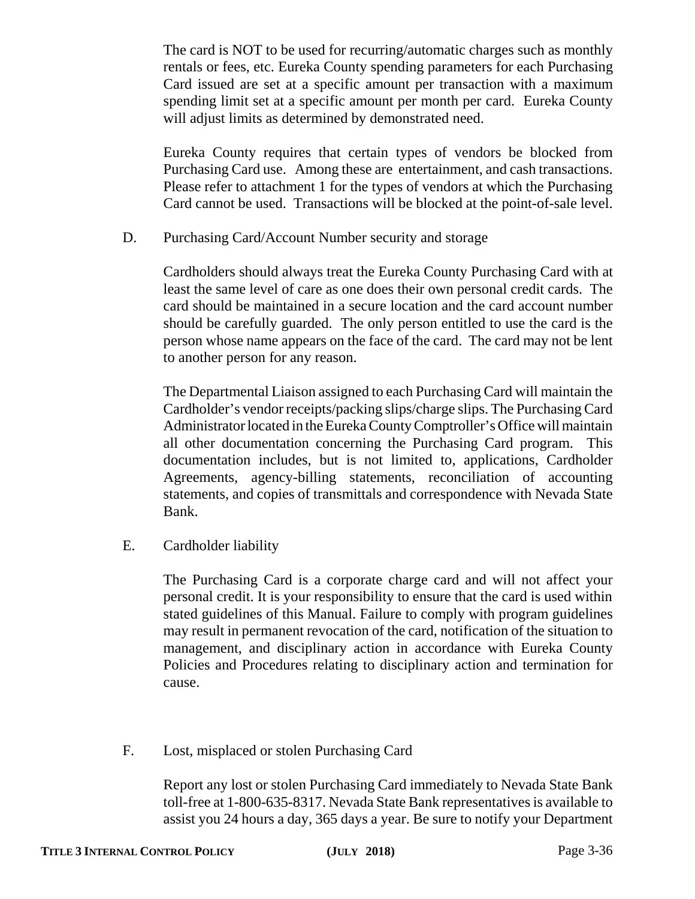The card is NOT to be used for recurring/automatic charges such as monthly rentals or fees, etc. Eureka County spending parameters for each Purchasing Card issued are set at a specific amount per transaction with a maximum spending limit set at a specific amount per month per card. Eureka County will adjust limits as determined by demonstrated need.

Eureka County requires that certain types of vendors be blocked from Purchasing Card use. Among these are entertainment, and cash transactions. Please refer to attachment 1 for the types of vendors at which the Purchasing Card cannot be used. Transactions will be blocked at the point-of-sale level.

D. Purchasing Card/Account Number security and storage

Cardholders should always treat the Eureka County Purchasing Card with at least the same level of care as one does their own personal credit cards. The card should be maintained in a secure location and the card account number should be carefully guarded. The only person entitled to use the card is the person whose name appears on the face of the card. The card may not be lent to another person for any reason.

The Departmental Liaison assigned to each Purchasing Card will maintain the Cardholder's vendor receipts/packing slips/charge slips. The Purchasing Card Administrator located in the Eureka County Comptroller's Office will maintain all other documentation concerning the Purchasing Card program. This documentation includes, but is not limited to, applications, Cardholder Agreements, agency-billing statements, reconciliation of accounting statements, and copies of transmittals and correspondence with Nevada State Bank.

E. Cardholder liability

The Purchasing Card is a corporate charge card and will not affect your personal credit. It is your responsibility to ensure that the card is used within stated guidelines of this Manual. Failure to comply with program guidelines may result in permanent revocation of the card, notification of the situation to management, and disciplinary action in accordance with Eureka County Policies and Procedures relating to disciplinary action and termination for cause.

F. Lost, misplaced or stolen Purchasing Card

Report any lost or stolen Purchasing Card immediately to Nevada State Bank toll-free at 1-800-635-8317. Nevada State Bank representatives is available to assist you 24 hours a day, 365 days a year. Be sure to notify your Department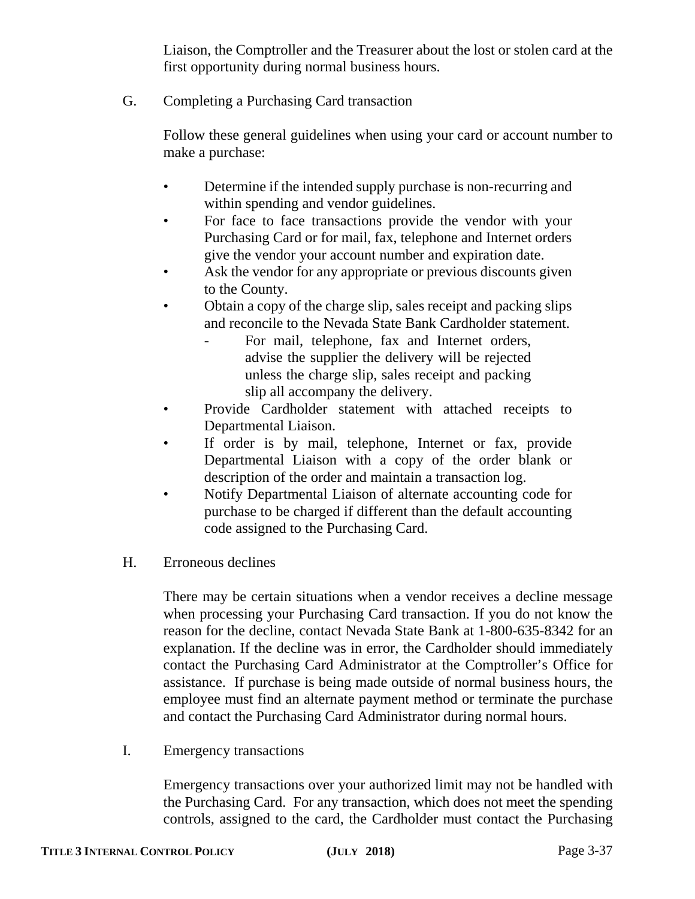Liaison, the Comptroller and the Treasurer about the lost or stolen card at the first opportunity during normal business hours.

G. Completing a Purchasing Card transaction

Follow these general guidelines when using your card or account number to make a purchase:

- Determine if the intended supply purchase is non-recurring and within spending and vendor guidelines.
- For face to face transactions provide the vendor with your Purchasing Card or for mail, fax, telephone and Internet orders give the vendor your account number and expiration date.
- Ask the vendor for any appropriate or previous discounts given to the County.
- Obtain a copy of the charge slip, sales receipt and packing slips and reconcile to the Nevada State Bank Cardholder statement.
	- For mail, telephone, fax and Internet orders, advise the supplier the delivery will be rejected unless the charge slip, sales receipt and packing slip all accompany the delivery.
- Provide Cardholder statement with attached receipts to Departmental Liaison.
- If order is by mail, telephone, Internet or fax, provide Departmental Liaison with a copy of the order blank or description of the order and maintain a transaction log.
- Notify Departmental Liaison of alternate accounting code for purchase to be charged if different than the default accounting code assigned to the Purchasing Card.
- H. Erroneous declines

There may be certain situations when a vendor receives a decline message when processing your Purchasing Card transaction. If you do not know the reason for the decline, contact Nevada State Bank at 1-800-635-8342 for an explanation. If the decline was in error, the Cardholder should immediately contact the Purchasing Card Administrator at the Comptroller's Office for assistance. If purchase is being made outside of normal business hours, the employee must find an alternate payment method or terminate the purchase and contact the Purchasing Card Administrator during normal hours.

I. Emergency transactions

Emergency transactions over your authorized limit may not be handled with the Purchasing Card. For any transaction, which does not meet the spending controls, assigned to the card, the Cardholder must contact the Purchasing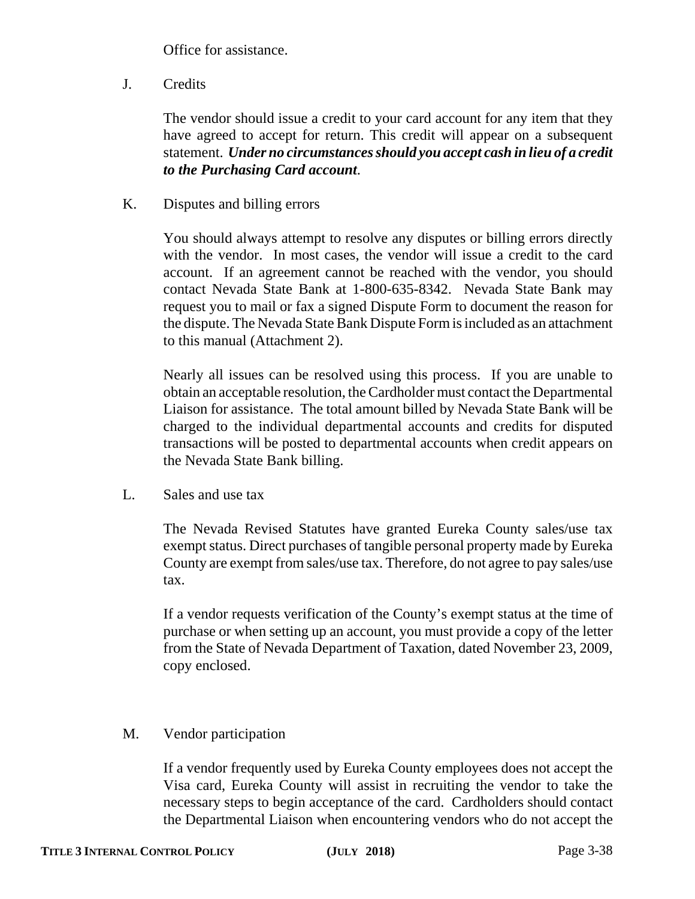Office for assistance.

J. Credits

The vendor should issue a credit to your card account for any item that they have agreed to accept for return. This credit will appear on a subsequent statement. *Under no circumstances should you accept cash in lieu of a credit to the Purchasing Card account*.

K. Disputes and billing errors

You should always attempt to resolve any disputes or billing errors directly with the vendor. In most cases, the vendor will issue a credit to the card account. If an agreement cannot be reached with the vendor, you should contact Nevada State Bank at 1-800-635-8342. Nevada State Bank may request you to mail or fax a signed Dispute Form to document the reason for the dispute. The Nevada State Bank Dispute Form is included as an attachment to this manual (Attachment 2).

Nearly all issues can be resolved using this process. If you are unable to obtain an acceptable resolution, the Cardholder must contact the Departmental Liaison for assistance. The total amount billed by Nevada State Bank will be charged to the individual departmental accounts and credits for disputed transactions will be posted to departmental accounts when credit appears on the Nevada State Bank billing.

L. Sales and use tax

The Nevada Revised Statutes have granted Eureka County sales/use tax exempt status. Direct purchases of tangible personal property made by Eureka County are exempt from sales/use tax. Therefore, do not agree to pay sales/use tax.

If a vendor requests verification of the County's exempt status at the time of purchase or when setting up an account, you must provide a copy of the letter from the State of Nevada Department of Taxation, dated November 23, 2009, copy enclosed.

M. Vendor participation

If a vendor frequently used by Eureka County employees does not accept the Visa card, Eureka County will assist in recruiting the vendor to take the necessary steps to begin acceptance of the card. Cardholders should contact the Departmental Liaison when encountering vendors who do not accept the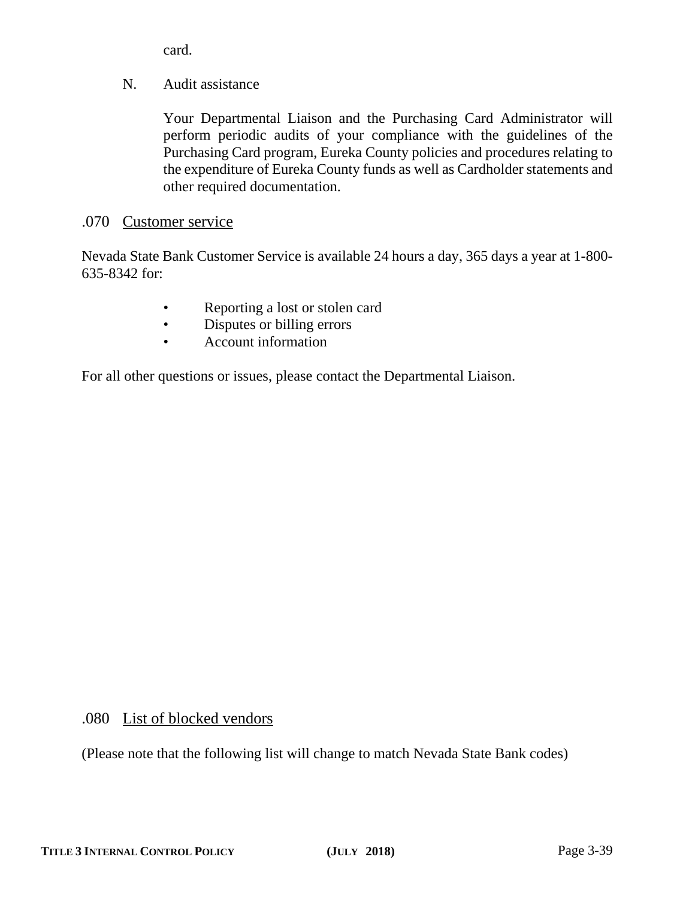card.

N. Audit assistance

Your Departmental Liaison and the Purchasing Card Administrator will perform periodic audits of your compliance with the guidelines of the Purchasing Card program, Eureka County policies and procedures relating to the expenditure of Eureka County funds as well as Cardholder statements and other required documentation.

# .070 Customer service

Nevada State Bank Customer Service is available 24 hours a day, 365 days a year at 1-800- 635-8342 for:

- Reporting a lost or stolen card
- Disputes or billing errors
- Account information

For all other questions or issues, please contact the Departmental Liaison.

# .080 List of blocked vendors

(Please note that the following list will change to match Nevada State Bank codes)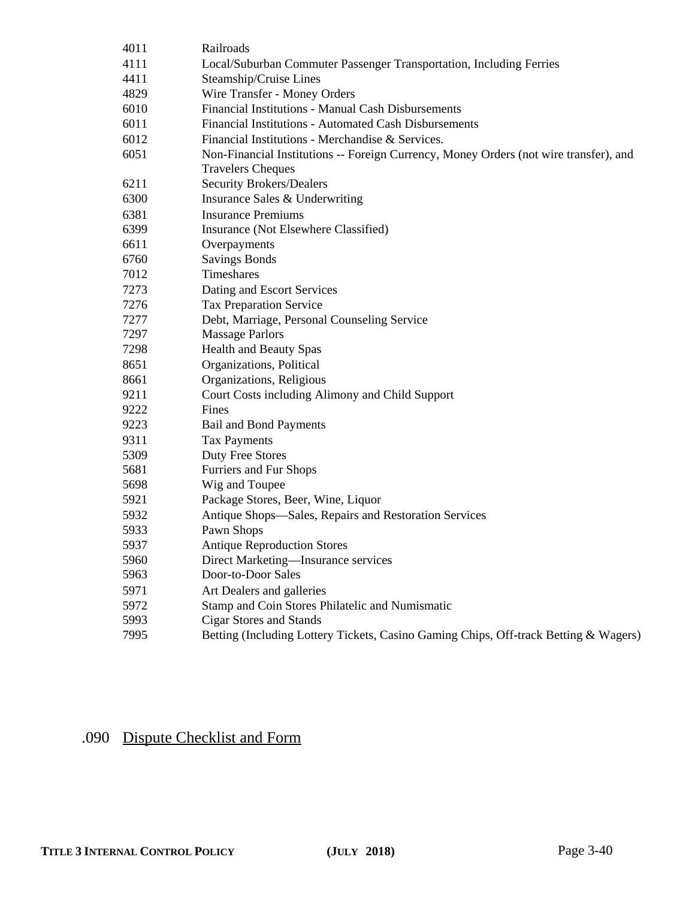| 4011 | Railroads                                                                                                         |
|------|-------------------------------------------------------------------------------------------------------------------|
| 4111 | Local/Suburban Commuter Passenger Transportation, Including Ferries                                               |
| 4411 | Steamship/Cruise Lines                                                                                            |
| 4829 | Wire Transfer - Money Orders                                                                                      |
| 6010 | Financial Institutions - Manual Cash Disbursements                                                                |
| 6011 | Financial Institutions - Automated Cash Disbursements                                                             |
| 6012 | Financial Institutions - Merchandise & Services.                                                                  |
| 6051 | Non-Financial Institutions -- Foreign Currency, Money Orders (not wire transfer), and<br><b>Travelers Cheques</b> |
| 6211 | <b>Security Brokers/Dealers</b>                                                                                   |
| 6300 | Insurance Sales & Underwriting                                                                                    |
| 6381 | <b>Insurance Premiums</b>                                                                                         |
| 6399 | Insurance (Not Elsewhere Classified)                                                                              |
| 6611 | Overpayments                                                                                                      |
| 6760 | <b>Savings Bonds</b>                                                                                              |
| 7012 | Timeshares                                                                                                        |
| 7273 | Dating and Escort Services                                                                                        |
| 7276 | <b>Tax Preparation Service</b>                                                                                    |
| 7277 | Debt, Marriage, Personal Counseling Service                                                                       |
| 7297 | <b>Massage Parlors</b>                                                                                            |
| 7298 | <b>Health and Beauty Spas</b>                                                                                     |
| 8651 | Organizations, Political                                                                                          |
| 8661 | Organizations, Religious                                                                                          |
| 9211 | Court Costs including Alimony and Child Support                                                                   |
| 9222 | Fines                                                                                                             |
| 9223 | <b>Bail and Bond Payments</b>                                                                                     |
| 9311 | <b>Tax Payments</b>                                                                                               |
| 5309 | Duty Free Stores                                                                                                  |
| 5681 | Furriers and Fur Shops                                                                                            |
| 5698 | Wig and Toupee                                                                                                    |
| 5921 | Package Stores, Beer, Wine, Liquor                                                                                |
| 5932 | Antique Shops-Sales, Repairs and Restoration Services                                                             |
| 5933 | Pawn Shops                                                                                                        |
| 5937 | <b>Antique Reproduction Stores</b>                                                                                |
| 5960 | Direct Marketing—Insurance services                                                                               |
| 5963 | Door-to-Door Sales                                                                                                |
| 5971 | Art Dealers and galleries                                                                                         |
| 5972 | Stamp and Coin Stores Philatelic and Numismatic                                                                   |
| 5993 | <b>Cigar Stores and Stands</b>                                                                                    |
| 7995 | Betting (Including Lottery Tickets, Casino Gaming Chips, Off-track Betting & Wagers)                              |

# .090 Dispute Checklist and Form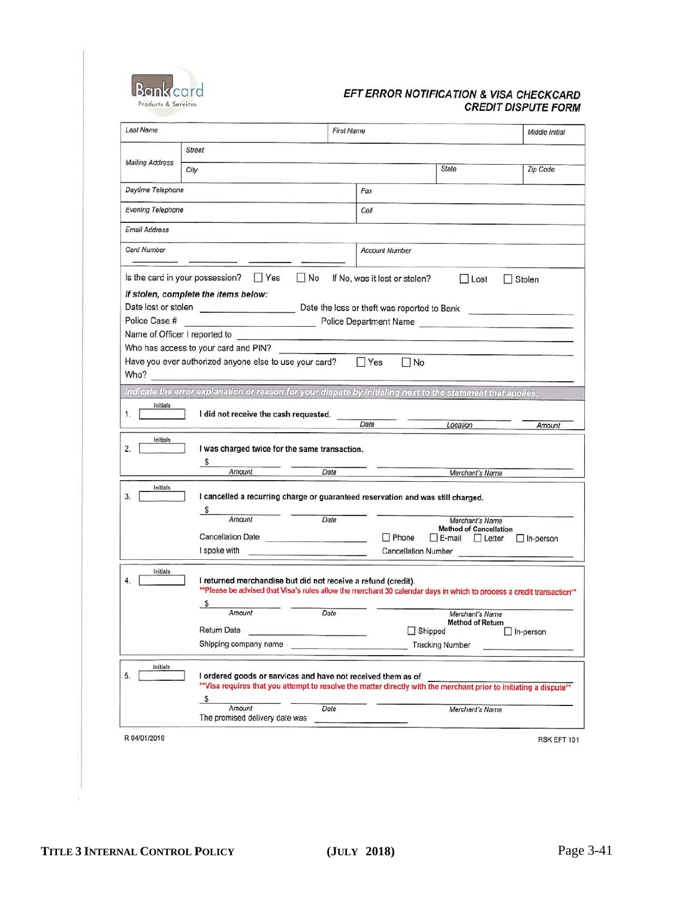

#### EFT ERROR NOTIFICATION & VISA CHECKCARD **CREDIT DISPUTE FORM**

|                            |                                                                                                                                                                                                    |            | <b>First Name</b>                          |                                                                                 |                                                                             |
|----------------------------|----------------------------------------------------------------------------------------------------------------------------------------------------------------------------------------------------|------------|--------------------------------------------|---------------------------------------------------------------------------------|-----------------------------------------------------------------------------|
|                            | <b>Street</b>                                                                                                                                                                                      |            |                                            |                                                                                 |                                                                             |
| <b>Mailing Address</b>     | City                                                                                                                                                                                               |            |                                            | State                                                                           | Zip Code                                                                    |
| Daytime Telephone          |                                                                                                                                                                                                    |            | Fax                                        |                                                                                 |                                                                             |
| Evening Telephone          |                                                                                                                                                                                                    |            | Cell                                       |                                                                                 |                                                                             |
| Email Address              |                                                                                                                                                                                                    |            |                                            |                                                                                 |                                                                             |
| Card Number                |                                                                                                                                                                                                    |            | <b>Account Number</b>                      |                                                                                 |                                                                             |
| Police Case #              | Is the card in your possession?<br>$\Box$ Yes<br>If stolen, complete the items below:<br>Name of Officer I reported to<br>Who has access to your card and PIN?                                     | $\n  No\n$ | If No, was it lost or stolen?              | $\Box$ Lost                                                                     | Stolen<br>Police Department Name <b>Constitution</b> Police Department Name |
| Who?                       | Have you ever authorized anyone else to use your card?                                                                                                                                             |            | $\Box$ Yes<br>$\Box$ No                    |                                                                                 |                                                                             |
|                            | Indicate the error explanation or reason for your dispute by initialing next to the statement that applies:                                                                                        |            |                                            |                                                                                 |                                                                             |
| Initials<br>Initials       | I did not receive the cash requested.<br>I was charged twice for the same transaction.                                                                                                             |            | Date                                       | Location                                                                        | Amount                                                                      |
|                            | $\mathcal{S}$<br>Amount                                                                                                                                                                            | Date       |                                            | Merchant's Name                                                                 |                                                                             |
| 1.<br>2.<br>Initials<br>3. | I cancelled a recurring charge or guaranteed reservation and was still charged.<br>S<br>Amount<br>Cancellation Date<br>I spoke with                                                                | Date       | $\Box$ Phone<br><b>Cancellation Number</b> | Merchant's Name<br><b>Method of Cancellation</b><br>$\Box$ E-mail $\Box$ Letter | $\Box$ In-person                                                            |
| Initials<br>4.             | I returned merchandise but did not receive a refund (credit).<br>** Please be advised that Visa's rules allow the merchant 30 calendar days in which to process a credit transaction**<br>\$       |            |                                            |                                                                                 |                                                                             |
|                            | Amount                                                                                                                                                                                             | Date       |                                            | Merchant's Name<br><b>Method of Return</b>                                      |                                                                             |
|                            | <b>Return Date</b>                                                                                                                                                                                 |            |                                            | Shipped                                                                         | In-person                                                                   |
|                            | Shipping company name                                                                                                                                                                              |            |                                            | <b>Tracking Number</b>                                                          |                                                                             |
| Initials<br>5.             | I ordered goods or services and have not received them as of<br>** Visa requires that you attempt to resolve the matter directly with the merchant prior to initiating a dispute**<br>\$<br>Amount | Date       |                                            | Merchant's Name                                                                 |                                                                             |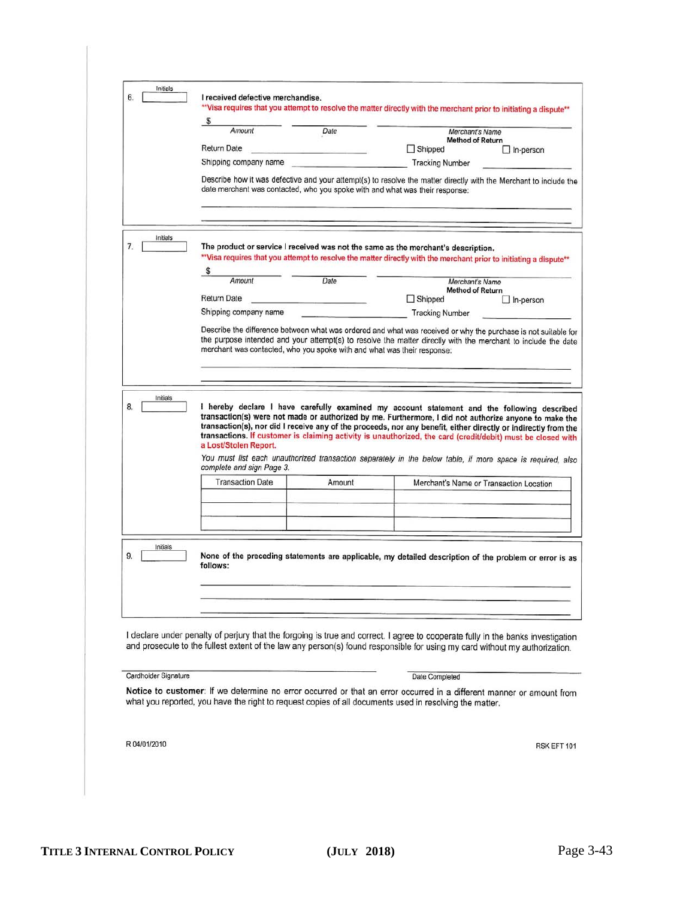| 6.                   | I received defective merchandise.                                                                                                                                                                                              |                                                                                                                                                                                                                                                                                                            |                                                                                                                                                                                                                                                                                                                                                                                                                                       |                                             |  |  |
|----------------------|--------------------------------------------------------------------------------------------------------------------------------------------------------------------------------------------------------------------------------|------------------------------------------------------------------------------------------------------------------------------------------------------------------------------------------------------------------------------------------------------------------------------------------------------------|---------------------------------------------------------------------------------------------------------------------------------------------------------------------------------------------------------------------------------------------------------------------------------------------------------------------------------------------------------------------------------------------------------------------------------------|---------------------------------------------|--|--|
|                      | ** Visa requires that you attempt to resolve the matter directly with the merchant prior to initiating a dispute**<br>S.                                                                                                       |                                                                                                                                                                                                                                                                                                            |                                                                                                                                                                                                                                                                                                                                                                                                                                       |                                             |  |  |
|                      | Amount                                                                                                                                                                                                                         | Date                                                                                                                                                                                                                                                                                                       | Merchant's Name                                                                                                                                                                                                                                                                                                                                                                                                                       |                                             |  |  |
|                      | Return Date                                                                                                                                                                                                                    | the company of the company of the state                                                                                                                                                                                                                                                                    | $\Box$ Shipped                                                                                                                                                                                                                                                                                                                                                                                                                        | <b>Method of Return</b><br>$\Box$ In-person |  |  |
|                      | Shipping company name                                                                                                                                                                                                          |                                                                                                                                                                                                                                                                                                            | <b>Tracking Number</b>                                                                                                                                                                                                                                                                                                                                                                                                                |                                             |  |  |
|                      | Describe how it was defective and your attempt(s) to resolve the matter directly with the Merchant to include the<br>date merchant was contacted, who you spoke with and what was their response:                              |                                                                                                                                                                                                                                                                                                            |                                                                                                                                                                                                                                                                                                                                                                                                                                       |                                             |  |  |
|                      |                                                                                                                                                                                                                                |                                                                                                                                                                                                                                                                                                            |                                                                                                                                                                                                                                                                                                                                                                                                                                       |                                             |  |  |
| Initials<br>7.       | The product or service I received was not the same as the merchant's description.<br>** Visa requires that you attempt to resolve the matter directly with the merchant prior to initiating a dispute**                        |                                                                                                                                                                                                                                                                                                            |                                                                                                                                                                                                                                                                                                                                                                                                                                       |                                             |  |  |
|                      | \$<br>Amount                                                                                                                                                                                                                   | Date                                                                                                                                                                                                                                                                                                       | Merchant's Name                                                                                                                                                                                                                                                                                                                                                                                                                       |                                             |  |  |
|                      |                                                                                                                                                                                                                                |                                                                                                                                                                                                                                                                                                            | <b>Method of Return</b>                                                                                                                                                                                                                                                                                                                                                                                                               |                                             |  |  |
|                      | <b>Return Date</b><br>Shipping company name                                                                                                                                                                                    |                                                                                                                                                                                                                                                                                                            | $\Box$ Shipped<br><b>Tracking Number</b>                                                                                                                                                                                                                                                                                                                                                                                              | $\Box$ In-person                            |  |  |
|                      |                                                                                                                                                                                                                                | Describe the difference between what was ordered and what was received or why the purchase is not suitable for<br>the purpose intended and your attempt(s) to resolve the matter directly with the merchant to include the date<br>merchant was contacted, who you spoke with and what was their response: |                                                                                                                                                                                                                                                                                                                                                                                                                                       |                                             |  |  |
|                      |                                                                                                                                                                                                                                |                                                                                                                                                                                                                                                                                                            |                                                                                                                                                                                                                                                                                                                                                                                                                                       |                                             |  |  |
|                      |                                                                                                                                                                                                                                |                                                                                                                                                                                                                                                                                                            |                                                                                                                                                                                                                                                                                                                                                                                                                                       |                                             |  |  |
| Initials<br>8.       | a Lost/Stolen Report.                                                                                                                                                                                                          |                                                                                                                                                                                                                                                                                                            | I hereby declare I have carefully examined my account statement and the following described<br>transaction(s) were not made or authorized by me. Furthermore, I did not authorize anyone to make the<br>transaction(s), nor did I receive any of the proceeds, nor any benefit, either directly or indirectly from the<br>transactions. If customer is claiming activity is unauthorized, the card (credit/debit) must be closed with |                                             |  |  |
|                      | complete and sign Page 3.                                                                                                                                                                                                      |                                                                                                                                                                                                                                                                                                            | You must list each unauthorized transaction separately in the below table, if more space is required, also                                                                                                                                                                                                                                                                                                                            |                                             |  |  |
|                      | <b>Transaction Date</b>                                                                                                                                                                                                        | Amount                                                                                                                                                                                                                                                                                                     |                                                                                                                                                                                                                                                                                                                                                                                                                                       | Merchant's Name or Transaction Location     |  |  |
|                      |                                                                                                                                                                                                                                |                                                                                                                                                                                                                                                                                                            |                                                                                                                                                                                                                                                                                                                                                                                                                                       |                                             |  |  |
|                      |                                                                                                                                                                                                                                |                                                                                                                                                                                                                                                                                                            |                                                                                                                                                                                                                                                                                                                                                                                                                                       |                                             |  |  |
|                      |                                                                                                                                                                                                                                |                                                                                                                                                                                                                                                                                                            |                                                                                                                                                                                                                                                                                                                                                                                                                                       |                                             |  |  |
| Initials<br>9.       | follows:                                                                                                                                                                                                                       |                                                                                                                                                                                                                                                                                                            | None of the preceding statements are applicable, my detailed description of the problem or error is as                                                                                                                                                                                                                                                                                                                                |                                             |  |  |
|                      |                                                                                                                                                                                                                                |                                                                                                                                                                                                                                                                                                            |                                                                                                                                                                                                                                                                                                                                                                                                                                       |                                             |  |  |
|                      |                                                                                                                                                                                                                                |                                                                                                                                                                                                                                                                                                            |                                                                                                                                                                                                                                                                                                                                                                                                                                       |                                             |  |  |
|                      |                                                                                                                                                                                                                                |                                                                                                                                                                                                                                                                                                            |                                                                                                                                                                                                                                                                                                                                                                                                                                       |                                             |  |  |
|                      | I declare under penalty of perjury that the forgoing is true and correct. I agree to cooperate fully in the banks investigation                                                                                                |                                                                                                                                                                                                                                                                                                            |                                                                                                                                                                                                                                                                                                                                                                                                                                       |                                             |  |  |
|                      | and prosecute to the fullest extent of the law any person(s) found responsible for using my card without my authorization.                                                                                                     |                                                                                                                                                                                                                                                                                                            |                                                                                                                                                                                                                                                                                                                                                                                                                                       |                                             |  |  |
|                      |                                                                                                                                                                                                                                |                                                                                                                                                                                                                                                                                                            |                                                                                                                                                                                                                                                                                                                                                                                                                                       |                                             |  |  |
| Cardholder Signature |                                                                                                                                                                                                                                |                                                                                                                                                                                                                                                                                                            | Date Completed                                                                                                                                                                                                                                                                                                                                                                                                                        |                                             |  |  |
|                      | Notice to customer: If we determine no error occurred or that an error occurred in a different manner or amount from<br>what you reported, you have the right to request copies of all documents used in resolving the matter. |                                                                                                                                                                                                                                                                                                            |                                                                                                                                                                                                                                                                                                                                                                                                                                       |                                             |  |  |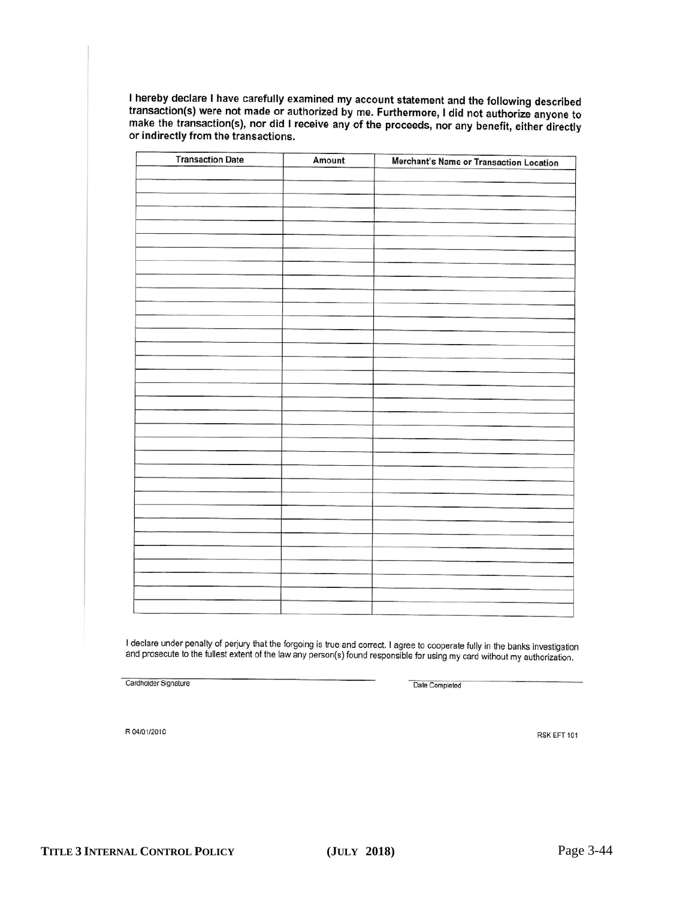I hereby declare I have carefully examined my account statement and the following described transaction(s) were not made or authorized by me. Furthermore, I did not authorize anyone to make the transaction(s), nor did I receive any of the proceeds, nor any benefit, either directly or indirectly from the transactions.

| <b>Transaction Date</b> | Amount | Merchant's Name or Transaction Location |
|-------------------------|--------|-----------------------------------------|
|                         |        |                                         |
|                         |        |                                         |
|                         |        |                                         |
|                         |        |                                         |
|                         |        |                                         |
|                         |        |                                         |
|                         |        |                                         |
|                         |        |                                         |
|                         |        |                                         |
|                         |        |                                         |
|                         |        |                                         |
|                         |        |                                         |
|                         |        |                                         |
|                         |        |                                         |
|                         |        |                                         |
|                         |        |                                         |
|                         |        |                                         |
|                         |        |                                         |
|                         |        |                                         |
|                         |        |                                         |
|                         |        |                                         |
|                         |        |                                         |
|                         |        |                                         |
|                         |        |                                         |
|                         |        |                                         |
|                         |        |                                         |
|                         |        |                                         |
|                         |        |                                         |
|                         |        |                                         |
|                         |        |                                         |
|                         |        |                                         |
|                         |        |                                         |
|                         |        |                                         |

I declare under penalty of perjury that the forgoing is true and correct. I agree to cooperate fully in the banks investigation and prosecute to the fullest extent of the law any person(s) found responsible for using my card without my authorization.

Cardholder Signature

Date Completed

R 04/01/2010

RSK EFT 101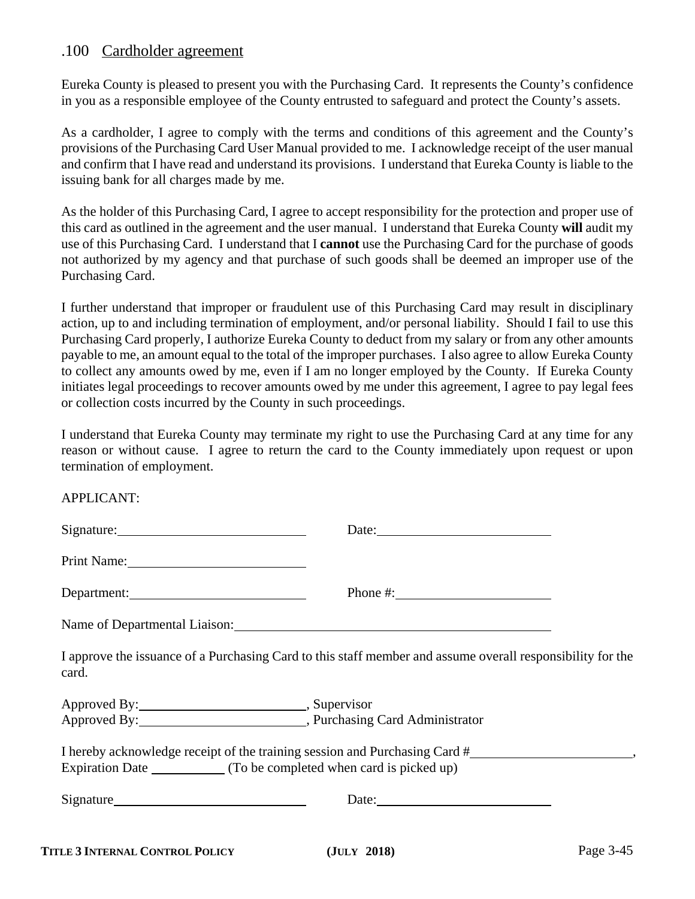## .100 Cardholder agreement

Eureka County is pleased to present you with the Purchasing Card. It represents the County's confidence in you as a responsible employee of the County entrusted to safeguard and protect the County's assets.

As a cardholder, I agree to comply with the terms and conditions of this agreement and the County's provisions of the Purchasing Card User Manual provided to me. I acknowledge receipt of the user manual and confirm that I have read and understand its provisions. I understand that Eureka County is liable to the issuing bank for all charges made by me.

As the holder of this Purchasing Card, I agree to accept responsibility for the protection and proper use of this card as outlined in the agreement and the user manual. I understand that Eureka County **will** audit my use of this Purchasing Card. I understand that I **cannot** use the Purchasing Card for the purchase of goods not authorized by my agency and that purchase of such goods shall be deemed an improper use of the Purchasing Card.

I further understand that improper or fraudulent use of this Purchasing Card may result in disciplinary action, up to and including termination of employment, and/or personal liability. Should I fail to use this Purchasing Card properly, I authorize Eureka County to deduct from my salary or from any other amounts payable to me, an amount equal to the total of the improper purchases. I also agree to allow Eureka County to collect any amounts owed by me, even if I am no longer employed by the County. If Eureka County initiates legal proceedings to recover amounts owed by me under this agreement, I agree to pay legal fees or collection costs incurred by the County in such proceedings.

I understand that Eureka County may terminate my right to use the Purchasing Card at any time for any reason or without cause. I agree to return the card to the County immediately upon request or upon termination of employment.

APPLICANT:

|                                                             | Date:                                                                                                      |
|-------------------------------------------------------------|------------------------------------------------------------------------------------------------------------|
|                                                             |                                                                                                            |
| Department:                                                 |                                                                                                            |
| Name of Departmental Liaison: Name of Departmental Liaison: |                                                                                                            |
| card.                                                       | I approve the issuance of a Purchasing Card to this staff member and assume overall responsibility for the |
|                                                             |                                                                                                            |
| Approved By: North Purchasing Card Administrator            |                                                                                                            |
|                                                             | I hereby acknowledge receipt of the training session and Purchasing Card #                                 |
|                                                             |                                                                                                            |
| Signature                                                   | Date:                                                                                                      |
|                                                             |                                                                                                            |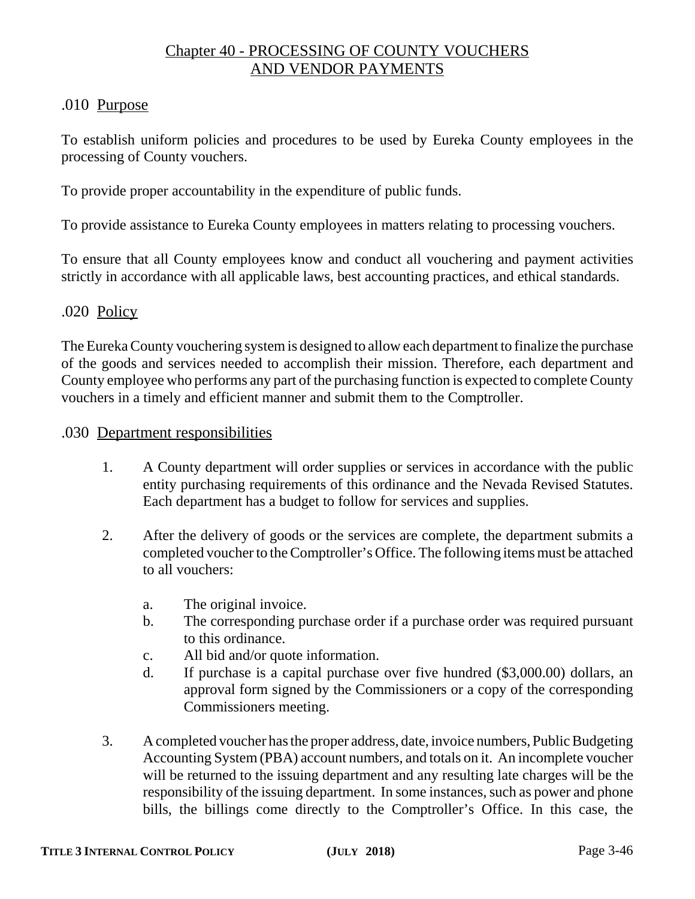# Chapter 40 - PROCESSING OF COUNTY VOUCHERS AND VENDOR PAYMENTS

# .010 Purpose

To establish uniform policies and procedures to be used by Eureka County employees in the processing of County vouchers.

To provide proper accountability in the expenditure of public funds.

To provide assistance to Eureka County employees in matters relating to processing vouchers.

To ensure that all County employees know and conduct all vouchering and payment activities strictly in accordance with all applicable laws, best accounting practices, and ethical standards.

# .020 Policy

The Eureka County vouchering system is designed to allow each department to finalize the purchase of the goods and services needed to accomplish their mission. Therefore, each department and County employee who performs any part of the purchasing function is expected to complete County vouchers in a timely and efficient manner and submit them to the Comptroller.

# .030 Department responsibilities

- 1. A County department will order supplies or services in accordance with the public entity purchasing requirements of this ordinance and the Nevada Revised Statutes. Each department has a budget to follow for services and supplies.
- 2. After the delivery of goods or the services are complete, the department submits a completed voucher to the Comptroller's Office. The following items must be attached to all vouchers:
	- a. The original invoice.
	- b. The corresponding purchase order if a purchase order was required pursuant to this ordinance.
	- c. All bid and/or quote information.
	- d. If purchase is a capital purchase over five hundred (\$3,000.00) dollars, an approval form signed by the Commissioners or a copy of the corresponding Commissioners meeting.
- 3. A completed voucher has the proper address, date, invoice numbers, Public Budgeting Accounting System (PBA) account numbers, and totals on it. An incomplete voucher will be returned to the issuing department and any resulting late charges will be the responsibility of the issuing department. In some instances, such as power and phone bills, the billings come directly to the Comptroller's Office. In this case, the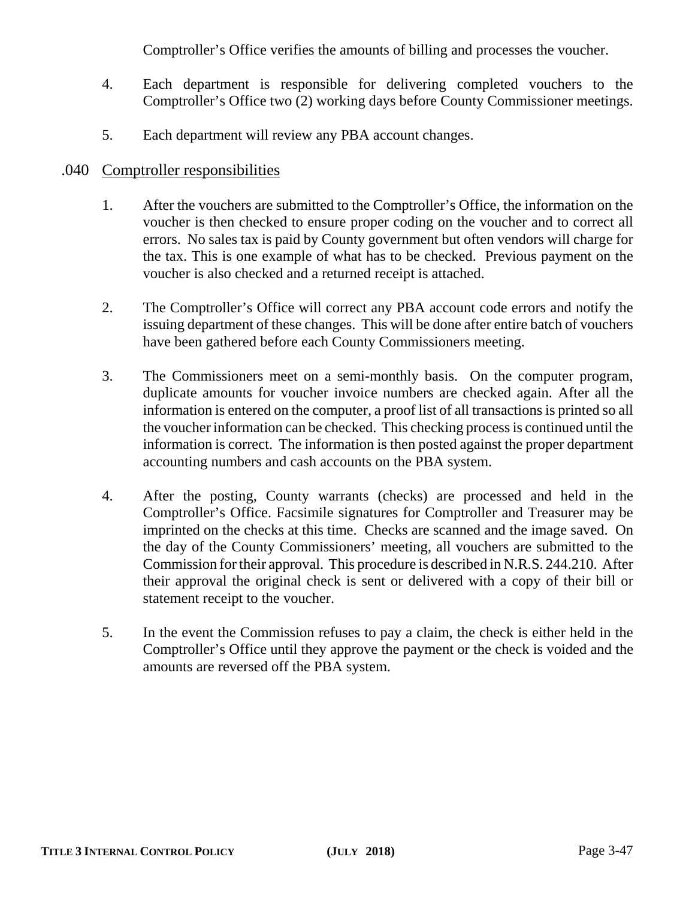Comptroller's Office verifies the amounts of billing and processes the voucher.

- 4. Each department is responsible for delivering completed vouchers to the Comptroller's Office two (2) working days before County Commissioner meetings.
- 5. Each department will review any PBA account changes.

# .040 Comptroller responsibilities

- 1. After the vouchers are submitted to the Comptroller's Office, the information on the voucher is then checked to ensure proper coding on the voucher and to correct all errors. No sales tax is paid by County government but often vendors will charge for the tax. This is one example of what has to be checked. Previous payment on the voucher is also checked and a returned receipt is attached.
- 2. The Comptroller's Office will correct any PBA account code errors and notify the issuing department of these changes. This will be done after entire batch of vouchers have been gathered before each County Commissioners meeting.
- 3. The Commissioners meet on a semi-monthly basis. On the computer program, duplicate amounts for voucher invoice numbers are checked again. After all the information is entered on the computer, a proof list of all transactions is printed so all the voucher information can be checked. This checking process is continued until the information is correct. The information is then posted against the proper department accounting numbers and cash accounts on the PBA system.
- 4. After the posting, County warrants (checks) are processed and held in the Comptroller's Office. Facsimile signatures for Comptroller and Treasurer may be imprinted on the checks at this time. Checks are scanned and the image saved. On the day of the County Commissioners' meeting, all vouchers are submitted to the Commission for their approval. This procedure is described in N.R.S. 244.210. After their approval the original check is sent or delivered with a copy of their bill or statement receipt to the voucher.
- 5. In the event the Commission refuses to pay a claim, the check is either held in the Comptroller's Office until they approve the payment or the check is voided and the amounts are reversed off the PBA system.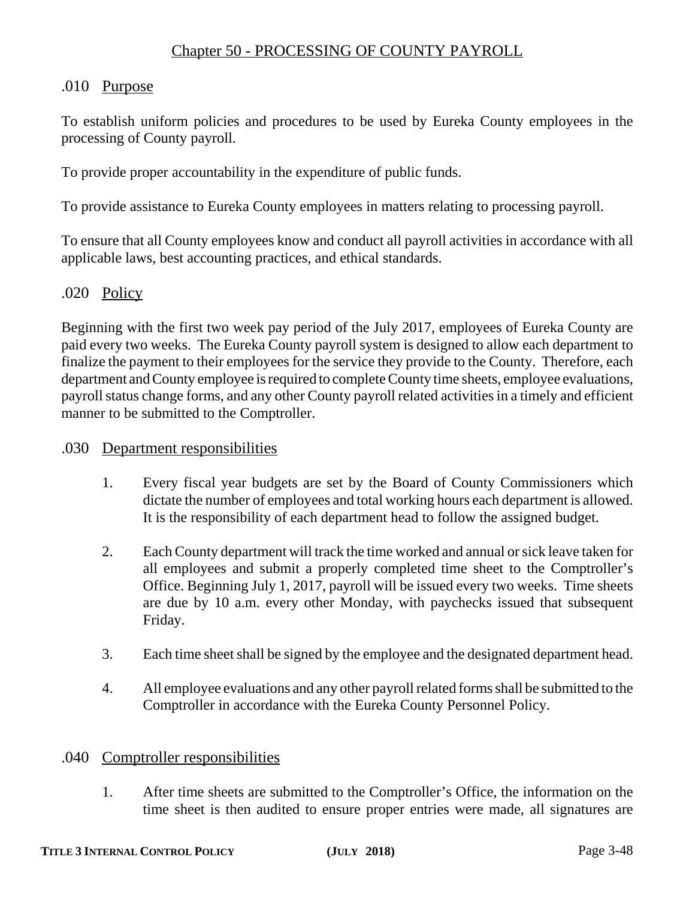# .010 Purpose

To establish uniform policies and procedures to be used by Eureka County employees in the processing of County payroll.

To provide proper accountability in the expenditure of public funds.

To provide assistance to Eureka County employees in matters relating to processing payroll.

To ensure that all County employees know and conduct all payroll activities in accordance with all applicable laws, best accounting practices, and ethical standards.

# .020 Policy

Beginning with the first two week pay period of the July 2017, employees of Eureka County are paid every two weeks. The Eureka County payroll system is designed to allow each department to finalize the payment to their employees for the service they provide to the County. Therefore, each department and County employee is required to complete County time sheets, employee evaluations, payroll status change forms, and any other County payroll related activities in a timely and efficient manner to be submitted to the Comptroller.

# .030 Department responsibilities

- 1. Every fiscal year budgets are set by the Board of County Commissioners which dictate the number of employees and total working hours each department is allowed. It is the responsibility of each department head to follow the assigned budget.
- 2. Each County department will track the time worked and annual or sick leave taken for all employees and submit a properly completed time sheet to the Comptroller's Office. Beginning July 1, 2017, payroll will be issued every two weeks. Time sheets are due by 10 a.m. every other Monday, with paychecks issued that subsequent Friday.
- 3. Each time sheet shall be signed by the employee and the designated department head.
- 4. All employee evaluations and any other payroll related forms shall be submitted to the Comptroller in accordance with the Eureka County Personnel Policy.

# .040 Comptroller responsibilities

1. After time sheets are submitted to the Comptroller's Office, the information on the time sheet is then audited to ensure proper entries were made, all signatures are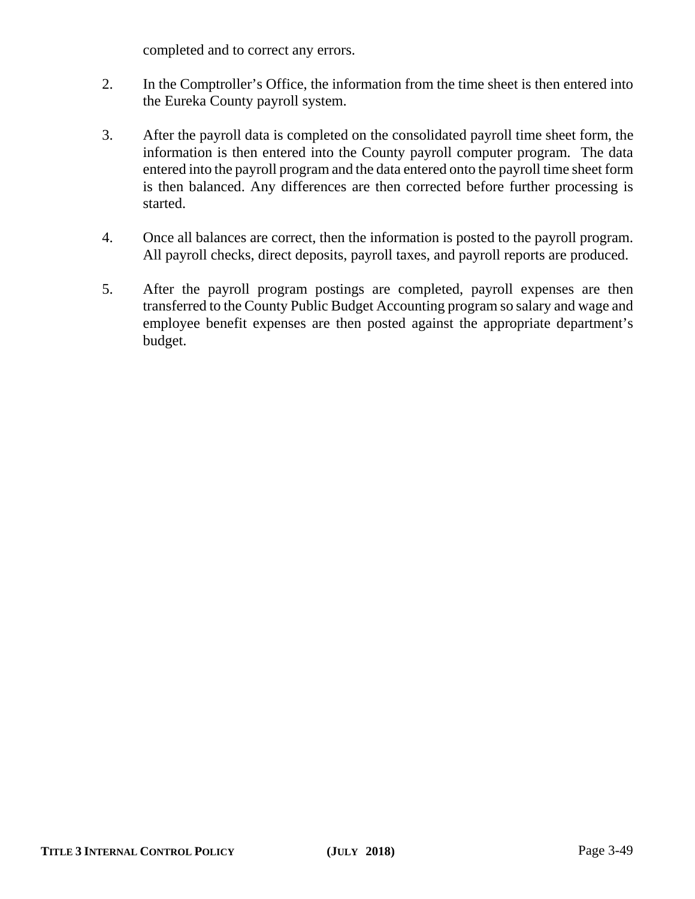completed and to correct any errors.

- 2. In the Comptroller's Office, the information from the time sheet is then entered into the Eureka County payroll system.
- 3. After the payroll data is completed on the consolidated payroll time sheet form, the information is then entered into the County payroll computer program. The data entered into the payroll program and the data entered onto the payroll time sheet form is then balanced. Any differences are then corrected before further processing is started.
- 4. Once all balances are correct, then the information is posted to the payroll program. All payroll checks, direct deposits, payroll taxes, and payroll reports are produced.
- 5. After the payroll program postings are completed, payroll expenses are then transferred to the County Public Budget Accounting program so salary and wage and employee benefit expenses are then posted against the appropriate department's budget.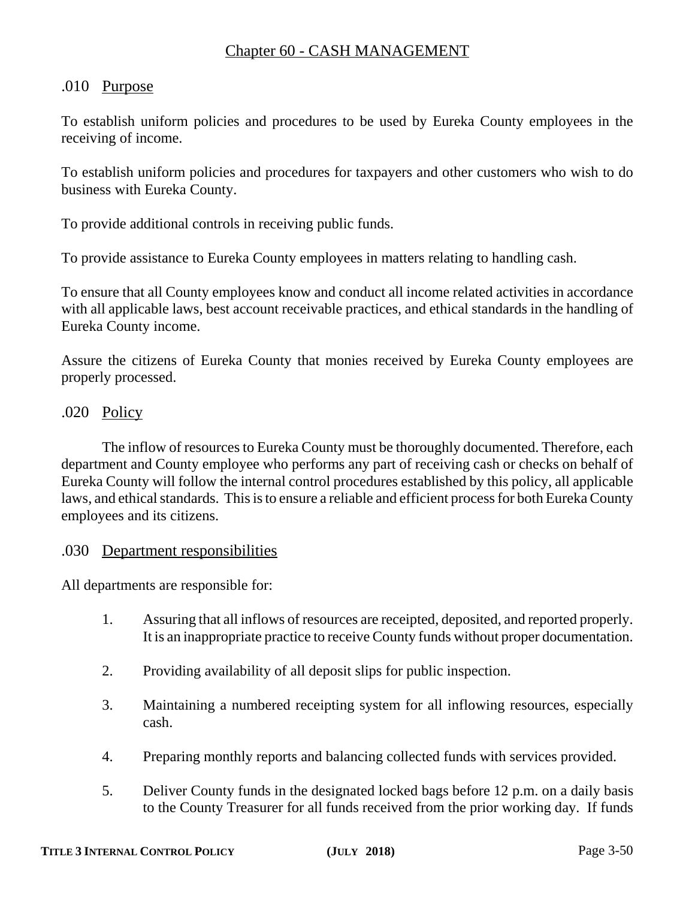# Chapter 60 - CASH MANAGEMENT

# .010 Purpose

To establish uniform policies and procedures to be used by Eureka County employees in the receiving of income.

To establish uniform policies and procedures for taxpayers and other customers who wish to do business with Eureka County.

To provide additional controls in receiving public funds.

To provide assistance to Eureka County employees in matters relating to handling cash.

To ensure that all County employees know and conduct all income related activities in accordance with all applicable laws, best account receivable practices, and ethical standards in the handling of Eureka County income.

Assure the citizens of Eureka County that monies received by Eureka County employees are properly processed.

# .020 Policy

The inflow of resources to Eureka County must be thoroughly documented. Therefore, each department and County employee who performs any part of receiving cash or checks on behalf of Eureka County will follow the internal control procedures established by this policy, all applicable laws, and ethical standards. This is to ensure a reliable and efficient process for both Eureka County employees and its citizens.

#### .030 Department responsibilities

All departments are responsible for:

- 1. Assuring that all inflows of resources are receipted, deposited, and reported properly. It is an inappropriate practice to receive County funds without proper documentation.
- 2. Providing availability of all deposit slips for public inspection.
- 3. Maintaining a numbered receipting system for all inflowing resources, especially cash.
- 4. Preparing monthly reports and balancing collected funds with services provided.
- 5. Deliver County funds in the designated locked bags before 12 p.m. on a daily basis to the County Treasurer for all funds received from the prior working day. If funds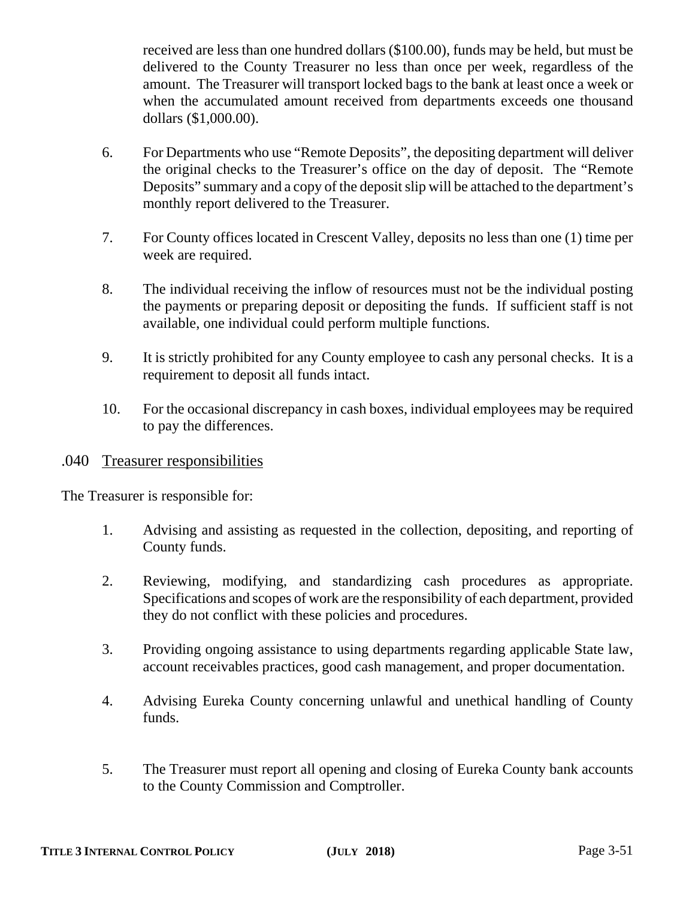received are less than one hundred dollars (\$100.00), funds may be held, but must be delivered to the County Treasurer no less than once per week, regardless of the amount. The Treasurer will transport locked bags to the bank at least once a week or when the accumulated amount received from departments exceeds one thousand dollars (\$1,000.00).

- 6. For Departments who use "Remote Deposits", the depositing department will deliver the original checks to the Treasurer's office on the day of deposit. The "Remote Deposits" summary and a copy of the deposit slip will be attached to the department's monthly report delivered to the Treasurer.
- 7. For County offices located in Crescent Valley, deposits no less than one (1) time per week are required.
- 8. The individual receiving the inflow of resources must not be the individual posting the payments or preparing deposit or depositing the funds. If sufficient staff is not available, one individual could perform multiple functions.
- 9. It is strictly prohibited for any County employee to cash any personal checks. It is a requirement to deposit all funds intact.
- 10. For the occasional discrepancy in cash boxes, individual employees may be required to pay the differences.

# .040 Treasurer responsibilities

The Treasurer is responsible for:

- 1. Advising and assisting as requested in the collection, depositing, and reporting of County funds.
- 2. Reviewing, modifying, and standardizing cash procedures as appropriate. Specifications and scopes of work are the responsibility of each department, provided they do not conflict with these policies and procedures.
- 3. Providing ongoing assistance to using departments regarding applicable State law, account receivables practices, good cash management, and proper documentation.
- 4. Advising Eureka County concerning unlawful and unethical handling of County funds.
- 5. The Treasurer must report all opening and closing of Eureka County bank accounts to the County Commission and Comptroller.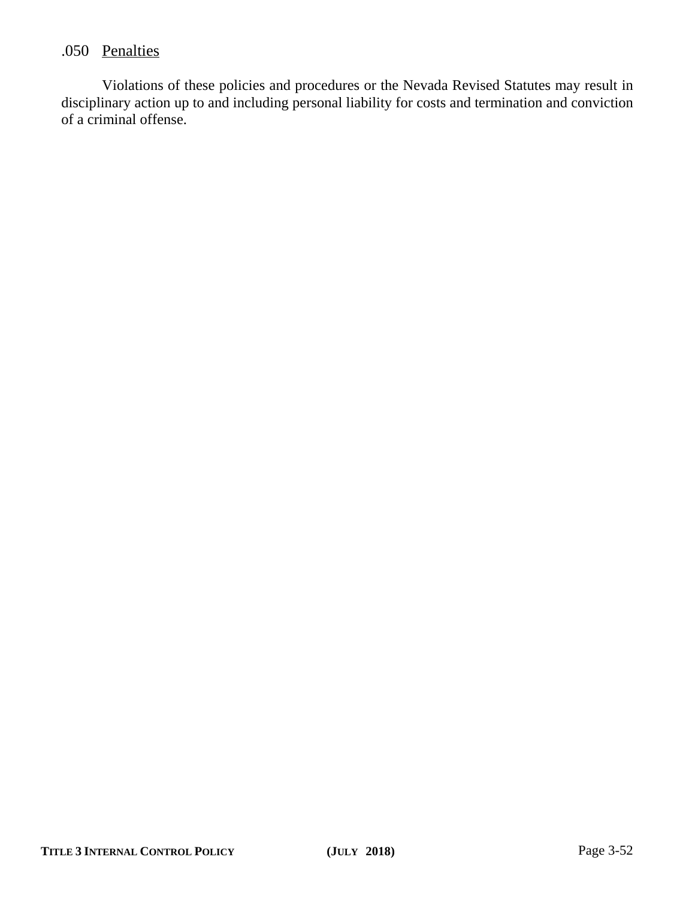# .050 Penalties

Violations of these policies and procedures or the Nevada Revised Statutes may result in disciplinary action up to and including personal liability for costs and termination and conviction of a criminal offense.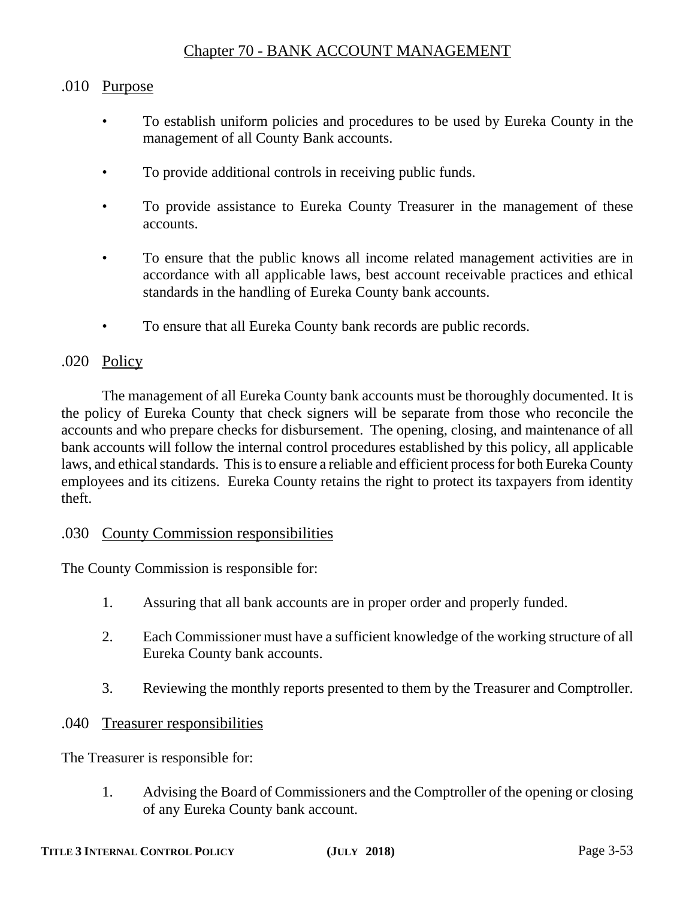# Chapter 70 - BANK ACCOUNT MANAGEMENT

# .010 Purpose

- To establish uniform policies and procedures to be used by Eureka County in the management of all County Bank accounts.
- To provide additional controls in receiving public funds.
- To provide assistance to Eureka County Treasurer in the management of these accounts.
- To ensure that the public knows all income related management activities are in accordance with all applicable laws, best account receivable practices and ethical standards in the handling of Eureka County bank accounts.
- To ensure that all Eureka County bank records are public records.

# .020 Policy

The management of all Eureka County bank accounts must be thoroughly documented. It is the policy of Eureka County that check signers will be separate from those who reconcile the accounts and who prepare checks for disbursement. The opening, closing, and maintenance of all bank accounts will follow the internal control procedures established by this policy, all applicable laws, and ethical standards. This is to ensure a reliable and efficient process for both Eureka County employees and its citizens. Eureka County retains the right to protect its taxpayers from identity theft.

#### .030 County Commission responsibilities

The County Commission is responsible for:

- 1. Assuring that all bank accounts are in proper order and properly funded.
- 2. Each Commissioner must have a sufficient knowledge of the working structure of all Eureka County bank accounts.
- 3. Reviewing the monthly reports presented to them by the Treasurer and Comptroller.

#### .040 Treasurer responsibilities

The Treasurer is responsible for:

1. Advising the Board of Commissioners and the Comptroller of the opening or closing of any Eureka County bank account.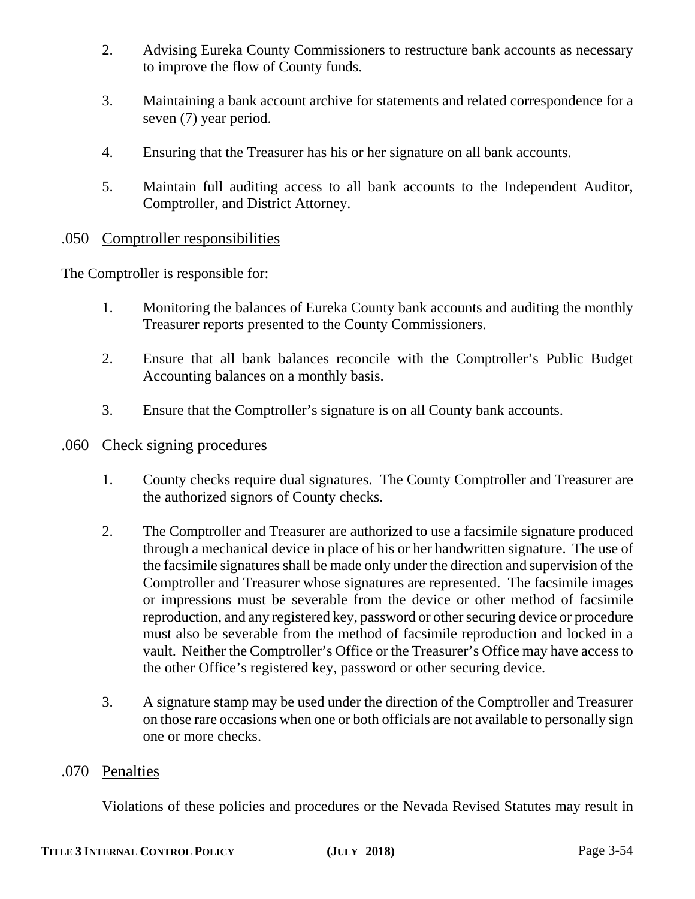- 2. Advising Eureka County Commissioners to restructure bank accounts as necessary to improve the flow of County funds.
- 3. Maintaining a bank account archive for statements and related correspondence for a seven (7) year period.
- 4. Ensuring that the Treasurer has his or her signature on all bank accounts.
- 5. Maintain full auditing access to all bank accounts to the Independent Auditor, Comptroller, and District Attorney.

# .050 Comptroller responsibilities

The Comptroller is responsible for:

- 1. Monitoring the balances of Eureka County bank accounts and auditing the monthly Treasurer reports presented to the County Commissioners.
- 2. Ensure that all bank balances reconcile with the Comptroller's Public Budget Accounting balances on a monthly basis.
- 3. Ensure that the Comptroller's signature is on all County bank accounts.

# .060 Check signing procedures

- 1. County checks require dual signatures. The County Comptroller and Treasurer are the authorized signors of County checks.
- 2. The Comptroller and Treasurer are authorized to use a facsimile signature produced through a mechanical device in place of his or her handwritten signature. The use of the facsimile signatures shall be made only under the direction and supervision of the Comptroller and Treasurer whose signatures are represented. The facsimile images or impressions must be severable from the device or other method of facsimile reproduction, and any registered key, password or other securing device or procedure must also be severable from the method of facsimile reproduction and locked in a vault. Neither the Comptroller's Office or the Treasurer's Office may have access to the other Office's registered key, password or other securing device.
- 3. A signature stamp may be used under the direction of the Comptroller and Treasurer on those rare occasions when one or both officials are not available to personally sign one or more checks.

#### .070 Penalties

Violations of these policies and procedures or the Nevada Revised Statutes may result in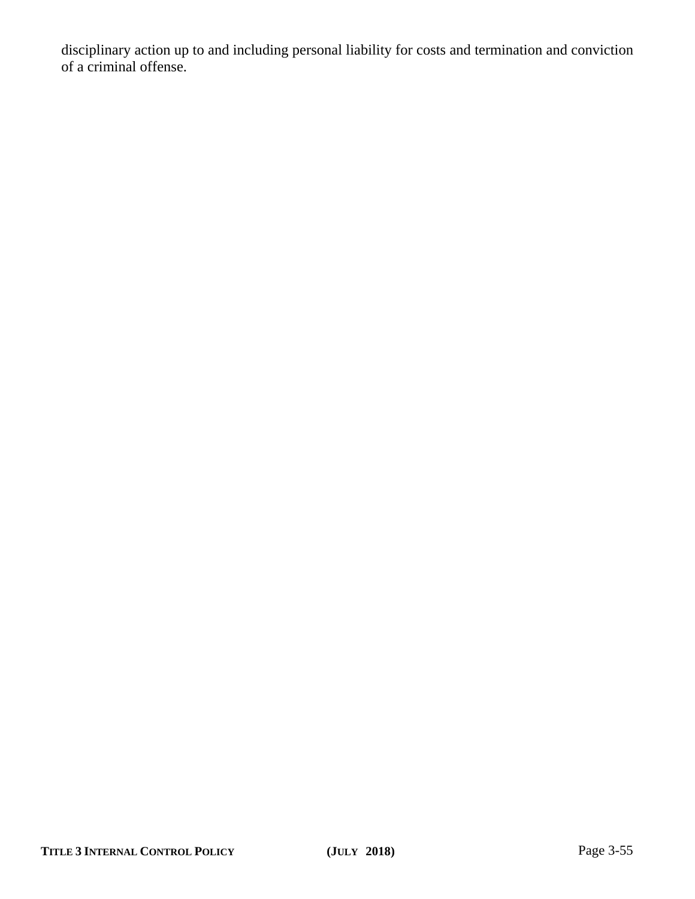disciplinary action up to and including personal liability for costs and termination and conviction of a criminal offense.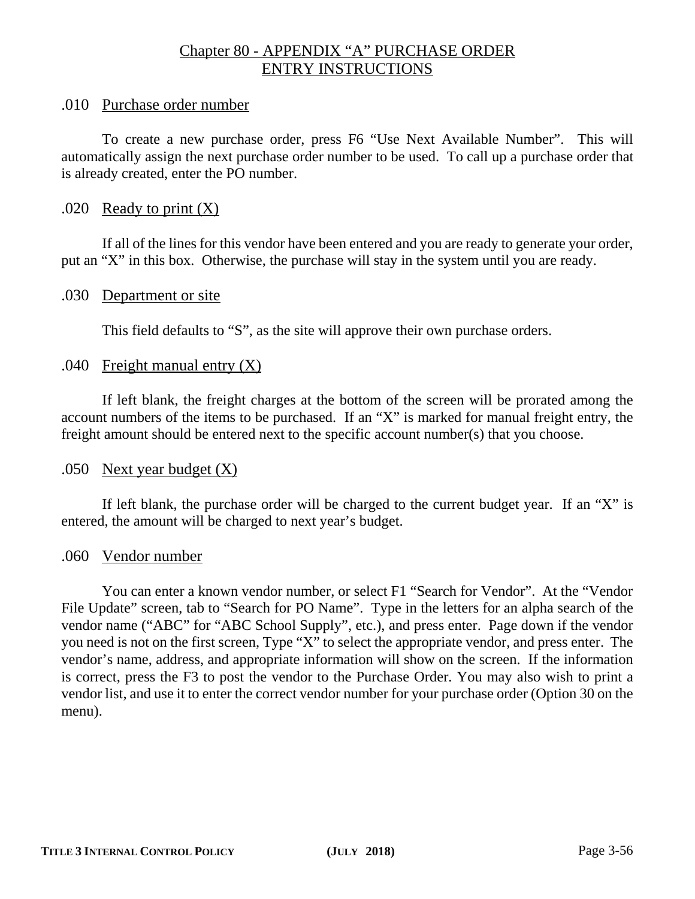# Chapter 80 - APPENDIX "A" PURCHASE ORDER ENTRY INSTRUCTIONS

## .010 Purchase order number

To create a new purchase order, press F6 "Use Next Available Number". This will automatically assign the next purchase order number to be used. To call up a purchase order that is already created, enter the PO number.

# .020 Ready to print  $(X)$

If all of the lines for this vendor have been entered and you are ready to generate your order, put an "X" in this box. Otherwise, the purchase will stay in the system until you are ready.

#### .030 Department or site

This field defaults to "S", as the site will approve their own purchase orders.

# .040 Freight manual entry  $(X)$

If left blank, the freight charges at the bottom of the screen will be prorated among the account numbers of the items to be purchased. If an "X" is marked for manual freight entry, the freight amount should be entered next to the specific account number(s) that you choose.

# .050 Next year budget  $(X)$

If left blank, the purchase order will be charged to the current budget year. If an "X" is entered, the amount will be charged to next year's budget.

#### .060 Vendor number

You can enter a known vendor number, or select F1 "Search for Vendor". At the "Vendor File Update" screen, tab to "Search for PO Name". Type in the letters for an alpha search of the vendor name ("ABC" for "ABC School Supply", etc.), and press enter. Page down if the vendor you need is not on the first screen, Type "X" to select the appropriate vendor, and press enter. The vendor's name, address, and appropriate information will show on the screen. If the information is correct, press the F3 to post the vendor to the Purchase Order. You may also wish to print a vendor list, and use it to enter the correct vendor number for your purchase order (Option 30 on the menu).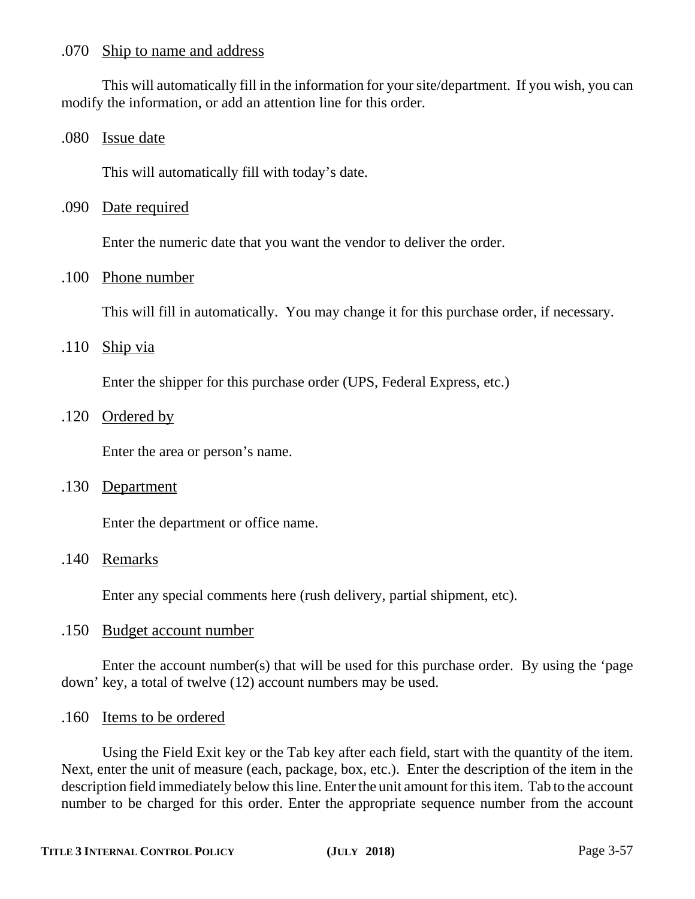#### .070 Ship to name and address

This will automatically fill in the information for your site/department. If you wish, you can modify the information, or add an attention line for this order.

#### .080 Issue date

This will automatically fill with today's date.

### .090 Date required

Enter the numeric date that you want the vendor to deliver the order.

#### .100 Phone number

This will fill in automatically. You may change it for this purchase order, if necessary.

#### $.110$  Ship via

Enter the shipper for this purchase order (UPS, Federal Express, etc.)

#### .120 Ordered by

Enter the area or person's name.

# .130 Department

Enter the department or office name.

#### .140 Remarks

Enter any special comments here (rush delivery, partial shipment, etc).

#### .150 Budget account number

Enter the account number(s) that will be used for this purchase order. By using the 'page down' key, a total of twelve (12) account numbers may be used.

#### .160 Items to be ordered

Using the Field Exit key or the Tab key after each field, start with the quantity of the item. Next, enter the unit of measure (each, package, box, etc.). Enter the description of the item in the description field immediately below this line. Enter the unit amount for this item. Tab to the account number to be charged for this order. Enter the appropriate sequence number from the account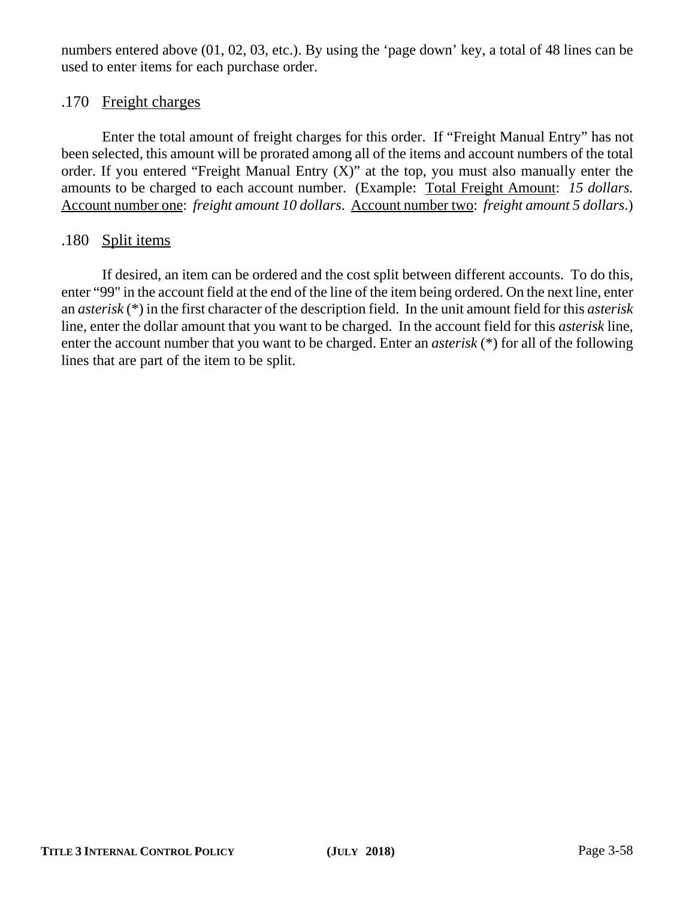numbers entered above (01, 02, 03, etc.). By using the 'page down' key, a total of 48 lines can be used to enter items for each purchase order.

# .170 Freight charges

Enter the total amount of freight charges for this order. If "Freight Manual Entry" has not been selected, this amount will be prorated among all of the items and account numbers of the total order. If you entered "Freight Manual Entry  $(X)$ " at the top, you must also manually enter the amounts to be charged to each account number. (Example: Total Freight Amount: *15 dollars.* Account number one: *freight amount 10 dollars*. Account number two: *freight amount 5 dollars*.)

# .180 Split items

If desired, an item can be ordered and the cost split between different accounts. To do this, enter "99" in the account field at the end of the line of the item being ordered. On the next line, enter an *asterisk* (\*) in the first character of the description field. In the unit amount field for this *asterisk* line, enter the dollar amount that you want to be charged. In the account field for this *asterisk* line, enter the account number that you want to be charged. Enter an *asterisk* (\*) for all of the following lines that are part of the item to be split.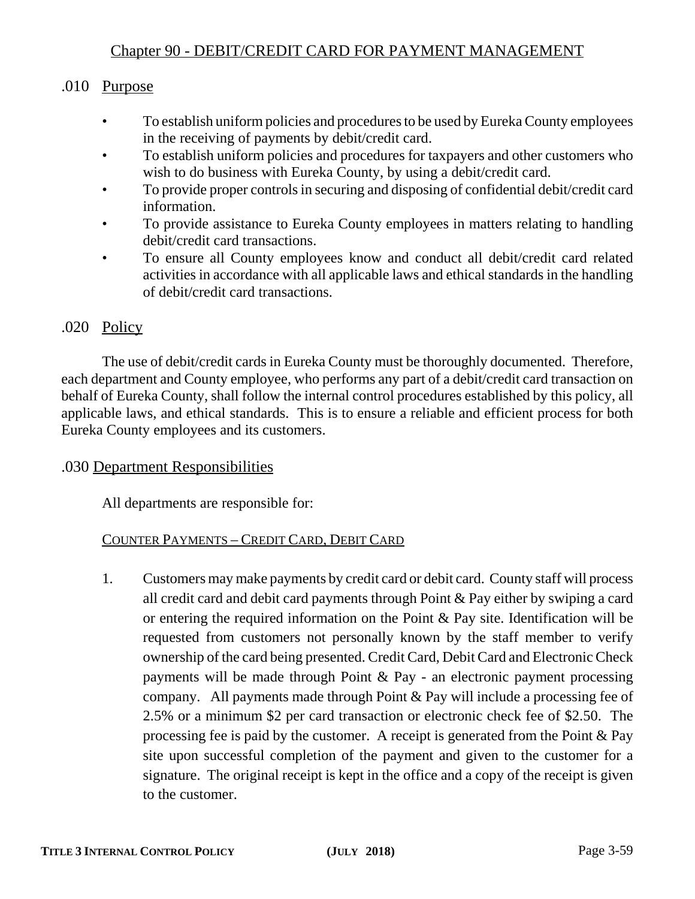# Chapter 90 - DEBIT/CREDIT CARD FOR PAYMENT MANAGEMENT

# .010 Purpose

- To establish uniform policies and procedures to be used by Eureka County employees in the receiving of payments by debit/credit card.
- To establish uniform policies and procedures for taxpayers and other customers who wish to do business with Eureka County, by using a debit/credit card.
- To provide proper controls in securing and disposing of confidential debit/credit card information.
- To provide assistance to Eureka County employees in matters relating to handling debit/credit card transactions.
- To ensure all County employees know and conduct all debit/credit card related activities in accordance with all applicable laws and ethical standards in the handling of debit/credit card transactions.

# .020 Policy

The use of debit/credit cards in Eureka County must be thoroughly documented. Therefore, each department and County employee, who performs any part of a debit/credit card transaction on behalf of Eureka County, shall follow the internal control procedures established by this policy, all applicable laws, and ethical standards. This is to ensure a reliable and efficient process for both Eureka County employees and its customers.

# .030 Department Responsibilities

All departments are responsible for:

# COUNTER PAYMENTS – CREDIT CARD, DEBIT CARD

1. Customers may make payments by credit card or debit card. County staff will process all credit card and debit card payments through Point & Pay either by swiping a card or entering the required information on the Point & Pay site. Identification will be requested from customers not personally known by the staff member to verify ownership of the card being presented. Credit Card, Debit Card and Electronic Check payments will be made through Point & Pay - an electronic payment processing company. All payments made through Point & Pay will include a processing fee of 2.5% or a minimum \$2 per card transaction or electronic check fee of \$2.50. The processing fee is paid by the customer. A receipt is generated from the Point  $\&$  Pay site upon successful completion of the payment and given to the customer for a signature. The original receipt is kept in the office and a copy of the receipt is given to the customer.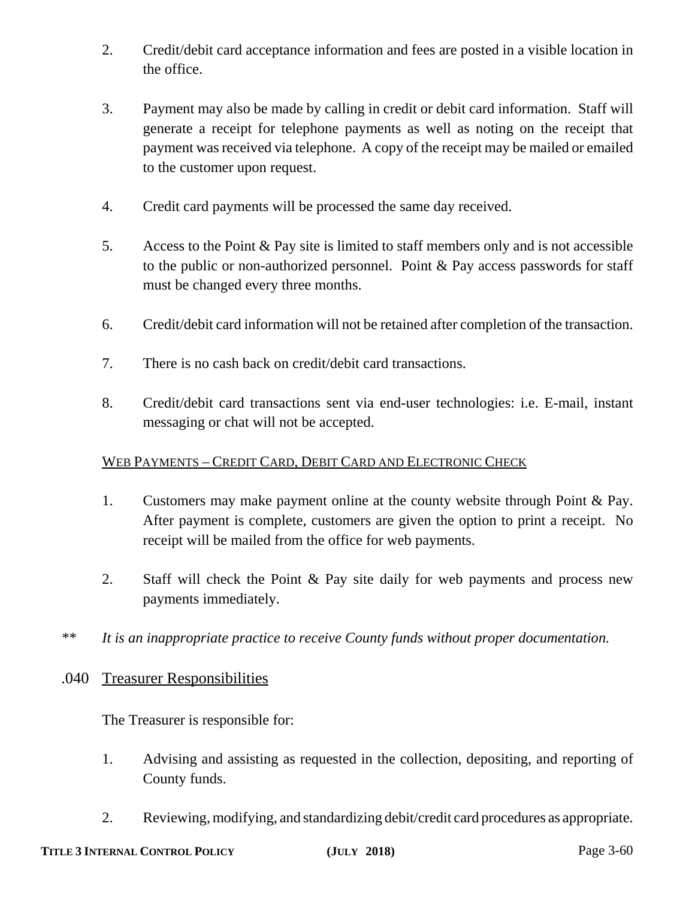- 2. Credit/debit card acceptance information and fees are posted in a visible location in the office.
- 3. Payment may also be made by calling in credit or debit card information. Staff will generate a receipt for telephone payments as well as noting on the receipt that payment was received via telephone. A copy of the receipt may be mailed or emailed to the customer upon request.
- 4. Credit card payments will be processed the same day received.
- 5. Access to the Point & Pay site is limited to staff members only and is not accessible to the public or non-authorized personnel. Point & Pay access passwords for staff must be changed every three months.
- 6. Credit/debit card information will not be retained after completion of the transaction.
- 7. There is no cash back on credit/debit card transactions.
- 8. Credit/debit card transactions sent via end-user technologies: i.e. E-mail, instant messaging or chat will not be accepted.

#### WEB PAYMENTS – CREDIT CARD, DEBIT CARD AND ELECTRONIC CHECK

- 1. Customers may make payment online at the county website through Point & Pay. After payment is complete, customers are given the option to print a receipt. No receipt will be mailed from the office for web payments.
- 2. Staff will check the Point & Pay site daily for web payments and process new payments immediately.
- *\*\* It is an inappropriate practice to receive County funds without proper documentation.*

#### .040 Treasurer Responsibilities

The Treasurer is responsible for:

- 1. Advising and assisting as requested in the collection, depositing, and reporting of County funds.
- 2. Reviewing, modifying, and standardizing debit/credit card procedures as appropriate.

# **TITLE 3 INTERNAL CONTROL POLICY (JULY 2018)** Page 3-60